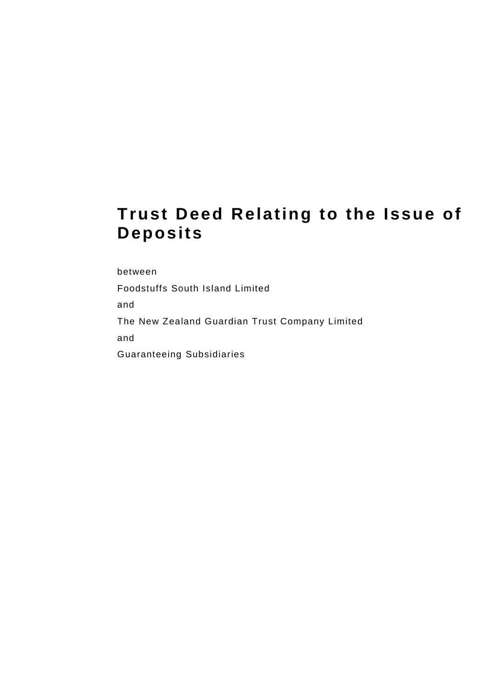# **Trust Deed Relating to the Issue of Deposits**

between

Foodstuffs South Island Limited

and

The New Zealand Guardian Trust Company Limited

and

Guaranteeing Subsidiaries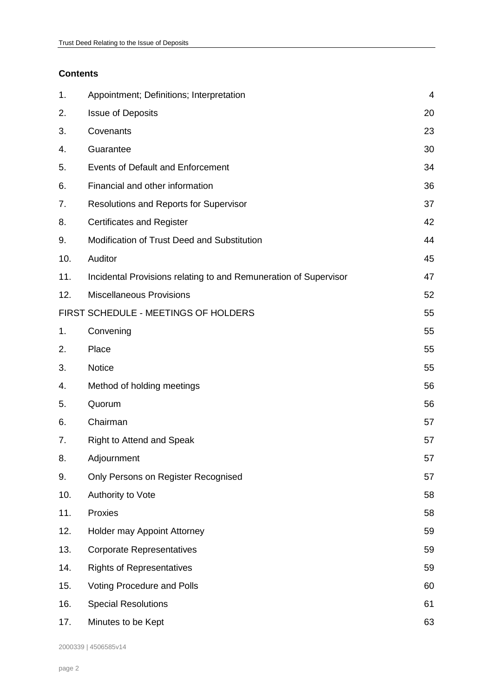# **Contents**

| Appointment; Definitions; Interpretation                         | 4  |
|------------------------------------------------------------------|----|
| <b>Issue of Deposits</b>                                         | 20 |
| Covenants                                                        | 23 |
| Guarantee                                                        | 30 |
| Events of Default and Enforcement                                | 34 |
| Financial and other information                                  | 36 |
| <b>Resolutions and Reports for Supervisor</b>                    | 37 |
| <b>Certificates and Register</b>                                 | 42 |
| Modification of Trust Deed and Substitution                      | 44 |
| Auditor                                                          | 45 |
| Incidental Provisions relating to and Remuneration of Supervisor | 47 |
| <b>Miscellaneous Provisions</b>                                  | 52 |
| FIRST SCHEDULE - MEETINGS OF HOLDERS                             | 55 |
| Convening                                                        | 55 |
| Place                                                            | 55 |
| Notice                                                           | 55 |
| Method of holding meetings                                       | 56 |
| Quorum                                                           | 56 |
| Chairman                                                         | 57 |
| <b>Right to Attend and Speak</b>                                 | 57 |
| Adjournment                                                      | 57 |
| Only Persons on Register Recognised                              | 57 |
| Authority to Vote                                                | 58 |
| Proxies                                                          | 58 |
| Holder may Appoint Attorney                                      | 59 |
| <b>Corporate Representatives</b>                                 | 59 |
| <b>Rights of Representatives</b>                                 | 59 |
| Voting Procedure and Polls                                       | 60 |
| <b>Special Resolutions</b>                                       | 61 |
| Minutes to be Kept                                               | 63 |
|                                                                  |    |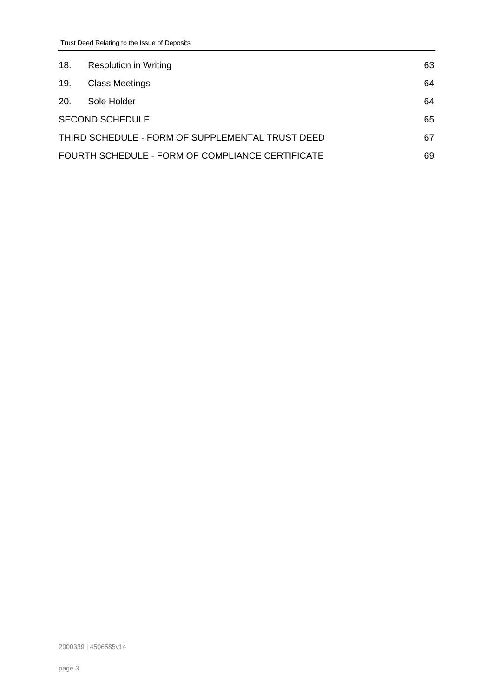| 18.        | <b>Resolution in Writing</b>                     | 63 |
|------------|--------------------------------------------------|----|
| 19.        | <b>Class Meetings</b>                            | 64 |
| <b>20.</b> | Sole Holder                                      | 64 |
|            | <b>SECOND SCHEDULE</b>                           | 65 |
|            | THIRD SCHEDULE - FORM OF SUPPLEMENTAL TRUST DEED | 67 |
|            | FOURTH SCHEDULE - FORM OF COMPLIANCE CERTIFICATE | 69 |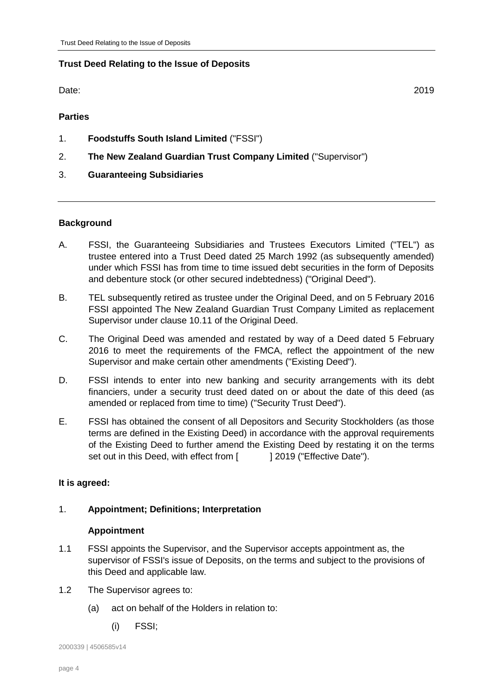# **Trust Deed Relating to the Issue of Deposits**

Date: 2019

**Parties**

- 1. **Foodstuffs South Island Limited** ("FSSI")
- 2. **The New Zealand Guardian Trust Company Limited** ("Supervisor")
- 3. **Guaranteeing Subsidiaries**

# **Background**

- A. FSSI, the Guaranteeing Subsidiaries and Trustees Executors Limited ("TEL") as trustee entered into a Trust Deed dated 25 March 1992 (as subsequently amended) under which FSSI has from time to time issued debt securities in the form of Deposits and debenture stock (or other secured indebtedness) ("Original Deed").
- B. TEL subsequently retired as trustee under the Original Deed, and on 5 February 2016 FSSI appointed The New Zealand Guardian Trust Company Limited as replacement Supervisor under clause 10.11 of the Original Deed.
- C. The Original Deed was amended and restated by way of a Deed dated 5 February 2016 to meet the requirements of the FMCA, reflect the appointment of the new Supervisor and make certain other amendments ("Existing Deed").
- <span id="page-3-1"></span>D. FSSI intends to enter into new banking and security arrangements with its debt financiers, under a security trust deed dated on or about the date of this deed (as amended or replaced from time to time) ("Security Trust Deed").
- E. FSSI has obtained the consent of all Depositors and Security Stockholders (as those terms are defined in the Existing Deed) in accordance with the approval requirements of the Existing Deed to further amend the Existing Deed by restating it on the terms set out in this Deed, with effect from [ ] 2019 ("Effective Date").

# **It is agreed:**

# <span id="page-3-0"></span>1. **Appointment; Definitions; Interpretation**

# **Appointment**

- 1.1 FSSI appoints the Supervisor, and the Supervisor accepts appointment as, the supervisor of FSSI's issue of Deposits, on the terms and subject to the provisions of this Deed and applicable law.
- 1.2 The Supervisor agrees to:
	- (a) act on behalf of the Holders in relation to:
		- (i) FSSI;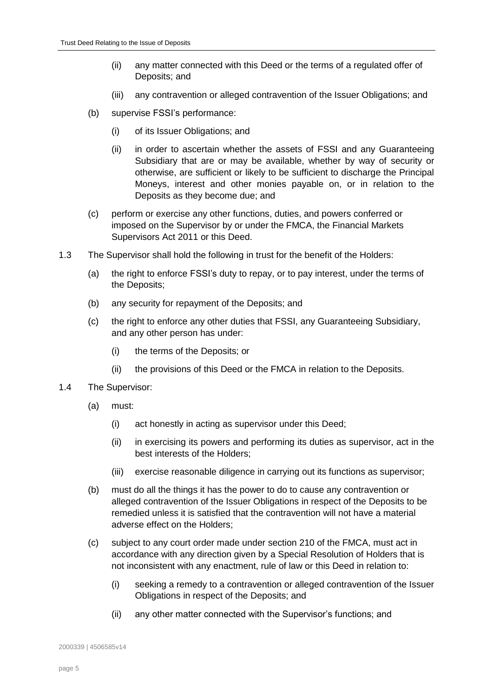- <span id="page-4-1"></span>(ii) any matter connected with this Deed or the terms of a regulated offer of Deposits; and
- (iii) any contravention or alleged contravention of the Issuer Obligations; and
- (b) supervise FSSI's performance:
	- (i) of its Issuer Obligations; and
	- (ii) in order to ascertain whether the assets of FSSI and any Guaranteeing Subsidiary that are or may be available, whether by way of security or otherwise, are sufficient or likely to be sufficient to discharge the Principal Moneys, interest and other monies payable on, or in relation to the Deposits as they become due; and
- (c) perform or exercise any other functions, duties, and powers conferred or imposed on the Supervisor by or under the FMCA, the Financial Markets Supervisors Act 2011 or this Deed.
- 1.3 The Supervisor shall hold the following in trust for the benefit of the Holders:
	- (a) the right to enforce FSSI's duty to repay, or to pay interest, under the terms of the Deposits;
	- (b) any security for repayment of the Deposits; and
	- (c) the right to enforce any other duties that FSSI, any Guaranteeing Subsidiary, and any other person has under:
		- (i) the terms of the Deposits; or
		- (ii) the provisions of this Deed or the FMCA in relation to the Deposits.
- <span id="page-4-0"></span>1.4 The Supervisor:
	- (a) must:
		- (i) act honestly in acting as supervisor under this Deed;
		- (ii) in exercising its powers and performing its duties as supervisor, act in the best interests of the Holders;
		- (iii) exercise reasonable diligence in carrying out its functions as supervisor;
	- (b) must do all the things it has the power to do to cause any contravention or alleged contravention of the Issuer Obligations in respect of the Deposits to be remedied unless it is satisfied that the contravention will not have a material adverse effect on the Holders;
	- (c) subject to any court order made under section 210 of the FMCA, must act in accordance with any direction given by a Special Resolution of Holders that is not inconsistent with any enactment, rule of law or this Deed in relation to:
		- (i) seeking a remedy to a contravention or alleged contravention of the Issuer Obligations in respect of the Deposits; and
		- (ii) any other matter connected with the Supervisor's functions; and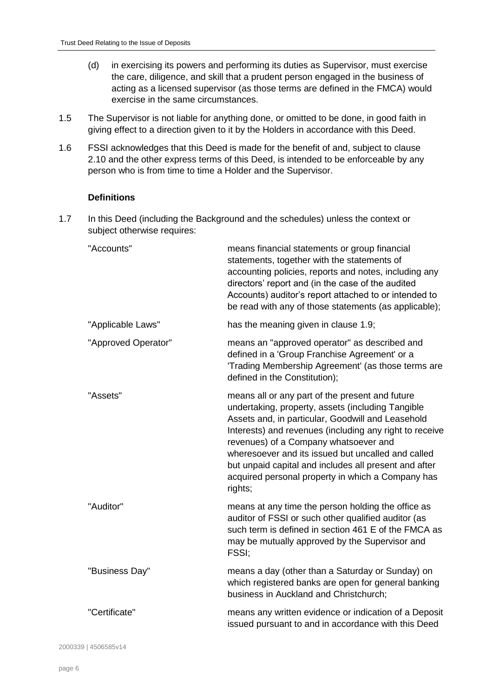- (d) in exercising its powers and performing its duties as Supervisor, must exercise the care, diligence, and skill that a prudent person engaged in the business of acting as a licensed supervisor (as those terms are defined in the FMCA) would exercise in the same circumstances.
- 1.5 The Supervisor is not liable for anything done, or omitted to be done, in good faith in giving effect to a direction given to it by the Holders in accordance with this Deed.
- 1.6 FSSI acknowledges that this Deed is made for the benefit of and, subject to clause [2.10](#page-21-0) and the other express terms of this Deed, is intended to be enforceable by any person who is from time to time a Holder and the Supervisor.

### **Definitions**

<span id="page-5-0"></span>1.7 In this Deed (including the Background and the schedules) unless the context or subject otherwise requires:

| "Accounts"          | means financial statements or group financial<br>statements, together with the statements of<br>accounting policies, reports and notes, including any<br>directors' report and (in the case of the audited<br>Accounts) auditor's report attached to or intended to<br>be read with any of those statements (as applicable);                                                                                                                 |
|---------------------|----------------------------------------------------------------------------------------------------------------------------------------------------------------------------------------------------------------------------------------------------------------------------------------------------------------------------------------------------------------------------------------------------------------------------------------------|
| "Applicable Laws"   | has the meaning given in clause 1.9;                                                                                                                                                                                                                                                                                                                                                                                                         |
| "Approved Operator" | means an "approved operator" as described and<br>defined in a 'Group Franchise Agreement' or a<br>'Trading Membership Agreement' (as those terms are<br>defined in the Constitution);                                                                                                                                                                                                                                                        |
| "Assets"            | means all or any part of the present and future<br>undertaking, property, assets (including Tangible<br>Assets and, in particular, Goodwill and Leasehold<br>Interests) and revenues (including any right to receive<br>revenues) of a Company whatsoever and<br>wheresoever and its issued but uncalled and called<br>but unpaid capital and includes all present and after<br>acquired personal property in which a Company has<br>rights; |
| "Auditor"           | means at any time the person holding the office as<br>auditor of FSSI or such other qualified auditor (as<br>such term is defined in section 461 E of the FMCA as<br>may be mutually approved by the Supervisor and<br>FSSI;                                                                                                                                                                                                                 |
| "Business Day"      | means a day (other than a Saturday or Sunday) on<br>which registered banks are open for general banking<br>business in Auckland and Christchurch;                                                                                                                                                                                                                                                                                            |
| "Certificate"       | means any written evidence or indication of a Deposit<br>issued pursuant to and in accordance with this Deed                                                                                                                                                                                                                                                                                                                                 |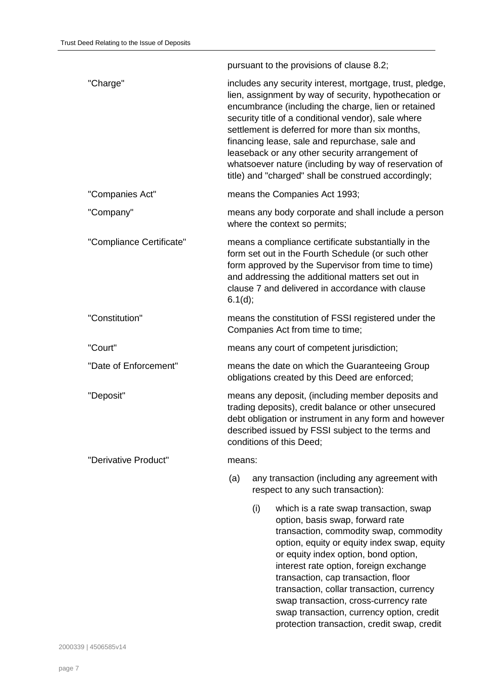pursuant to the provisions of clause [8.2;](#page-41-1) "Charge" includes any security interest, mortgage, trust, pledge, lien, assignment by way of security, hypothecation or encumbrance (including the charge, lien or retained security title of a conditional vendor), sale where settlement is deferred for more than six months, financing lease, sale and repurchase, sale and leaseback or any other security arrangement of whatsoever nature (including by way of reservation of title) and "charged" shall be construed accordingly; "Companies Act" means the Companies Act 1993; "Company" means any body corporate and shall include a person where the context so permits; "Compliance Certificate" means a compliance certificate substantially in the form set out in the Fourth Schedule (or such other form approved by the Supervisor from time to time) and addressing the additional matters set out in clause [7](#page-36-0) and delivered in accordance with clause [6.1\(d\);](#page-36-1) "Constitution" means the constitution of FSSI registered under the Companies Act from time to time; "Court" means any court of competent jurisdiction; "Date of Enforcement" means the date on which the Guaranteeing Group obligations created by this Deed are enforced; "Deposit" means any deposit, (including member deposits and trading deposits), credit balance or other unsecured debt obligation or instrument in any form and however described issued by FSSI subject to the terms and conditions of this Deed; "Derivative Product" means: (a) any transaction (including any agreement with respect to any such transaction): (i) which is a rate swap transaction, swap option, basis swap, forward rate transaction, commodity swap, commodity option, equity or equity index swap, equity or equity index option, bond option, interest rate option, foreign exchange

transaction, cap transaction, floor

transaction, collar transaction, currency swap transaction, cross-currency rate swap transaction, currency option, credit protection transaction, credit swap, credit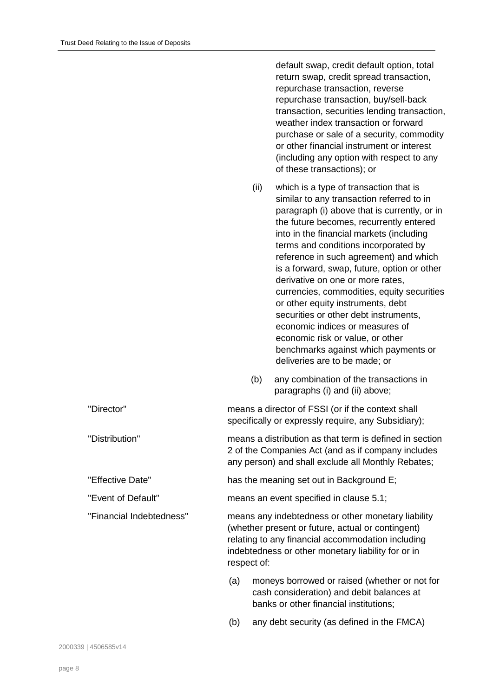|                          |     |             | default swap, credit default option, total<br>return swap, credit spread transaction,<br>repurchase transaction, reverse<br>repurchase transaction, buy/sell-back<br>transaction, securities lending transaction,<br>weather index transaction or forward<br>purchase or sale of a security, commodity<br>or other financial instrument or interest<br>(including any option with respect to any<br>of these transactions); or                                                                                                                                                                                                                                              |
|--------------------------|-----|-------------|-----------------------------------------------------------------------------------------------------------------------------------------------------------------------------------------------------------------------------------------------------------------------------------------------------------------------------------------------------------------------------------------------------------------------------------------------------------------------------------------------------------------------------------------------------------------------------------------------------------------------------------------------------------------------------|
|                          |     | (ii)        | which is a type of transaction that is<br>similar to any transaction referred to in<br>paragraph (i) above that is currently, or in<br>the future becomes, recurrently entered<br>into in the financial markets (including<br>terms and conditions incorporated by<br>reference in such agreement) and which<br>is a forward, swap, future, option or other<br>derivative on one or more rates,<br>currencies, commodities, equity securities<br>or other equity instruments, debt<br>securities or other debt instruments,<br>economic indices or measures of<br>economic risk or value, or other<br>benchmarks against which payments or<br>deliveries are to be made; or |
|                          |     | (b)         | any combination of the transactions in<br>paragraphs (i) and (ii) above;                                                                                                                                                                                                                                                                                                                                                                                                                                                                                                                                                                                                    |
| "Director"               |     |             | means a director of FSSI (or if the context shall<br>specifically or expressly require, any Subsidiary);                                                                                                                                                                                                                                                                                                                                                                                                                                                                                                                                                                    |
| "Distribution"           |     |             | means a distribution as that term is defined in section<br>2 of the Companies Act (and as if company includes<br>any person) and shall exclude all Monthly Rebates;                                                                                                                                                                                                                                                                                                                                                                                                                                                                                                         |
| "Effective Date"         |     |             | has the meaning set out in Background E;                                                                                                                                                                                                                                                                                                                                                                                                                                                                                                                                                                                                                                    |
| "Event of Default"       |     |             | means an event specified in clause 5.1;                                                                                                                                                                                                                                                                                                                                                                                                                                                                                                                                                                                                                                     |
| "Financial Indebtedness" |     | respect of: | means any indebtedness or other monetary liability<br>(whether present or future, actual or contingent)<br>relating to any financial accommodation including<br>indebtedness or other monetary liability for or in                                                                                                                                                                                                                                                                                                                                                                                                                                                          |
|                          | (a) |             | moneys borrowed or raised (whether or not for<br>cash consideration) and debit balances at<br>banks or other financial institutions;                                                                                                                                                                                                                                                                                                                                                                                                                                                                                                                                        |
|                          | (b) |             | any debt security (as defined in the FMCA)                                                                                                                                                                                                                                                                                                                                                                                                                                                                                                                                                                                                                                  |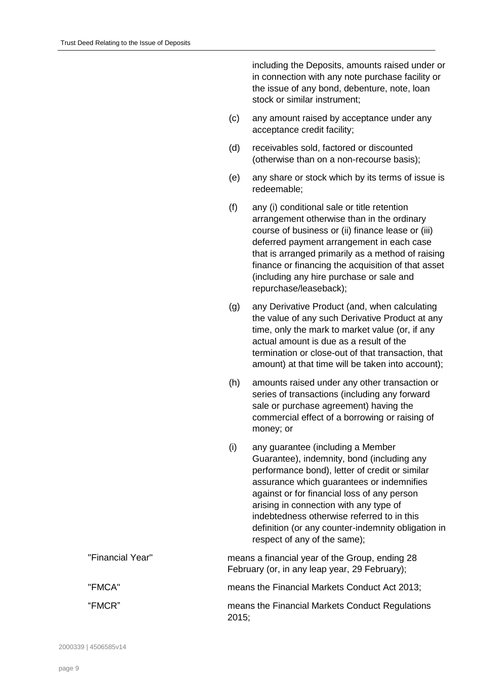including the Deposits, amounts raised under or in connection with any note purchase facility or the issue of any bond, debenture, note, loan stock or similar instrument;

- (c) any amount raised by acceptance under any acceptance credit facility;
- (d) receivables sold, factored or discounted (otherwise than on a non-recourse basis);
- (e) any share or stock which by its terms of issue is redeemable;
- (f) any (i) conditional sale or title retention arrangement otherwise than in the ordinary course of business or (ii) finance lease or (iii) deferred payment arrangement in each case that is arranged primarily as a method of raising finance or financing the acquisition of that asset (including any hire purchase or sale and repurchase/leaseback);
- (g) any Derivative Product (and, when calculating the value of any such Derivative Product at any time, only the mark to market value (or, if any actual amount is due as a result of the termination or close-out of that transaction, that amount) at that time will be taken into account);
- (h) amounts raised under any other transaction or series of transactions (including any forward sale or purchase agreement) having the commercial effect of a borrowing or raising of money; or
- (i) any guarantee (including a Member Guarantee), indemnity, bond (including any performance bond), letter of credit or similar assurance which guarantees or indemnifies against or for financial loss of any person arising in connection with any type of indebtedness otherwise referred to in this definition (or any counter-indemnity obligation in respect of any of the same);

| "Financial Year" | means a financial year of the Group, ending 28<br>February (or, in any leap year, 29 February); |
|------------------|-------------------------------------------------------------------------------------------------|
| "FMCA"           | means the Financial Markets Conduct Act 2013;                                                   |
| "FMCR"           | means the Financial Markets Conduct Regulations<br>2015;                                        |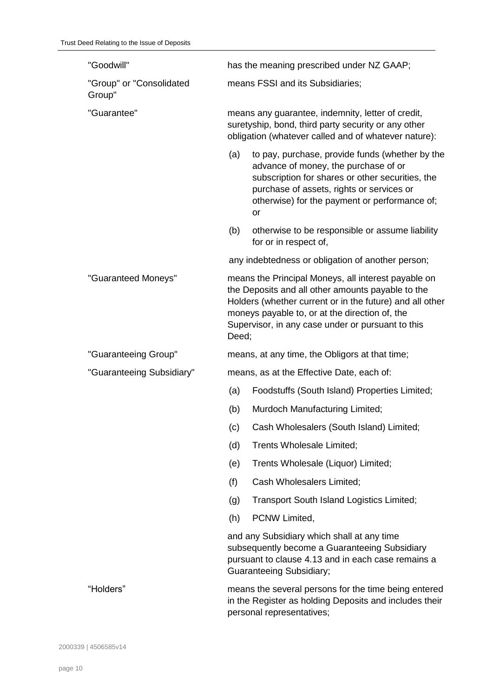| "Goodwill"                         |                                                                                                                                                                                      | has the meaning prescribed under NZ GAAP;                                                                                                                                                                                                                                   |  |
|------------------------------------|--------------------------------------------------------------------------------------------------------------------------------------------------------------------------------------|-----------------------------------------------------------------------------------------------------------------------------------------------------------------------------------------------------------------------------------------------------------------------------|--|
| "Group" or "Consolidated<br>Group" |                                                                                                                                                                                      | means FSSI and its Subsidiaries;                                                                                                                                                                                                                                            |  |
| "Guarantee"                        |                                                                                                                                                                                      | means any guarantee, indemnity, letter of credit,<br>suretyship, bond, third party security or any other<br>obligation (whatever called and of whatever nature):                                                                                                            |  |
|                                    | (a)                                                                                                                                                                                  | to pay, purchase, provide funds (whether by the<br>advance of money, the purchase of or<br>subscription for shares or other securities, the<br>purchase of assets, rights or services or<br>otherwise) for the payment or performance of;<br><b>or</b>                      |  |
|                                    | (b)                                                                                                                                                                                  | otherwise to be responsible or assume liability<br>for or in respect of,                                                                                                                                                                                                    |  |
|                                    |                                                                                                                                                                                      | any indebtedness or obligation of another person;                                                                                                                                                                                                                           |  |
| "Guaranteed Moneys"                | Deed;                                                                                                                                                                                | means the Principal Moneys, all interest payable on<br>the Deposits and all other amounts payable to the<br>Holders (whether current or in the future) and all other<br>moneys payable to, or at the direction of, the<br>Supervisor, in any case under or pursuant to this |  |
| "Guaranteeing Group"               |                                                                                                                                                                                      | means, at any time, the Obligors at that time;                                                                                                                                                                                                                              |  |
| "Guaranteeing Subsidiary"          |                                                                                                                                                                                      | means, as at the Effective Date, each of:                                                                                                                                                                                                                                   |  |
|                                    | (a)                                                                                                                                                                                  | Foodstuffs (South Island) Properties Limited;                                                                                                                                                                                                                               |  |
|                                    | (b)                                                                                                                                                                                  | Murdoch Manufacturing Limited;                                                                                                                                                                                                                                              |  |
|                                    | (c)                                                                                                                                                                                  | Cash Wholesalers (South Island) Limited;                                                                                                                                                                                                                                    |  |
|                                    | (d)                                                                                                                                                                                  | Trents Wholesale Limited;                                                                                                                                                                                                                                                   |  |
|                                    | (e)                                                                                                                                                                                  | Trents Wholesale (Liquor) Limited;                                                                                                                                                                                                                                          |  |
|                                    | (f)                                                                                                                                                                                  | Cash Wholesalers Limited;                                                                                                                                                                                                                                                   |  |
|                                    | (g)                                                                                                                                                                                  | Transport South Island Logistics Limited;                                                                                                                                                                                                                                   |  |
|                                    | (h)                                                                                                                                                                                  | PCNW Limited,                                                                                                                                                                                                                                                               |  |
|                                    | and any Subsidiary which shall at any time<br>subsequently become a Guaranteeing Subsidiary<br>pursuant to clause 4.13 and in each case remains a<br><b>Guaranteeing Subsidiary;</b> |                                                                                                                                                                                                                                                                             |  |
| "Holders"                          |                                                                                                                                                                                      | means the several persons for the time being entered<br>in the Register as holding Deposits and includes their                                                                                                                                                              |  |

personal representatives;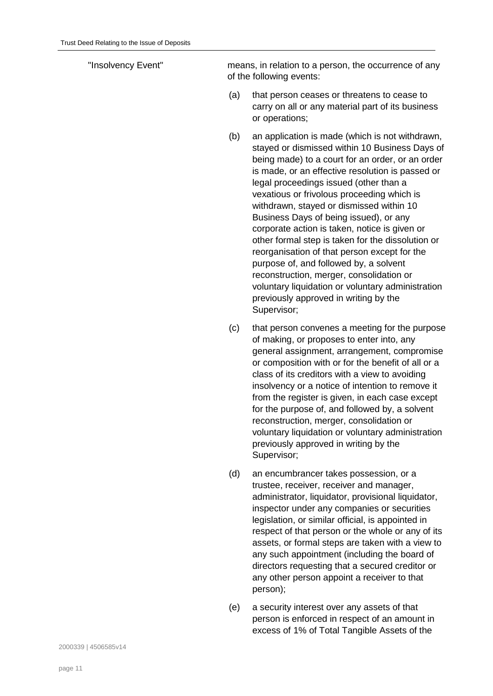"Insolvency Event" means, in relation to a person, the occurrence of any of the following events:

- (a) that person ceases or threatens to cease to carry on all or any material part of its business or operations;
- (b) an application is made (which is not withdrawn, stayed or dismissed within 10 Business Days of being made) to a court for an order, or an order is made, or an effective resolution is passed or legal proceedings issued (other than a vexatious or frivolous proceeding which is withdrawn, stayed or dismissed within 10 Business Days of being issued), or any corporate action is taken, notice is given or other formal step is taken for the dissolution or reorganisation of that person except for the purpose of, and followed by, a solvent reconstruction, merger, consolidation or voluntary liquidation or voluntary administration previously approved in writing by the Supervisor;
- (c) that person convenes a meeting for the purpose of making, or proposes to enter into, any general assignment, arrangement, compromise or composition with or for the benefit of all or a class of its creditors with a view to avoiding insolvency or a notice of intention to remove it from the register is given, in each case except for the purpose of, and followed by, a solvent reconstruction, merger, consolidation or voluntary liquidation or voluntary administration previously approved in writing by the Supervisor;
- (d) an encumbrancer takes possession, or a trustee, receiver, receiver and manager, administrator, liquidator, provisional liquidator, inspector under any companies or securities legislation, or similar official, is appointed in respect of that person or the whole or any of its assets, or formal steps are taken with a view to any such appointment (including the board of directors requesting that a secured creditor or any other person appoint a receiver to that person);
- (e) a security interest over any assets of that person is enforced in respect of an amount in excess of 1% of Total Tangible Assets of the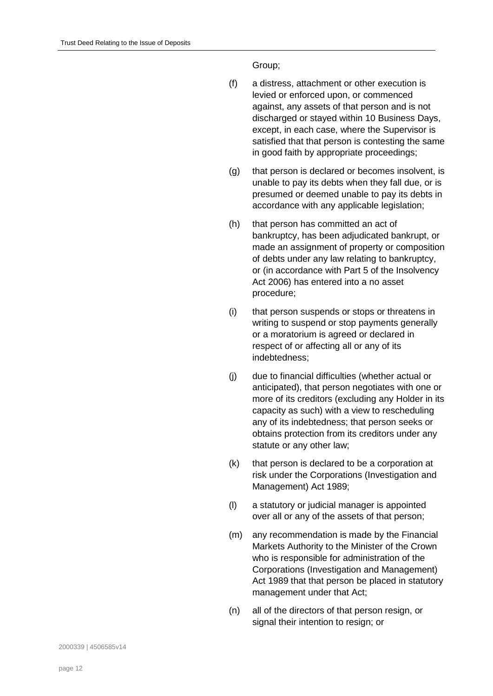Group;

- (f) a distress, attachment or other execution is levied or enforced upon, or commenced against, any assets of that person and is not discharged or stayed within 10 Business Days, except, in each case, where the Supervisor is satisfied that that person is contesting the same in good faith by appropriate proceedings;
- (g) that person is declared or becomes insolvent, is unable to pay its debts when they fall due, or is presumed or deemed unable to pay its debts in accordance with any applicable legislation;
- (h) that person has committed an act of bankruptcy, has been adjudicated bankrupt, or made an assignment of property or composition of debts under any law relating to bankruptcy, or (in accordance with Part 5 of the Insolvency Act 2006) has entered into a no asset procedure;
- (i) that person suspends or stops or threatens in writing to suspend or stop payments generally or a moratorium is agreed or declared in respect of or affecting all or any of its indebtedness;
- (j) due to financial difficulties (whether actual or anticipated), that person negotiates with one or more of its creditors (excluding any Holder in its capacity as such) with a view to rescheduling any of its indebtedness; that person seeks or obtains protection from its creditors under any statute or any other law;
- (k) that person is declared to be a corporation at risk under the Corporations (Investigation and Management) Act 1989;
- (l) a statutory or judicial manager is appointed over all or any of the assets of that person;
- (m) any recommendation is made by the Financial Markets Authority to the Minister of the Crown who is responsible for administration of the Corporations (Investigation and Management) Act 1989 that that person be placed in statutory management under that Act;
- (n) all of the directors of that person resign, or signal their intention to resign; or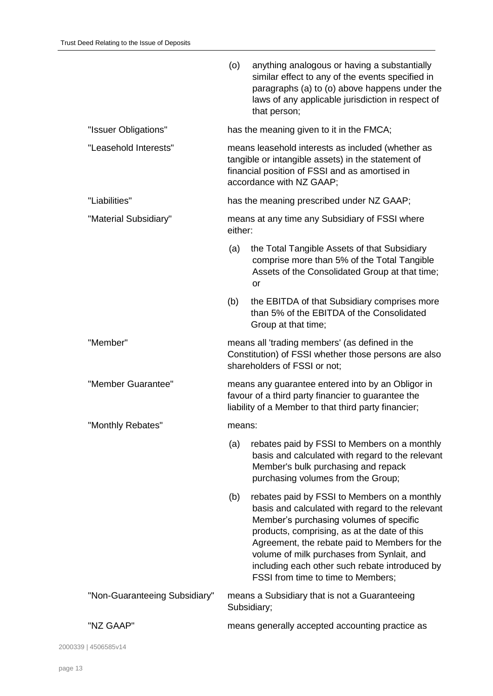|                               | (o)     | anything analogous or having a substantially<br>similar effect to any of the events specified in<br>paragraphs (a) to (o) above happens under the<br>laws of any applicable jurisdiction in respect of<br>that person;                                                                                                                                                             |
|-------------------------------|---------|------------------------------------------------------------------------------------------------------------------------------------------------------------------------------------------------------------------------------------------------------------------------------------------------------------------------------------------------------------------------------------|
| "Issuer Obligations"          |         | has the meaning given to it in the FMCA;                                                                                                                                                                                                                                                                                                                                           |
| "Leasehold Interests"         |         | means leasehold interests as included (whether as<br>tangible or intangible assets) in the statement of<br>financial position of FSSI and as amortised in<br>accordance with NZ GAAP;                                                                                                                                                                                              |
| "Liabilities"                 |         | has the meaning prescribed under NZ GAAP;                                                                                                                                                                                                                                                                                                                                          |
| "Material Subsidiary"         | either: | means at any time any Subsidiary of FSSI where                                                                                                                                                                                                                                                                                                                                     |
|                               | (a)     | the Total Tangible Assets of that Subsidiary<br>comprise more than 5% of the Total Tangible<br>Assets of the Consolidated Group at that time;<br>or                                                                                                                                                                                                                                |
|                               | (b)     | the EBITDA of that Subsidiary comprises more<br>than 5% of the EBITDA of the Consolidated<br>Group at that time;                                                                                                                                                                                                                                                                   |
| "Member"                      |         | means all 'trading members' (as defined in the<br>Constitution) of FSSI whether those persons are also<br>shareholders of FSSI or not;                                                                                                                                                                                                                                             |
| "Member Guarantee"            |         | means any guarantee entered into by an Obligor in<br>favour of a third party financier to guarantee the<br>liability of a Member to that third party financier;                                                                                                                                                                                                                    |
| "Monthly Rebates"             | means:  |                                                                                                                                                                                                                                                                                                                                                                                    |
|                               | (a)     | rebates paid by FSSI to Members on a monthly<br>basis and calculated with regard to the relevant<br>Member's bulk purchasing and repack<br>purchasing volumes from the Group;                                                                                                                                                                                                      |
|                               | (b)     | rebates paid by FSSI to Members on a monthly<br>basis and calculated with regard to the relevant<br>Member's purchasing volumes of specific<br>products, comprising, as at the date of this<br>Agreement, the rebate paid to Members for the<br>volume of milk purchases from Synlait, and<br>including each other such rebate introduced by<br>FSSI from time to time to Members; |
| "Non-Guaranteeing Subsidiary" |         | means a Subsidiary that is not a Guaranteeing<br>Subsidiary;                                                                                                                                                                                                                                                                                                                       |
| "NZ GAAP"                     |         | means generally accepted accounting practice as                                                                                                                                                                                                                                                                                                                                    |
| 2000339   4506585v14          |         |                                                                                                                                                                                                                                                                                                                                                                                    |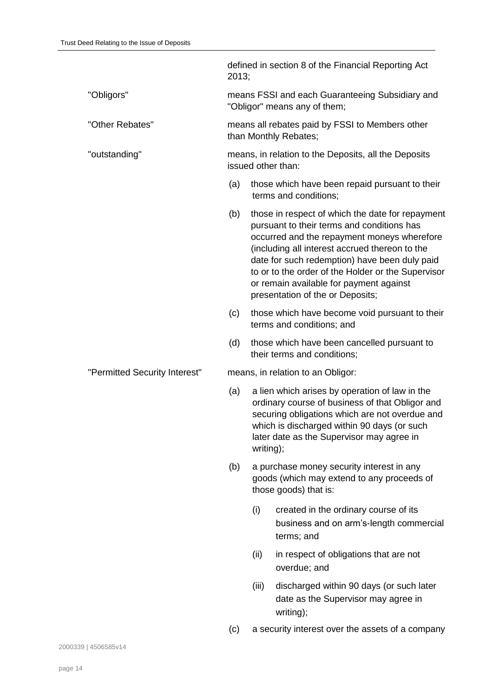|                               | 2013; |           | defined in section 8 of the Financial Reporting Act                                                                                                                                                                                                                                                                                                                                   |
|-------------------------------|-------|-----------|---------------------------------------------------------------------------------------------------------------------------------------------------------------------------------------------------------------------------------------------------------------------------------------------------------------------------------------------------------------------------------------|
| "Obligors"                    |       |           | means FSSI and each Guaranteeing Subsidiary and<br>"Obligor" means any of them;                                                                                                                                                                                                                                                                                                       |
| "Other Rebates"               |       |           | means all rebates paid by FSSI to Members other<br>than Monthly Rebates;                                                                                                                                                                                                                                                                                                              |
| "outstanding"                 |       |           | means, in relation to the Deposits, all the Deposits<br>issued other than:                                                                                                                                                                                                                                                                                                            |
|                               | (a)   |           | those which have been repaid pursuant to their<br>terms and conditions;                                                                                                                                                                                                                                                                                                               |
|                               | (b)   |           | those in respect of which the date for repayment<br>pursuant to their terms and conditions has<br>occurred and the repayment moneys wherefore<br>(including all interest accrued thereon to the<br>date for such redemption) have been duly paid<br>to or to the order of the Holder or the Supervisor<br>or remain available for payment against<br>presentation of the or Deposits; |
|                               | (c)   |           | those which have become void pursuant to their<br>terms and conditions; and                                                                                                                                                                                                                                                                                                           |
|                               | (d)   |           | those which have been cancelled pursuant to<br>their terms and conditions;                                                                                                                                                                                                                                                                                                            |
| "Permitted Security Interest" |       |           | means, in relation to an Obligor:                                                                                                                                                                                                                                                                                                                                                     |
|                               | (a)   | writing); | a lien which arises by operation of law in the<br>ordinary course of business of that Obligor and<br>securing obligations which are not overdue and<br>which is discharged within 90 days (or such<br>later date as the Supervisor may agree in                                                                                                                                       |
|                               | (b)   |           | a purchase money security interest in any<br>goods (which may extend to any proceeds of<br>those goods) that is:                                                                                                                                                                                                                                                                      |
|                               |       | (i)       | created in the ordinary course of its<br>business and on arm's-length commercial<br>terms; and                                                                                                                                                                                                                                                                                        |
|                               |       | (ii)      | in respect of obligations that are not<br>overdue; and                                                                                                                                                                                                                                                                                                                                |
|                               |       | (iii)     | discharged within 90 days (or such later<br>date as the Supervisor may agree in<br>writing);                                                                                                                                                                                                                                                                                          |
|                               | (c)   |           | a security interest over the assets of a company                                                                                                                                                                                                                                                                                                                                      |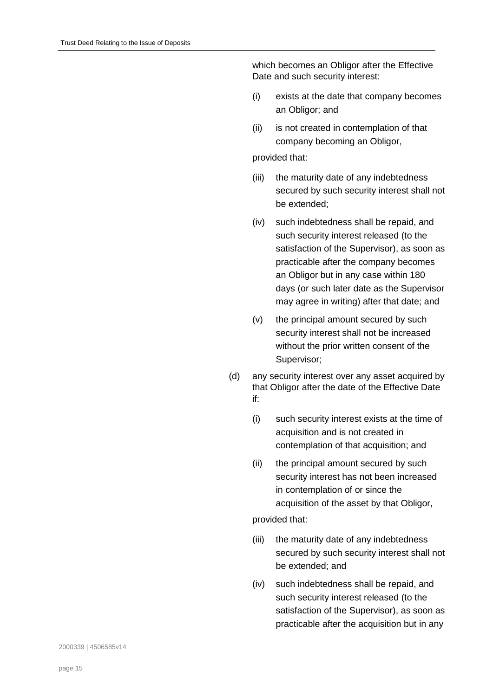which becomes an Obligor after the Effective Date and such security interest:

- (i) exists at the date that company becomes an Obligor; and
- (ii) is not created in contemplation of that company becoming an Obligor,

# provided that:

- (iii) the maturity date of any indebtedness secured by such security interest shall not be extended;
- (iv) such indebtedness shall be repaid, and such security interest released (to the satisfaction of the Supervisor), as soon as practicable after the company becomes an Obligor but in any case within 180 days (or such later date as the Supervisor may agree in writing) after that date; and
- (v) the principal amount secured by such security interest shall not be increased without the prior written consent of the Supervisor;
- (d) any security interest over any asset acquired by that Obligor after the date of the Effective Date if:
	- (i) such security interest exists at the time of acquisition and is not created in contemplation of that acquisition; and
	- (ii) the principal amount secured by such security interest has not been increased in contemplation of or since the acquisition of the asset by that Obligor,

# provided that:

- (iii) the maturity date of any indebtedness secured by such security interest shall not be extended; and
- (iv) such indebtedness shall be repaid, and such security interest released (to the satisfaction of the Supervisor), as soon as practicable after the acquisition but in any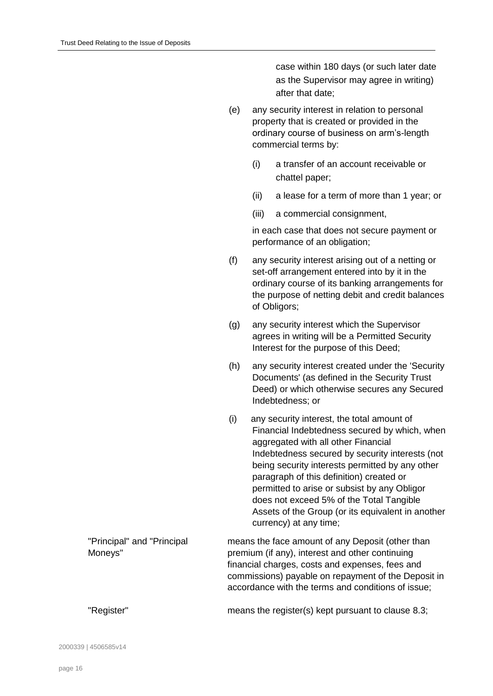case within 180 days (or such later date as the Supervisor may agree in writing) after that date;

- (e) any security interest in relation to personal property that is created or provided in the ordinary course of business on arm's-length commercial terms by:
	- (i) a transfer of an account receivable or chattel paper;
	- (ii) a lease for a term of more than 1 year; or
	- (iii) a commercial consignment,

in each case that does not secure payment or performance of an obligation;

- (f) any security interest arising out of a netting or set-off arrangement entered into by it in the ordinary course of its banking arrangements for the purpose of netting debit and credit balances of Obligors;
- (g) any security interest which the Supervisor agrees in writing will be a Permitted Security Interest for the purpose of this Deed;
- (h) any security interest created under the 'Security Documents' (as defined in the Security Trust Deed) or which otherwise secures any Secured Indebtedness; or
- (i) any security interest, the total amount of Financial Indebtedness secured by which, when aggregated with all other Financial Indebtedness secured by security interests (not being security interests permitted by any other paragraph of this definition) created or permitted to arise or subsist by any Obligor does not exceed 5% of the Total Tangible Assets of the Group (or its equivalent in another currency) at any time;

| "Principal" and "Principal | means the face amount of any Deposit (other than    |
|----------------------------|-----------------------------------------------------|
| Moneys"                    | premium (if any), interest and other continuing     |
|                            | financial charges, costs and expenses, fees and     |
|                            | commissions) payable on repayment of the Deposit in |
|                            | accordance with the terms and conditions of issue;  |
|                            |                                                     |

"Register" means the register(s) kept pursuant to clause [8.3;](#page-42-0)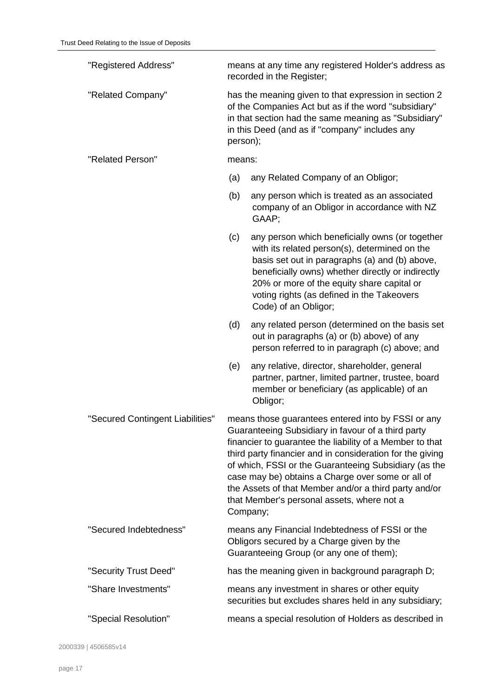| "Registered Address"             | means at any time any registered Holder's address as<br>recorded in the Register; |                                                                                                                                                                                                                                                                                                                                                                                                                                                                    |  |  |
|----------------------------------|-----------------------------------------------------------------------------------|--------------------------------------------------------------------------------------------------------------------------------------------------------------------------------------------------------------------------------------------------------------------------------------------------------------------------------------------------------------------------------------------------------------------------------------------------------------------|--|--|
| "Related Company"                |                                                                                   | has the meaning given to that expression in section 2<br>of the Companies Act but as if the word "subsidiary"<br>in that section had the same meaning as "Subsidiary"<br>in this Deed (and as if "company" includes any<br>person);                                                                                                                                                                                                                                |  |  |
| "Related Person"                 | means:                                                                            |                                                                                                                                                                                                                                                                                                                                                                                                                                                                    |  |  |
|                                  | (a)                                                                               | any Related Company of an Obligor;                                                                                                                                                                                                                                                                                                                                                                                                                                 |  |  |
|                                  | (b)                                                                               | any person which is treated as an associated<br>company of an Obligor in accordance with NZ<br>GAAP;                                                                                                                                                                                                                                                                                                                                                               |  |  |
|                                  | (c)                                                                               | any person which beneficially owns (or together<br>with its related person(s), determined on the<br>basis set out in paragraphs (a) and (b) above,<br>beneficially owns) whether directly or indirectly<br>20% or more of the equity share capital or<br>voting rights (as defined in the Takeovers<br>Code) of an Obligor;                                                                                                                                        |  |  |
|                                  | (d)                                                                               | any related person (determined on the basis set<br>out in paragraphs (a) or (b) above) of any<br>person referred to in paragraph (c) above; and                                                                                                                                                                                                                                                                                                                    |  |  |
|                                  | (e)                                                                               | any relative, director, shareholder, general<br>partner, partner, limited partner, trustee, board<br>member or beneficiary (as applicable) of an<br>Obligor;                                                                                                                                                                                                                                                                                                       |  |  |
| "Secured Contingent Liabilities" |                                                                                   | means those guarantees entered into by FSSI or any<br>Guaranteeing Subsidiary in favour of a third party<br>financier to guarantee the liability of a Member to that<br>third party financier and in consideration for the giving<br>of which, FSSI or the Guaranteeing Subsidiary (as the<br>case may be) obtains a Charge over some or all of<br>the Assets of that Member and/or a third party and/or<br>that Member's personal assets, where not a<br>Company; |  |  |
| "Secured Indebtedness"           |                                                                                   | means any Financial Indebtedness of FSSI or the<br>Obligors secured by a Charge given by the<br>Guaranteeing Group (or any one of them);                                                                                                                                                                                                                                                                                                                           |  |  |
| "Security Trust Deed"            |                                                                                   | has the meaning given in background paragraph D;                                                                                                                                                                                                                                                                                                                                                                                                                   |  |  |
| "Share Investments"              |                                                                                   | means any investment in shares or other equity<br>securities but excludes shares held in any subsidiary;                                                                                                                                                                                                                                                                                                                                                           |  |  |
| "Special Resolution"             |                                                                                   | means a special resolution of Holders as described in                                                                                                                                                                                                                                                                                                                                                                                                              |  |  |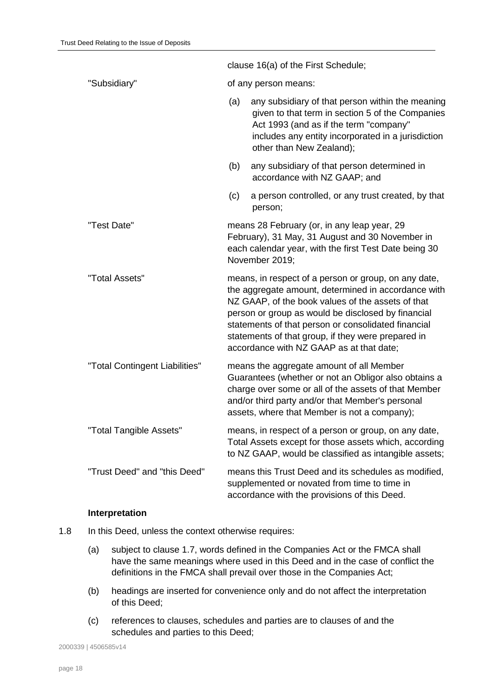|                                |                      | clause 16(a) of the First Schedule;                                                                                                                                                                                                                                                                                                                                             |
|--------------------------------|----------------------|---------------------------------------------------------------------------------------------------------------------------------------------------------------------------------------------------------------------------------------------------------------------------------------------------------------------------------------------------------------------------------|
| "Subsidiary"                   | of any person means: |                                                                                                                                                                                                                                                                                                                                                                                 |
|                                | (a)                  | any subsidiary of that person within the meaning<br>given to that term in section 5 of the Companies<br>Act 1993 (and as if the term "company"<br>includes any entity incorporated in a jurisdiction<br>other than New Zealand);                                                                                                                                                |
|                                | (b)                  | any subsidiary of that person determined in<br>accordance with NZ GAAP; and                                                                                                                                                                                                                                                                                                     |
|                                | (c)                  | a person controlled, or any trust created, by that<br>person;                                                                                                                                                                                                                                                                                                                   |
| "Test Date"                    |                      | means 28 February (or, in any leap year, 29<br>February), 31 May, 31 August and 30 November in<br>each calendar year, with the first Test Date being 30<br>November 2019;                                                                                                                                                                                                       |
| "Total Assets"                 |                      | means, in respect of a person or group, on any date,<br>the aggregate amount, determined in accordance with<br>NZ GAAP, of the book values of the assets of that<br>person or group as would be disclosed by financial<br>statements of that person or consolidated financial<br>statements of that group, if they were prepared in<br>accordance with NZ GAAP as at that date; |
| "Total Contingent Liabilities" |                      | means the aggregate amount of all Member<br>Guarantees (whether or not an Obligor also obtains a<br>charge over some or all of the assets of that Member<br>and/or third party and/or that Member's personal<br>assets, where that Member is not a company);                                                                                                                    |
| "Total Tangible Assets"        |                      | means, in respect of a person or group, on any date,<br>Total Assets except for those assets which, according<br>to NZ GAAP, would be classified as intangible assets;                                                                                                                                                                                                          |
| "Trust Deed" and "this Deed"   |                      | means this Trust Deed and its schedules as modified,<br>supplemented or novated from time to time in<br>accordance with the provisions of this Deed.                                                                                                                                                                                                                            |

#### **Interpretation**

- 1.8 In this Deed, unless the context otherwise requires:
	- (a) subject to clause [1.7,](#page-5-0) words defined in the Companies Act or the FMCA shall have the same meanings where used in this Deed and in the case of conflict the definitions in the FMCA shall prevail over those in the Companies Act;
	- (b) headings are inserted for convenience only and do not affect the interpretation of this Deed;
	- (c) references to clauses, schedules and parties are to clauses of and the schedules and parties to this Deed;

2000339 | 4506585v14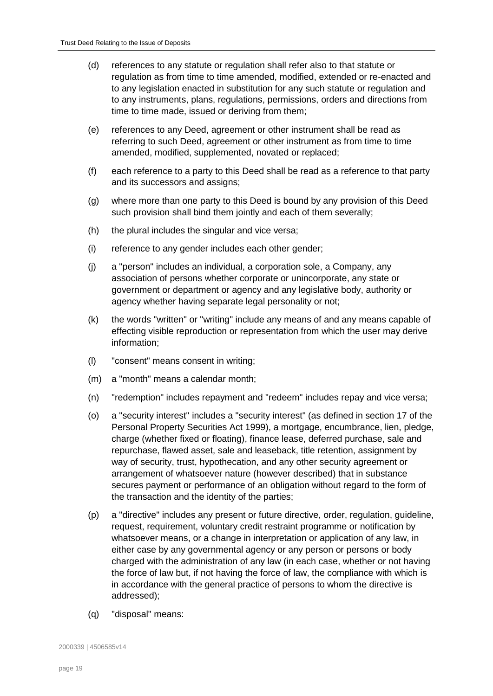- (d) references to any statute or regulation shall refer also to that statute or regulation as from time to time amended, modified, extended or re-enacted and to any legislation enacted in substitution for any such statute or regulation and to any instruments, plans, regulations, permissions, orders and directions from time to time made, issued or deriving from them;
- (e) references to any Deed, agreement or other instrument shall be read as referring to such Deed, agreement or other instrument as from time to time amended, modified, supplemented, novated or replaced;
- (f) each reference to a party to this Deed shall be read as a reference to that party and its successors and assigns;
- (g) where more than one party to this Deed is bound by any provision of this Deed such provision shall bind them jointly and each of them severally;
- (h) the plural includes the singular and vice versa;
- (i) reference to any gender includes each other gender;
- (j) a "person" includes an individual, a corporation sole, a Company, any association of persons whether corporate or unincorporate, any state or government or department or agency and any legislative body, authority or agency whether having separate legal personality or not;
- (k) the words "written" or "writing" include any means of and any means capable of effecting visible reproduction or representation from which the user may derive information;
- (l) "consent" means consent in writing;
- (m) a "month" means a calendar month;
- (n) "redemption" includes repayment and "redeem" includes repay and vice versa;
- (o) a "security interest" includes a "security interest" (as defined in section 17 of the Personal Property Securities Act 1999), a mortgage, encumbrance, lien, pledge, charge (whether fixed or floating), finance lease, deferred purchase, sale and repurchase, flawed asset, sale and leaseback, title retention, assignment by way of security, trust, hypothecation, and any other security agreement or arrangement of whatsoever nature (however described) that in substance secures payment or performance of an obligation without regard to the form of the transaction and the identity of the parties;
- (p) a "directive" includes any present or future directive, order, regulation, guideline, request, requirement, voluntary credit restraint programme or notification by whatsoever means, or a change in interpretation or application of any law, in either case by any governmental agency or any person or persons or body charged with the administration of any law (in each case, whether or not having the force of law but, if not having the force of law, the compliance with which is in accordance with the general practice of persons to whom the directive is addressed);
- (q) "disposal" means: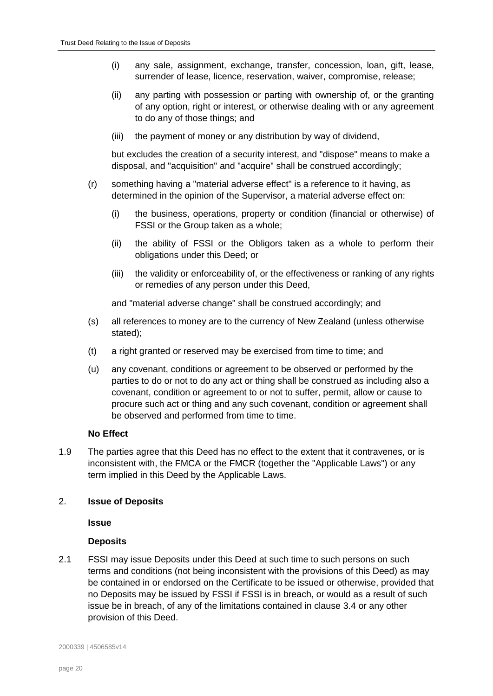- (i) any sale, assignment, exchange, transfer, concession, loan, gift, lease, surrender of lease, licence, reservation, waiver, compromise, release;
- (ii) any parting with possession or parting with ownership of, or the granting of any option, right or interest, or otherwise dealing with or any agreement to do any of those things; and
- (iii) the payment of money or any distribution by way of dividend,

but excludes the creation of a security interest, and "dispose" means to make a disposal, and "acquisition" and "acquire" shall be construed accordingly;

- (r) something having a "material adverse effect" is a reference to it having, as determined in the opinion of the Supervisor, a material adverse effect on:
	- (i) the business, operations, property or condition (financial or otherwise) of FSSI or the Group taken as a whole;
	- (ii) the ability of FSSI or the Obligors taken as a whole to perform their obligations under this Deed; or
	- (iii) the validity or enforceability of, or the effectiveness or ranking of any rights or remedies of any person under this Deed,

and "material adverse change" shall be construed accordingly; and

- (s) all references to money are to the currency of New Zealand (unless otherwise stated);
- (t) a right granted or reserved may be exercised from time to time; and
- (u) any covenant, conditions or agreement to be observed or performed by the parties to do or not to do any act or thing shall be construed as including also a covenant, condition or agreement to or not to suffer, permit, allow or cause to procure such act or thing and any such covenant, condition or agreement shall be observed and performed from time to time.

#### **No Effect**

<span id="page-19-1"></span>1.9 The parties agree that this Deed has no effect to the extent that it contravenes, or is inconsistent with, the FMCA or the FMCR (together the "Applicable Laws") or any term implied in this Deed by the Applicable Laws.

#### <span id="page-19-0"></span>2. **Issue of Deposits**

**Issue**

#### **Deposits**

2.1 FSSI may issue Deposits under this Deed at such time to such persons on such terms and conditions (not being inconsistent with the provisions of this Deed) as may be contained in or endorsed on the Certificate to be issued or otherwise, provided that no Deposits may be issued by FSSI if FSSI is in breach, or would as a result of such issue be in breach, of any of the limitations contained in clause [3.4](#page-27-0) or any other provision of this Deed.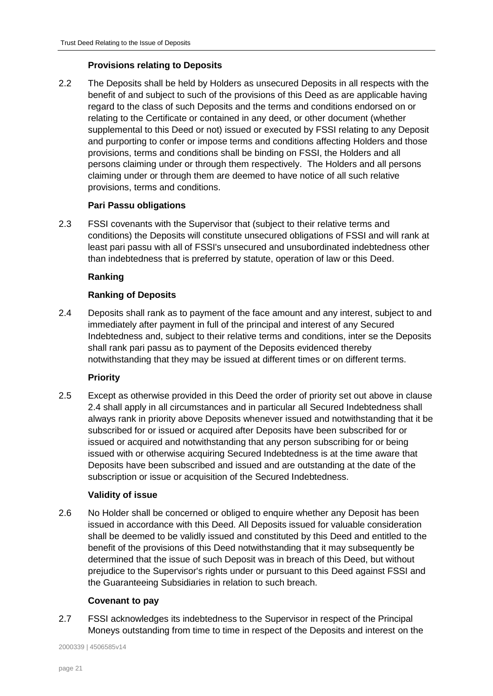# **Provisions relating to Deposits**

2.2 The Deposits shall be held by Holders as unsecured Deposits in all respects with the benefit of and subject to such of the provisions of this Deed as are applicable having regard to the class of such Deposits and the terms and conditions endorsed on or relating to the Certificate or contained in any deed, or other document (whether supplemental to this Deed or not) issued or executed by FSSI relating to any Deposit and purporting to confer or impose terms and conditions affecting Holders and those provisions, terms and conditions shall be binding on FSSI, the Holders and all persons claiming under or through them respectively. The Holders and all persons claiming under or through them are deemed to have notice of all such relative provisions, terms and conditions.

# **Pari Passu obligations**

2.3 FSSI covenants with the Supervisor that (subject to their relative terms and conditions) the Deposits will constitute unsecured obligations of FSSI and will rank at least pari passu with all of FSSI's unsecured and unsubordinated indebtedness other than indebtedness that is preferred by statute, operation of law or this Deed.

# **Ranking**

# **Ranking of Deposits**

<span id="page-20-0"></span>2.4 Deposits shall rank as to payment of the face amount and any interest, subject to and immediately after payment in full of the principal and interest of any Secured Indebtedness and, subject to their relative terms and conditions, inter se the Deposits shall rank pari passu as to payment of the Deposits evidenced thereby notwithstanding that they may be issued at different times or on different terms.

# **Priority**

2.5 Except as otherwise provided in this Deed the order of priority set out above in clause [2.4](#page-20-0) shall apply in all circumstances and in particular all Secured Indebtedness shall always rank in priority above Deposits whenever issued and notwithstanding that it be subscribed for or issued or acquired after Deposits have been subscribed for or issued or acquired and notwithstanding that any person subscribing for or being issued with or otherwise acquiring Secured Indebtedness is at the time aware that Deposits have been subscribed and issued and are outstanding at the date of the subscription or issue or acquisition of the Secured Indebtedness.

# **Validity of issue**

2.6 No Holder shall be concerned or obliged to enquire whether any Deposit has been issued in accordance with this Deed. All Deposits issued for valuable consideration shall be deemed to be validly issued and constituted by this Deed and entitled to the benefit of the provisions of this Deed notwithstanding that it may subsequently be determined that the issue of such Deposit was in breach of this Deed, but without prejudice to the Supervisor's rights under or pursuant to this Deed against FSSI and the Guaranteeing Subsidiaries in relation to such breach.

# **Covenant to pay**

<span id="page-20-1"></span>2.7 FSSI acknowledges its indebtedness to the Supervisor in respect of the Principal Moneys outstanding from time to time in respect of the Deposits and interest on the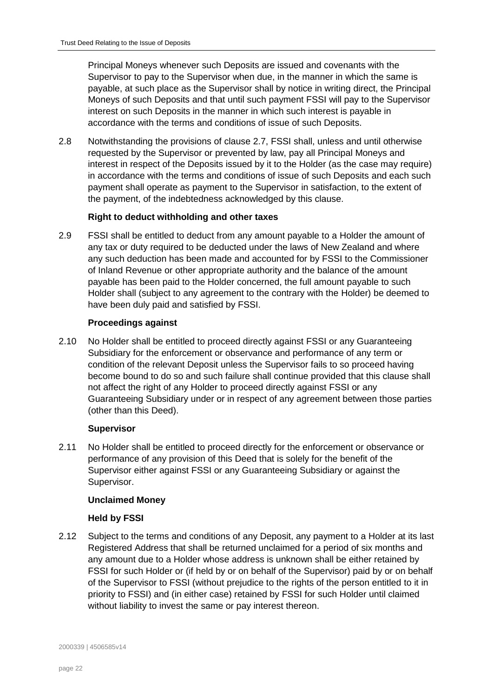Principal Moneys whenever such Deposits are issued and covenants with the Supervisor to pay to the Supervisor when due, in the manner in which the same is payable, at such place as the Supervisor shall by notice in writing direct, the Principal Moneys of such Deposits and that until such payment FSSI will pay to the Supervisor interest on such Deposits in the manner in which such interest is payable in accordance with the terms and conditions of issue of such Deposits.

2.8 Notwithstanding the provisions of clause [2.7,](#page-20-1) FSSI shall, unless and until otherwise requested by the Supervisor or prevented by law, pay all Principal Moneys and interest in respect of the Deposits issued by it to the Holder (as the case may require) in accordance with the terms and conditions of issue of such Deposits and each such payment shall operate as payment to the Supervisor in satisfaction, to the extent of the payment, of the indebtedness acknowledged by this clause.

# **Right to deduct withholding and other taxes**

2.9 FSSI shall be entitled to deduct from any amount payable to a Holder the amount of any tax or duty required to be deducted under the laws of New Zealand and where any such deduction has been made and accounted for by FSSI to the Commissioner of Inland Revenue or other appropriate authority and the balance of the amount payable has been paid to the Holder concerned, the full amount payable to such Holder shall (subject to any agreement to the contrary with the Holder) be deemed to have been duly paid and satisfied by FSSI.

# **Proceedings against**

<span id="page-21-0"></span>2.10 No Holder shall be entitled to proceed directly against FSSI or any Guaranteeing Subsidiary for the enforcement or observance and performance of any term or condition of the relevant Deposit unless the Supervisor fails to so proceed having become bound to do so and such failure shall continue provided that this clause shall not affect the right of any Holder to proceed directly against FSSI or any Guaranteeing Subsidiary under or in respect of any agreement between those parties (other than this Deed).

# **Supervisor**

2.11 No Holder shall be entitled to proceed directly for the enforcement or observance or performance of any provision of this Deed that is solely for the benefit of the Supervisor either against FSSI or any Guaranteeing Subsidiary or against the Supervisor.

# **Unclaimed Money**

# **Held by FSSI**

<span id="page-21-1"></span>2.12 Subject to the terms and conditions of any Deposit, any payment to a Holder at its last Registered Address that shall be returned unclaimed for a period of six months and any amount due to a Holder whose address is unknown shall be either retained by FSSI for such Holder or (if held by or on behalf of the Supervisor) paid by or on behalf of the Supervisor to FSSI (without prejudice to the rights of the person entitled to it in priority to FSSI) and (in either case) retained by FSSI for such Holder until claimed without liability to invest the same or pay interest thereon.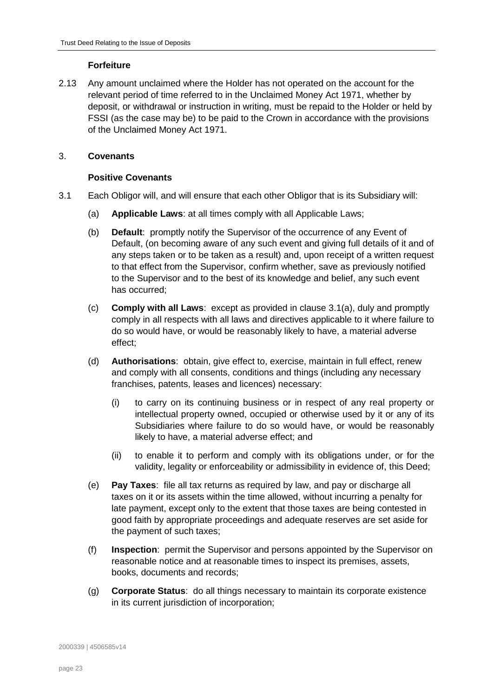# **Forfeiture**

2.13 Any amount unclaimed where the Holder has not operated on the account for the relevant period of time referred to in the Unclaimed Money Act 1971, whether by deposit, or withdrawal or instruction in writing, must be repaid to the Holder or held by FSSI (as the case may be) to be paid to the Crown in accordance with the provisions of the Unclaimed Money Act 1971.

# <span id="page-22-0"></span>3. **Covenants**

# **Positive Covenants**

- <span id="page-22-1"></span>3.1 Each Obligor will, and will ensure that each other Obligor that is its Subsidiary will:
	- (a) **Applicable Laws**: at all times comply with all Applicable Laws;
	- (b) **Default**: promptly notify the Supervisor of the occurrence of any Event of Default, (on becoming aware of any such event and giving full details of it and of any steps taken or to be taken as a result) and, upon receipt of a written request to that effect from the Supervisor, confirm whether, save as previously notified to the Supervisor and to the best of its knowledge and belief, any such event has occurred;
	- (c) **Comply with all Laws**: except as provided in clause [3.1\(a\),](#page-22-1) duly and promptly comply in all respects with all laws and directives applicable to it where failure to do so would have, or would be reasonably likely to have, a material adverse effect;
	- (d) **Authorisations**: obtain, give effect to, exercise, maintain in full effect, renew and comply with all consents, conditions and things (including any necessary franchises, patents, leases and licences) necessary:
		- (i) to carry on its continuing business or in respect of any real property or intellectual property owned, occupied or otherwise used by it or any of its Subsidiaries where failure to do so would have, or would be reasonably likely to have, a material adverse effect; and
		- (ii) to enable it to perform and comply with its obligations under, or for the validity, legality or enforceability or admissibility in evidence of, this Deed;
	- (e) **Pay Taxes**: file all tax returns as required by law, and pay or discharge all taxes on it or its assets within the time allowed, without incurring a penalty for late payment, except only to the extent that those taxes are being contested in good faith by appropriate proceedings and adequate reserves are set aside for the payment of such taxes;
	- (f) **Inspection**: permit the Supervisor and persons appointed by the Supervisor on reasonable notice and at reasonable times to inspect its premises, assets, books, documents and records;
	- (g) **Corporate Status**: do all things necessary to maintain its corporate existence in its current jurisdiction of incorporation;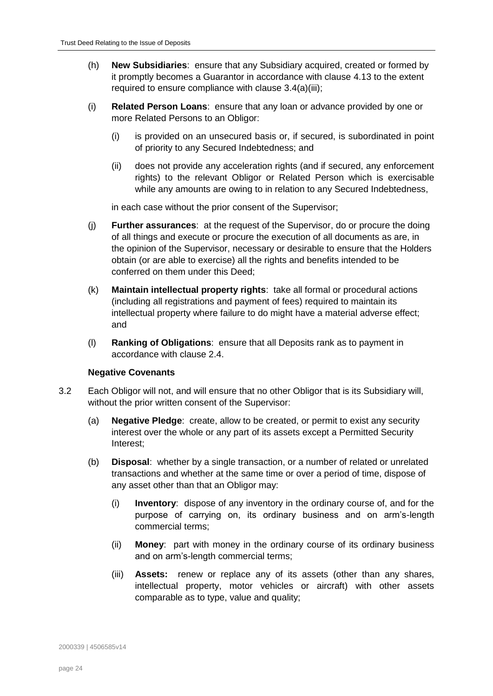- (h) **New Subsidiaries**: ensure that any Subsidiary acquired, created or formed by it promptly becomes a Guarantor in accordance with clause [4.13](#page-32-0) to the extent required to ensure compliance with clause [3.4\(a\)\(iii\);](#page-27-1)
- (i) **Related Person Loans**: ensure that any loan or advance provided by one or more Related Persons to an Obligor:
	- (i) is provided on an unsecured basis or, if secured, is subordinated in point of priority to any Secured Indebtedness; and
	- (ii) does not provide any acceleration rights (and if secured, any enforcement rights) to the relevant Obligor or Related Person which is exercisable while any amounts are owing to in relation to any Secured Indebtedness,

in each case without the prior consent of the Supervisor;

- (j) **Further assurances**: at the request of the Supervisor, do or procure the doing of all things and execute or procure the execution of all documents as are, in the opinion of the Supervisor, necessary or desirable to ensure that the Holders obtain (or are able to exercise) all the rights and benefits intended to be conferred on them under this Deed;
- (k) **Maintain intellectual property rights**: take all formal or procedural actions (including all registrations and payment of fees) required to maintain its intellectual property where failure to do might have a material adverse effect; and
- (l) **Ranking of Obligations**: ensure that all Deposits rank as to payment in accordance with clause [2.4.](#page-20-0)

#### **Negative Covenants**

- <span id="page-23-1"></span><span id="page-23-0"></span>3.2 Each Obligor will not, and will ensure that no other Obligor that is its Subsidiary will, without the prior written consent of the Supervisor:
	- (a) **Negative Pledge**: create, allow to be created, or permit to exist any security interest over the whole or any part of its assets except a Permitted Security Interest;
	- (b) **Disposal**: whether by a single transaction, or a number of related or unrelated transactions and whether at the same time or over a period of time, dispose of any asset other than that an Obligor may:
		- (i) **Inventory**: dispose of any inventory in the ordinary course of, and for the purpose of carrying on, its ordinary business and on arm's-length commercial terms;
		- (ii) **Money**: part with money in the ordinary course of its ordinary business and on arm's-length commercial terms;
		- (iii) **Assets:** renew or replace any of its assets (other than any shares, intellectual property, motor vehicles or aircraft) with other assets comparable as to type, value and quality;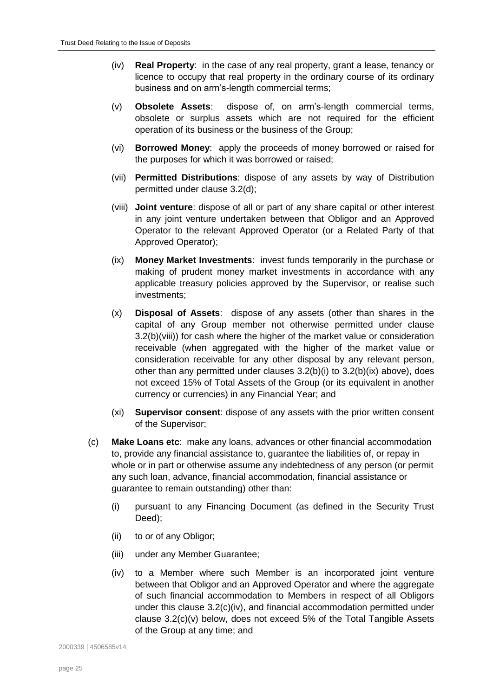- <span id="page-24-3"></span>(iv) **Real Property**: in the case of any real property, grant a lease, tenancy or licence to occupy that real property in the ordinary course of its ordinary business and on arm's-length commercial terms;
- (v) **Obsolete Assets**: dispose of, on arm's-length commercial terms, obsolete or surplus assets which are not required for the efficient operation of its business or the business of the Group;
- (vi) **Borrowed Money**: apply the proceeds of money borrowed or raised for the purposes for which it was borrowed or raised;
- (vii) **Permitted Distributions**: dispose of any assets by way of Distribution permitted under clause [3.2\(d\);](#page-25-0)
- <span id="page-24-0"></span>(viii) **Joint venture**: dispose of all or part of any share capital or other interest in any joint venture undertaken between that Obligor and an Approved Operator to the relevant Approved Operator (or a Related Party of that Approved Operator);
- <span id="page-24-1"></span>(ix) **Money Market Investments**: invest funds temporarily in the purchase or making of prudent money market investments in accordance with any applicable treasury policies approved by the Supervisor, or realise such investments;
- (x) **Disposal of Assets**: dispose of any assets (other than shares in the capital of any Group member not otherwise permitted under clause [3.2\(b\)\(viii\)\)](#page-24-0) for cash where the higher of the market value or consideration receivable (when aggregated with the higher of the market value or consideration receivable for any other disposal by any relevant person, other than any permitted under clauses  $3.2(b)(i)$  to  $3.2(b)(ix)$  above), does not exceed 15% of Total Assets of the Group (or its equivalent in another currency or currencies) in any Financial Year; and
- (xi) **Supervisor consent**: dispose of any assets with the prior written consent of the Supervisor;
- <span id="page-24-6"></span><span id="page-24-5"></span><span id="page-24-4"></span><span id="page-24-2"></span>(c) **Make Loans etc**: make any loans, advances or other financial accommodation to, provide any financial assistance to, guarantee the liabilities of, or repay in whole or in part or otherwise assume any indebtedness of any person (or permit any such loan, advance, financial accommodation, financial assistance or guarantee to remain outstanding) other than:
	- (i) pursuant to any Financing Document (as defined in the Security Trust Deed);
	- (ii) to or of any Obligor;
	- (iii) under any Member Guarantee;
	- (iv) to a Member where such Member is an incorporated joint venture between that Obligor and an Approved Operator and where the aggregate of such financial accommodation to Members in respect of all Obligors under this clause [3.2\(c\)\(iv\),](#page-24-2) and financial accommodation permitted under clause [3.2\(c\)\(v\)](#page-24-3) below, does not exceed 5% of the Total Tangible Assets of the Group at any time; and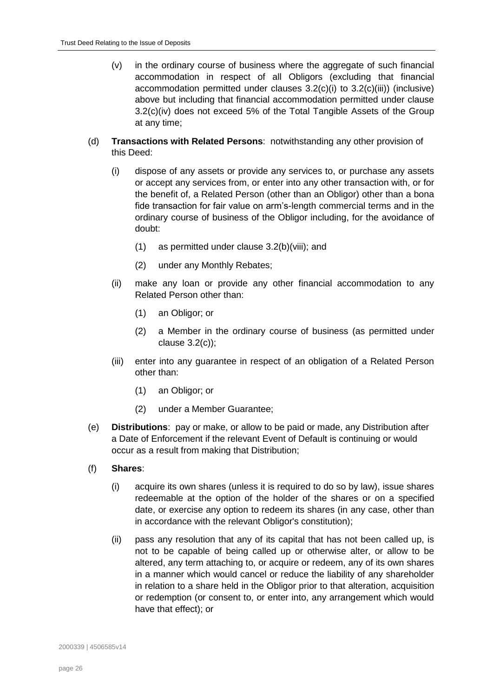- (v) in the ordinary course of business where the aggregate of such financial accommodation in respect of all Obligors (excluding that financial accommodation permitted under clauses [3.2\(c\)\(i\)](#page-24-4) to [3.2\(c\)\(iii\)\)](#page-24-5) (inclusive) above but including that financial accommodation permitted under clause [3.2\(c\)\(iv\)](#page-24-2) does not exceed 5% of the Total Tangible Assets of the Group at any time;
- <span id="page-25-0"></span>(d) **Transactions with Related Persons**: notwithstanding any other provision of this Deed:
	- (i) dispose of any assets or provide any services to, or purchase any assets or accept any services from, or enter into any other transaction with, or for the benefit of, a Related Person (other than an Obligor) other than a bona fide transaction for fair value on arm's-length commercial terms and in the ordinary course of business of the Obligor including, for the avoidance of doubt:
		- (1) as permitted under clause [3.2\(b\)\(viii\);](#page-24-0) and
		- (2) under any Monthly Rebates;
	- (ii) make any loan or provide any other financial accommodation to any Related Person other than:
		- (1) an Obligor; or
		- (2) a Member in the ordinary course of business (as permitted under clause [3.2\(c\)\)](#page-24-6);
	- (iii) enter into any guarantee in respect of an obligation of a Related Person other than:
		- (1) an Obligor; or
		- (2) under a Member Guarantee;
- (e) **Distributions**: pay or make, or allow to be paid or made, any Distribution after a Date of Enforcement if the relevant Event of Default is continuing or would occur as a result from making that Distribution;
- (f) **Shares**:
	- (i) acquire its own shares (unless it is required to do so by law), issue shares redeemable at the option of the holder of the shares or on a specified date, or exercise any option to redeem its shares (in any case, other than in accordance with the relevant Obligor's constitution);
	- (ii) pass any resolution that any of its capital that has not been called up, is not to be capable of being called up or otherwise alter, or allow to be altered, any term attaching to, or acquire or redeem, any of its own shares in a manner which would cancel or reduce the liability of any shareholder in relation to a share held in the Obligor prior to that alteration, acquisition or redemption (or consent to, or enter into, any arrangement which would have that effect); or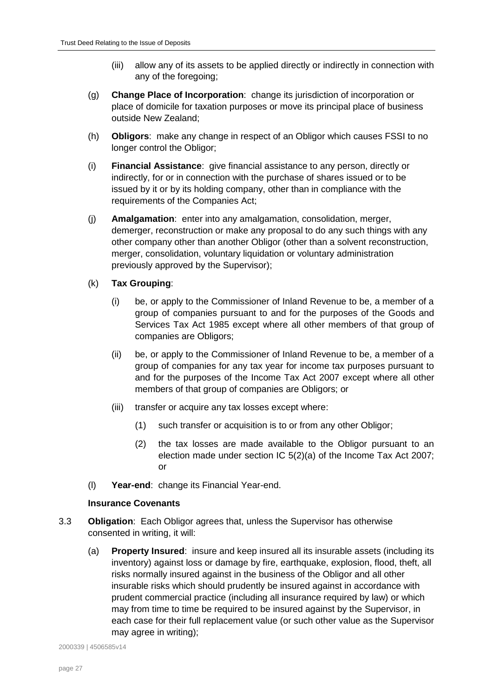- (iii) allow any of its assets to be applied directly or indirectly in connection with any of the foregoing;
- (g) **Change Place of Incorporation**: change its jurisdiction of incorporation or place of domicile for taxation purposes or move its principal place of business outside New Zealand;
- (h) **Obligors**: make any change in respect of an Obligor which causes FSSI to no longer control the Obligor;
- (i) **Financial Assistance**: give financial assistance to any person, directly or indirectly, for or in connection with the purchase of shares issued or to be issued by it or by its holding company, other than in compliance with the requirements of the Companies Act;
- (j) **Amalgamation**: enter into any amalgamation, consolidation, merger, demerger, reconstruction or make any proposal to do any such things with any other company other than another Obligor (other than a solvent reconstruction, merger, consolidation, voluntary liquidation or voluntary administration previously approved by the Supervisor);
- (k) **Tax Grouping**:
	- (i) be, or apply to the Commissioner of Inland Revenue to be, a member of a group of companies pursuant to and for the purposes of the Goods and Services Tax Act 1985 except where all other members of that group of companies are Obligors;
	- (ii) be, or apply to the Commissioner of Inland Revenue to be, a member of a group of companies for any tax year for income tax purposes pursuant to and for the purposes of the Income Tax Act 2007 except where all other members of that group of companies are Obligors; or
	- (iii) transfer or acquire any tax losses except where:
		- (1) such transfer or acquisition is to or from any other Obligor;
		- (2) the tax losses are made available to the Obligor pursuant to an election made under section IC 5(2)(a) of the Income Tax Act 2007; or
- (l) **Year-end**: change its Financial Year-end.

# **Insurance Covenants**

- <span id="page-26-0"></span>3.3 **Obligation**: Each Obligor agrees that, unless the Supervisor has otherwise consented in writing, it will:
	- (a) **Property Insured**: insure and keep insured all its insurable assets (including its inventory) against loss or damage by fire, earthquake, explosion, flood, theft, all risks normally insured against in the business of the Obligor and all other insurable risks which should prudently be insured against in accordance with prudent commercial practice (including all insurance required by law) or which may from time to time be required to be insured against by the Supervisor, in each case for their full replacement value (or such other value as the Supervisor may agree in writing);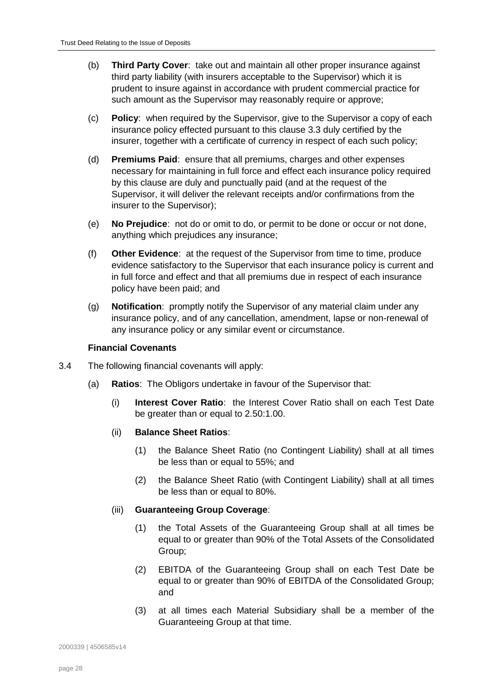- <span id="page-27-2"></span>(b) **Third Party Cover**: take out and maintain all other proper insurance against third party liability (with insurers acceptable to the Supervisor) which it is prudent to insure against in accordance with prudent commercial practice for such amount as the Supervisor may reasonably require or approve;
- (c) **Policy**: when required by the Supervisor, give to the Supervisor a copy of each insurance policy effected pursuant to this clause [3.3](#page-26-0) duly certified by the insurer, together with a certificate of currency in respect of each such policy;
- (d) **Premiums Paid**: ensure that all premiums, charges and other expenses necessary for maintaining in full force and effect each insurance policy required by this clause are duly and punctually paid (and at the request of the Supervisor, it will deliver the relevant receipts and/or confirmations from the insurer to the Supervisor);
- (e) **No Prejudice**: not do or omit to do, or permit to be done or occur or not done, anything which prejudices any insurance;
- (f) **Other Evidence**: at the request of the Supervisor from time to time, produce evidence satisfactory to the Supervisor that each insurance policy is current and in full force and effect and that all premiums due in respect of each insurance policy have been paid; and
- (g) **Notification**: promptly notify the Supervisor of any material claim under any insurance policy, and of any cancellation, amendment, lapse or non-renewal of any insurance policy or any similar event or circumstance.

#### **Financial Covenants**

- <span id="page-27-3"></span><span id="page-27-0"></span>3.4 The following financial covenants will apply:
	- (a) **Ratios**: The Obligors undertake in favour of the Supervisor that:
		- (i) **Interest Cover Ratio**: the Interest Cover Ratio shall on each Test Date be greater than or equal to 2.50:1.00.
		- (ii) **Balance Sheet Ratios**:
			- (1) the Balance Sheet Ratio (no Contingent Liability) shall at all times be less than or equal to 55%; and
			- (2) the Balance Sheet Ratio (with Contingent Liability) shall at all times be less than or equal to 80%.

#### <span id="page-27-5"></span><span id="page-27-4"></span><span id="page-27-1"></span>(iii) **Guaranteeing Group Coverage**:

- (1) the Total Assets of the Guaranteeing Group shall at all times be equal to or greater than 90% of the Total Assets of the Consolidated Group;
- (2) EBITDA of the Guaranteeing Group shall on each Test Date be equal to or greater than 90% of EBITDA of the Consolidated Group; and
- (3) at all times each Material Subsidiary shall be a member of the Guaranteeing Group at that time.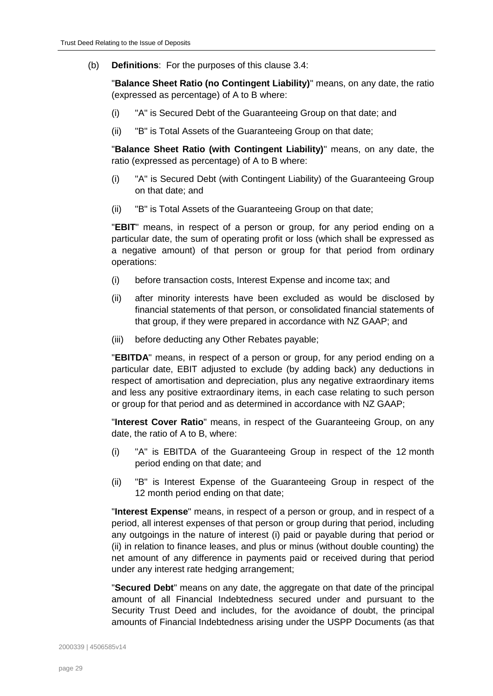(b) **Definitions**: For the purposes of this clause [3.4:](#page-27-0)

"**Balance Sheet Ratio (no Contingent Liability)**" means, on any date, the ratio (expressed as percentage) of A to B where:

- (i) "A" is Secured Debt of the Guaranteeing Group on that date; and
- (ii) "B" is Total Assets of the Guaranteeing Group on that date;

"**Balance Sheet Ratio (with Contingent Liability)**" means, on any date, the ratio (expressed as percentage) of A to B where:

- (i) "A" is Secured Debt (with Contingent Liability) of the Guaranteeing Group on that date; and
- (ii) "B" is Total Assets of the Guaranteeing Group on that date;

"**EBIT**" means, in respect of a person or group, for any period ending on a particular date, the sum of operating profit or loss (which shall be expressed as a negative amount) of that person or group for that period from ordinary operations:

- (i) before transaction costs, Interest Expense and income tax; and
- (ii) after minority interests have been excluded as would be disclosed by financial statements of that person, or consolidated financial statements of that group, if they were prepared in accordance with NZ GAAP; and
- (iii) before deducting any Other Rebates payable;

"**EBITDA**" means, in respect of a person or group, for any period ending on a particular date, EBIT adjusted to exclude (by adding back) any deductions in respect of amortisation and depreciation, plus any negative extraordinary items and less any positive extraordinary items, in each case relating to such person or group for that period and as determined in accordance with NZ GAAP;

"**Interest Cover Ratio**" means, in respect of the Guaranteeing Group, on any date, the ratio of A to B, where:

- (i) "A" is EBITDA of the Guaranteeing Group in respect of the 12 month period ending on that date; and
- (ii) "B" is Interest Expense of the Guaranteeing Group in respect of the 12 month period ending on that date;

"**Interest Expense**" means, in respect of a person or group, and in respect of a period, all interest expenses of that person or group during that period, including any outgoings in the nature of interest (i) paid or payable during that period or (ii) in relation to finance leases, and plus or minus (without double counting) the net amount of any difference in payments paid or received during that period under any interest rate hedging arrangement;

"**Secured Debt**" means on any date, the aggregate on that date of the principal amount of all Financial Indebtedness secured under and pursuant to the Security Trust Deed and includes, for the avoidance of doubt, the principal amounts of Financial Indebtedness arising under the USPP Documents (as that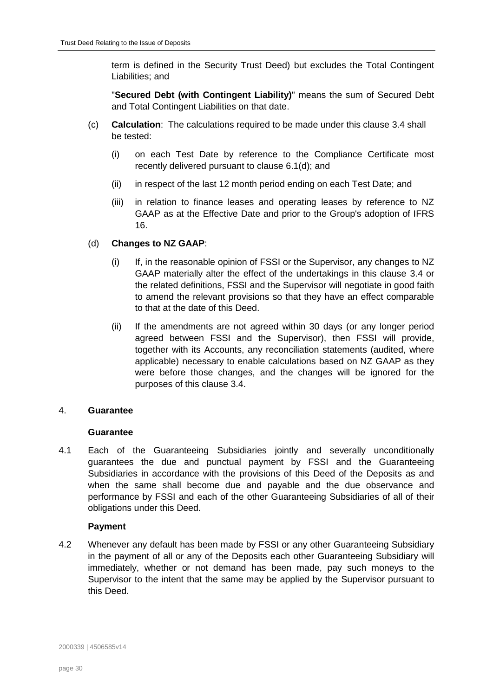term is defined in the Security Trust Deed) but excludes the Total Contingent Liabilities; and

"**Secured Debt (with Contingent Liability)**" means the sum of Secured Debt and Total Contingent Liabilities on that date.

- (c) **Calculation**: The calculations required to be made under this clause [3.4](#page-27-0) shall be tested:
	- (i) on each Test Date by reference to the Compliance Certificate most recently delivered pursuant to clause [6.1\(d\);](#page-36-1) and
	- (ii) in respect of the last 12 month period ending on each Test Date; and
	- (iii) in relation to finance leases and operating leases by reference to NZ GAAP as at the Effective Date and prior to the Group's adoption of IFRS 16.

# <span id="page-29-1"></span>(d) **Changes to NZ GAAP**:

- (i) If, in the reasonable opinion of FSSI or the Supervisor, any changes to NZ GAAP materially alter the effect of the undertakings in this clause [3.4](#page-27-0) or the related definitions, FSSI and the Supervisor will negotiate in good faith to amend the relevant provisions so that they have an effect comparable to that at the date of this Deed.
- (ii) If the amendments are not agreed within 30 days (or any longer period agreed between FSSI and the Supervisor), then FSSI will provide, together with its Accounts, any reconciliation statements (audited, where applicable) necessary to enable calculations based on NZ GAAP as they were before those changes, and the changes will be ignored for the purposes of this clause [3.4.](#page-27-0)

# <span id="page-29-0"></span>4. **Guarantee**

# **Guarantee**

4.1 Each of the Guaranteeing Subsidiaries jointly and severally unconditionally guarantees the due and punctual payment by FSSI and the Guaranteeing Subsidiaries in accordance with the provisions of this Deed of the Deposits as and when the same shall become due and payable and the due observance and performance by FSSI and each of the other Guaranteeing Subsidiaries of all of their obligations under this Deed.

# **Payment**

4.2 Whenever any default has been made by FSSI or any other Guaranteeing Subsidiary in the payment of all or any of the Deposits each other Guaranteeing Subsidiary will immediately, whether or not demand has been made, pay such moneys to the Supervisor to the intent that the same may be applied by the Supervisor pursuant to this Deed.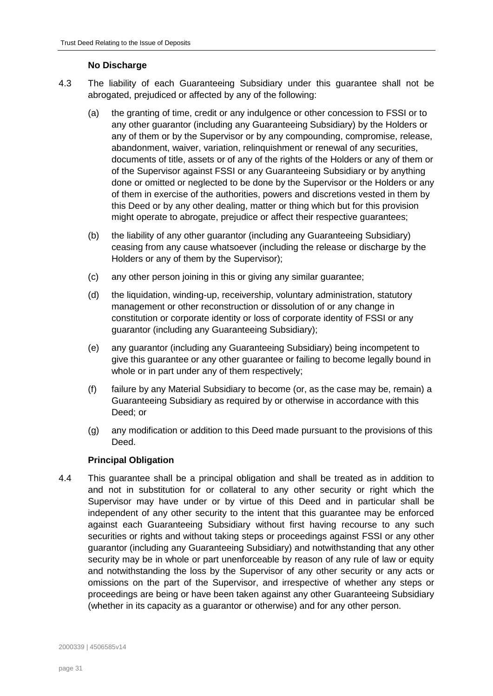# **No Discharge**

- 4.3 The liability of each Guaranteeing Subsidiary under this guarantee shall not be abrogated, prejudiced or affected by any of the following:
	- (a) the granting of time, credit or any indulgence or other concession to FSSI or to any other guarantor (including any Guaranteeing Subsidiary) by the Holders or any of them or by the Supervisor or by any compounding, compromise, release, abandonment, waiver, variation, relinquishment or renewal of any securities, documents of title, assets or of any of the rights of the Holders or any of them or of the Supervisor against FSSI or any Guaranteeing Subsidiary or by anything done or omitted or neglected to be done by the Supervisor or the Holders or any of them in exercise of the authorities, powers and discretions vested in them by this Deed or by any other dealing, matter or thing which but for this provision might operate to abrogate, prejudice or affect their respective guarantees;
	- (b) the liability of any other guarantor (including any Guaranteeing Subsidiary) ceasing from any cause whatsoever (including the release or discharge by the Holders or any of them by the Supervisor);
	- (c) any other person joining in this or giving any similar guarantee;
	- (d) the liquidation, winding-up, receivership, voluntary administration, statutory management or other reconstruction or dissolution of or any change in constitution or corporate identity or loss of corporate identity of FSSI or any guarantor (including any Guaranteeing Subsidiary);
	- (e) any guarantor (including any Guaranteeing Subsidiary) being incompetent to give this guarantee or any other guarantee or failing to become legally bound in whole or in part under any of them respectively;
	- (f) failure by any Material Subsidiary to become (or, as the case may be, remain) a Guaranteeing Subsidiary as required by or otherwise in accordance with this Deed; or
	- (g) any modification or addition to this Deed made pursuant to the provisions of this Deed.

# **Principal Obligation**

4.4 This guarantee shall be a principal obligation and shall be treated as in addition to and not in substitution for or collateral to any other security or right which the Supervisor may have under or by virtue of this Deed and in particular shall be independent of any other security to the intent that this guarantee may be enforced against each Guaranteeing Subsidiary without first having recourse to any such securities or rights and without taking steps or proceedings against FSSI or any other guarantor (including any Guaranteeing Subsidiary) and notwithstanding that any other security may be in whole or part unenforceable by reason of any rule of law or equity and notwithstanding the loss by the Supervisor of any other security or any acts or omissions on the part of the Supervisor, and irrespective of whether any steps or proceedings are being or have been taken against any other Guaranteeing Subsidiary (whether in its capacity as a guarantor or otherwise) and for any other person.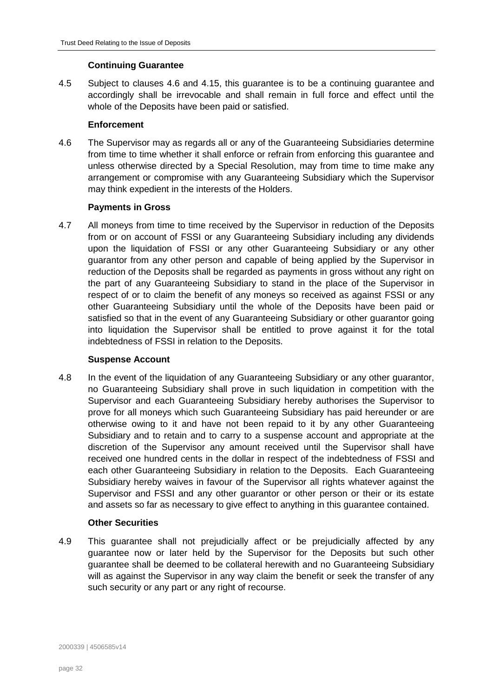# **Continuing Guarantee**

4.5 Subject to clauses [4.6](#page-31-0) and [4.15,](#page-32-1) this guarantee is to be a continuing guarantee and accordingly shall be irrevocable and shall remain in full force and effect until the whole of the Deposits have been paid or satisfied.

# **Enforcement**

<span id="page-31-0"></span>4.6 The Supervisor may as regards all or any of the Guaranteeing Subsidiaries determine from time to time whether it shall enforce or refrain from enforcing this guarantee and unless otherwise directed by a Special Resolution, may from time to time make any arrangement or compromise with any Guaranteeing Subsidiary which the Supervisor may think expedient in the interests of the Holders.

# **Payments in Gross**

4.7 All moneys from time to time received by the Supervisor in reduction of the Deposits from or on account of FSSI or any Guaranteeing Subsidiary including any dividends upon the liquidation of FSSI or any other Guaranteeing Subsidiary or any other guarantor from any other person and capable of being applied by the Supervisor in reduction of the Deposits shall be regarded as payments in gross without any right on the part of any Guaranteeing Subsidiary to stand in the place of the Supervisor in respect of or to claim the benefit of any moneys so received as against FSSI or any other Guaranteeing Subsidiary until the whole of the Deposits have been paid or satisfied so that in the event of any Guaranteeing Subsidiary or other guarantor going into liquidation the Supervisor shall be entitled to prove against it for the total indebtedness of FSSI in relation to the Deposits.

# **Suspense Account**

4.8 In the event of the liquidation of any Guaranteeing Subsidiary or any other guarantor, no Guaranteeing Subsidiary shall prove in such liquidation in competition with the Supervisor and each Guaranteeing Subsidiary hereby authorises the Supervisor to prove for all moneys which such Guaranteeing Subsidiary has paid hereunder or are otherwise owing to it and have not been repaid to it by any other Guaranteeing Subsidiary and to retain and to carry to a suspense account and appropriate at the discretion of the Supervisor any amount received until the Supervisor shall have received one hundred cents in the dollar in respect of the indebtedness of FSSI and each other Guaranteeing Subsidiary in relation to the Deposits. Each Guaranteeing Subsidiary hereby waives in favour of the Supervisor all rights whatever against the Supervisor and FSSI and any other guarantor or other person or their or its estate and assets so far as necessary to give effect to anything in this guarantee contained.

# **Other Securities**

4.9 This guarantee shall not prejudicially affect or be prejudicially affected by any guarantee now or later held by the Supervisor for the Deposits but such other guarantee shall be deemed to be collateral herewith and no Guaranteeing Subsidiary will as against the Supervisor in any way claim the benefit or seek the transfer of any such security or any part or any right of recourse.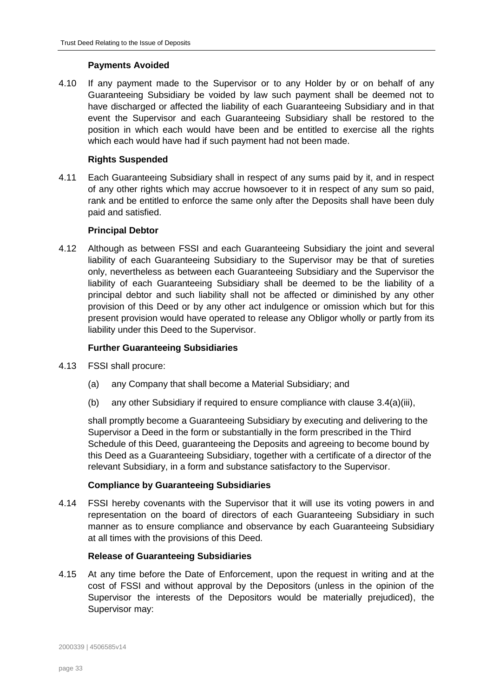# **Payments Avoided**

4.10 If any payment made to the Supervisor or to any Holder by or on behalf of any Guaranteeing Subsidiary be voided by law such payment shall be deemed not to have discharged or affected the liability of each Guaranteeing Subsidiary and in that event the Supervisor and each Guaranteeing Subsidiary shall be restored to the position in which each would have been and be entitled to exercise all the rights which each would have had if such payment had not been made.

# **Rights Suspended**

4.11 Each Guaranteeing Subsidiary shall in respect of any sums paid by it, and in respect of any other rights which may accrue howsoever to it in respect of any sum so paid, rank and be entitled to enforce the same only after the Deposits shall have been duly paid and satisfied.

# **Principal Debtor**

4.12 Although as between FSSI and each Guaranteeing Subsidiary the joint and several liability of each Guaranteeing Subsidiary to the Supervisor may be that of sureties only, nevertheless as between each Guaranteeing Subsidiary and the Supervisor the liability of each Guaranteeing Subsidiary shall be deemed to be the liability of a principal debtor and such liability shall not be affected or diminished by any other provision of this Deed or by any other act indulgence or omission which but for this present provision would have operated to release any Obligor wholly or partly from its liability under this Deed to the Supervisor.

# **Further Guaranteeing Subsidiaries**

- <span id="page-32-0"></span>4.13 FSSI shall procure:
	- (a) any Company that shall become a Material Subsidiary; and
	- (b) any other Subsidiary if required to ensure compliance with clause [3.4\(](#page-27-0)a)(iii),

shall promptly become a Guaranteeing Subsidiary by executing and delivering to the Supervisor a Deed in the form or substantially in the form prescribed in the Third Schedule of this Deed, guaranteeing the Deposits and agreeing to become bound by this Deed as a Guaranteeing Subsidiary, together with a certificate of a director of the relevant Subsidiary, in a form and substance satisfactory to the Supervisor.

# **Compliance by Guaranteeing Subsidiaries**

4.14 FSSI hereby covenants with the Supervisor that it will use its voting powers in and representation on the board of directors of each Guaranteeing Subsidiary in such manner as to ensure compliance and observance by each Guaranteeing Subsidiary at all times with the provisions of this Deed.

# **Release of Guaranteeing Subsidiaries**

<span id="page-32-1"></span>4.15 At any time before the Date of Enforcement, upon the request in writing and at the cost of FSSI and without approval by the Depositors (unless in the opinion of the Supervisor the interests of the Depositors would be materially prejudiced), the Supervisor may: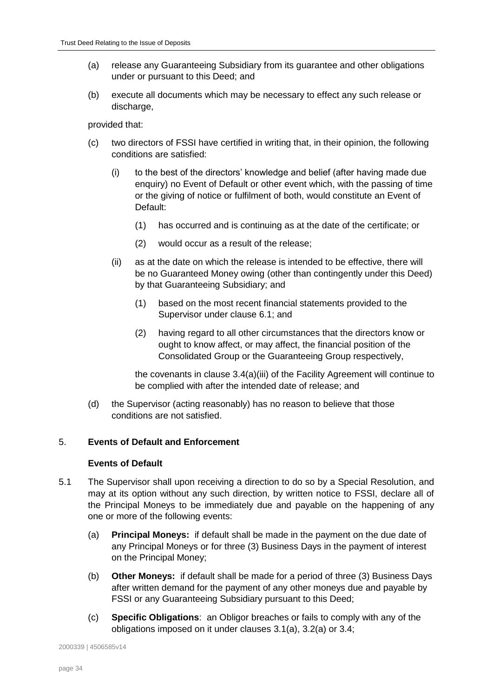- (a) release any Guaranteeing Subsidiary from its guarantee and other obligations under or pursuant to this Deed; and
- (b) execute all documents which may be necessary to effect any such release or discharge,

provided that:

- (c) two directors of FSSI have certified in writing that, in their opinion, the following conditions are satisfied:
	- (i) to the best of the directors' knowledge and belief (after having made due enquiry) no Event of Default or other event which, with the passing of time or the giving of notice or fulfilment of both, would constitute an Event of Default:
		- (1) has occurred and is continuing as at the date of the certificate; or
		- (2) would occur as a result of the release;
	- (ii) as at the date on which the release is intended to be effective, there will be no Guaranteed Money owing (other than contingently under this Deed) by that Guaranteeing Subsidiary; and
		- (1) based on the most recent financial statements provided to the Supervisor under clause [6.1;](#page-35-1) and
		- (2) having regard to all other circumstances that the directors know or ought to know affect, or may affect, the financial position of the Consolidated Group or the Guaranteeing Group respectively,

the covenants in clause 3.4(a)(iii) of the Facility Agreement will continue to be complied with after the intended date of release; and

(d) the Supervisor (acting reasonably) has no reason to believe that those conditions are not satisfied.

# <span id="page-33-0"></span>5. **Events of Default and Enforcement**

# **Events of Default**

- <span id="page-33-4"></span><span id="page-33-3"></span><span id="page-33-2"></span><span id="page-33-1"></span>5.1 The Supervisor shall upon receiving a direction to do so by a Special Resolution, and may at its option without any such direction, by written notice to FSSI, declare all of the Principal Moneys to be immediately due and payable on the happening of any one or more of the following events:
	- (a) **Principal Moneys:** if default shall be made in the payment on the due date of any Principal Moneys or for three (3) Business Days in the payment of interest on the Principal Money;
	- (b) **Other Moneys:** if default shall be made for a period of three (3) Business Days after written demand for the payment of any other moneys due and payable by FSSI or any Guaranteeing Subsidiary pursuant to this Deed;
	- (c) **Specific Obligations**: an Obligor breaches or fails to comply with any of the obligations imposed on it under clauses [3.1\(a\),](#page-22-1) [3.2\(a\)](#page-23-1) or [3.4;](#page-27-0)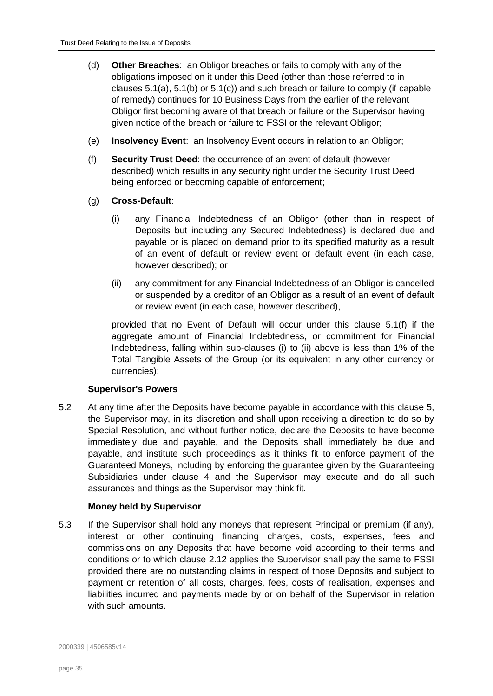- (d) **Other Breaches**: an Obligor breaches or fails to comply with any of the obligations imposed on it under this Deed (other than those referred to in clauses  $5.1(a)$ ,  $5.1(b)$  or  $5.1(c)$  and such breach or failure to comply (if capable of remedy) continues for 10 Business Days from the earlier of the relevant Obligor first becoming aware of that breach or failure or the Supervisor having given notice of the breach or failure to FSSI or the relevant Obligor;
- (e) **Insolvency Event**: an Insolvency Event occurs in relation to an Obligor;
- <span id="page-34-0"></span>(f) **Security Trust Deed**: the occurrence of an event of default (however described) which results in any security right under the Security Trust Deed being enforced or becoming capable of enforcement;
- <span id="page-34-1"></span>(g) **Cross-Default**:
	- (i) any Financial Indebtedness of an Obligor (other than in respect of Deposits but including any Secured Indebtedness) is declared due and payable or is placed on demand prior to its specified maturity as a result of an event of default or review event or default event (in each case, however described); or
	- (ii) any commitment for any Financial Indebtedness of an Obligor is cancelled or suspended by a creditor of an Obligor as a result of an event of default or review event (in each case, however described),

<span id="page-34-2"></span>provided that no Event of Default will occur under this clause [5.1\(f\)](#page-34-0) if the aggregate amount of Financial Indebtedness, or commitment for Financial Indebtedness, falling within sub-clauses [\(i\)](#page-34-1) to [\(ii\)](#page-34-2) above is less than 1% of the Total Tangible Assets of the Group (or its equivalent in any other currency or currencies);

# **Supervisor's Powers**

<span id="page-34-3"></span>5.2 At any time after the Deposits have become payable in accordance with this clause [5,](#page-33-0) the Supervisor may, in its discretion and shall upon receiving a direction to do so by Special Resolution, and without further notice, declare the Deposits to have become immediately due and payable, and the Deposits shall immediately be due and payable, and institute such proceedings as it thinks fit to enforce payment of the Guaranteed Moneys, including by enforcing the guarantee given by the Guaranteeing Subsidiaries under clause [4](#page-29-0) and the Supervisor may execute and do all such assurances and things as the Supervisor may think fit.

# **Money held by Supervisor**

5.3 If the Supervisor shall hold any moneys that represent Principal or premium (if any), interest or other continuing financing charges, costs, expenses, fees and commissions on any Deposits that have become void according to their terms and conditions or to which clause [2.12](#page-21-1) applies the Supervisor shall pay the same to FSSI provided there are no outstanding claims in respect of those Deposits and subject to payment or retention of all costs, charges, fees, costs of realisation, expenses and liabilities incurred and payments made by or on behalf of the Supervisor in relation with such amounts.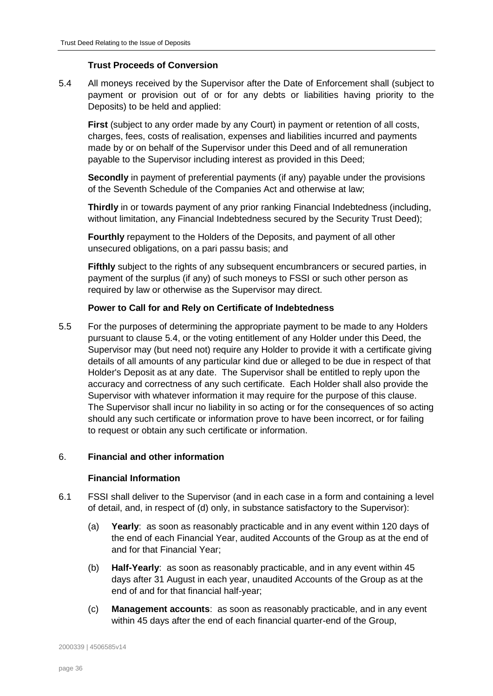# **Trust Proceeds of Conversion**

<span id="page-35-2"></span>5.4 All moneys received by the Supervisor after the Date of Enforcement shall (subject to payment or provision out of or for any debts or liabilities having priority to the Deposits) to be held and applied:

**First** (subject to any order made by any Court) in payment or retention of all costs, charges, fees, costs of realisation, expenses and liabilities incurred and payments made by or on behalf of the Supervisor under this Deed and of all remuneration payable to the Supervisor including interest as provided in this Deed;

**Secondly** in payment of preferential payments (if any) payable under the provisions of the Seventh Schedule of the Companies Act and otherwise at law;

**Thirdly** in or towards payment of any prior ranking Financial Indebtedness (including, without limitation, any Financial Indebtedness secured by the Security Trust Deed);

**Fourthly** repayment to the Holders of the Deposits, and payment of all other unsecured obligations, on a pari passu basis; and

**Fifthly** subject to the rights of any subsequent encumbrancers or secured parties, in payment of the surplus (if any) of such moneys to FSSI or such other person as required by law or otherwise as the Supervisor may direct.

# **Power to Call for and Rely on Certificate of Indebtedness**

5.5 For the purposes of determining the appropriate payment to be made to any Holders pursuant to clause [5.4,](#page-35-2) or the voting entitlement of any Holder under this Deed, the Supervisor may (but need not) require any Holder to provide it with a certificate giving details of all amounts of any particular kind due or alleged to be due in respect of that Holder's Deposit as at any date. The Supervisor shall be entitled to reply upon the accuracy and correctness of any such certificate. Each Holder shall also provide the Supervisor with whatever information it may require for the purpose of this clause. The Supervisor shall incur no liability in so acting or for the consequences of so acting should any such certificate or information prove to have been incorrect, or for failing to request or obtain any such certificate or information.

#### <span id="page-35-0"></span>6. **Financial and other information**

#### **Financial Information**

- <span id="page-35-5"></span><span id="page-35-4"></span><span id="page-35-3"></span><span id="page-35-1"></span>6.1 FSSI shall deliver to the Supervisor (and in each case in a form and containing a level of detail, and, in respect of (d) only, in substance satisfactory to the Supervisor):
	- (a) **Yearly**: as soon as reasonably practicable and in any event within 120 days of the end of each Financial Year, audited Accounts of the Group as at the end of and for that Financial Year;
	- (b) **Half-Yearly**: as soon as reasonably practicable, and in any event within 45 days after 31 August in each year, unaudited Accounts of the Group as at the end of and for that financial half-year;
	- (c) **Management accounts**: as soon as reasonably practicable, and in any event within 45 days after the end of each financial quarter-end of the Group,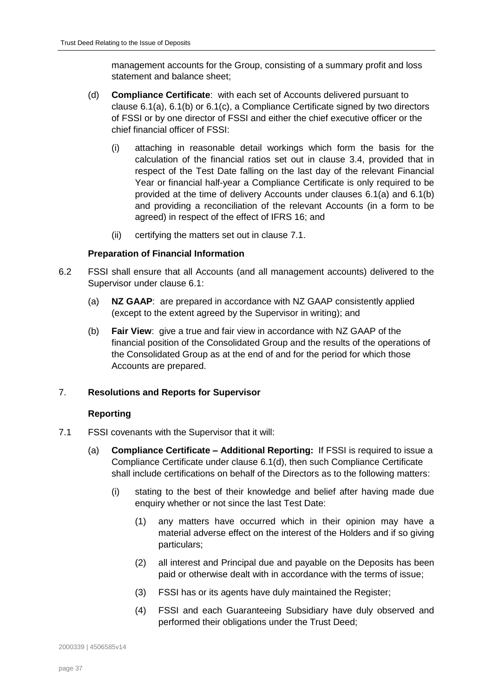management accounts for the Group, consisting of a summary profit and loss statement and balance sheet;

- <span id="page-36-1"></span>(d) **Compliance Certificate**: with each set of Accounts delivered pursuant to clause  $6.1(a)$ ,  $6.1(b)$  or  $6.1(c)$ , a Compliance Certificate signed by two directors of FSSI or by one director of FSSI and either the chief executive officer or the chief financial officer of FSSI:
	- (i) attaching in reasonable detail workings which form the basis for the calculation of the financial ratios set out in clause [3.4,](#page-27-0) provided that in respect of the Test Date falling on the last day of the relevant Financial Year or financial half-year a Compliance Certificate is only required to be provided at the time of delivery Accounts under clauses [6.1\(a\)](#page-35-3) and [6.1\(b\)](#page-35-4) and providing a reconciliation of the relevant Accounts (in a form to be agreed) in respect of the effect of IFRS 16; and
	- (ii) certifying the matters set out in clause [7.1.](#page-36-2)

# **Preparation of Financial Information**

- 6.2 FSSI shall ensure that all Accounts (and all management accounts) delivered to the Supervisor under clause [6.1:](#page-35-1)
	- (a) **NZ GAAP**: are prepared in accordance with NZ GAAP consistently applied (except to the extent agreed by the Supervisor in writing); and
	- (b) **Fair View**: give a true and fair view in accordance with NZ GAAP of the financial position of the Consolidated Group and the results of the operations of the Consolidated Group as at the end of and for the period for which those Accounts are prepared.

# <span id="page-36-0"></span>7. **Resolutions and Reports for Supervisor**

# **Reporting**

- <span id="page-36-3"></span><span id="page-36-2"></span>7.1 FSSI covenants with the Supervisor that it will:
	- (a) **Compliance Certificate – Additional Reporting:** If FSSI is required to issue a Compliance Certificate under clause [6.1\(d\),](#page-36-1) then such Compliance Certificate shall include certifications on behalf of the Directors as to the following matters:
		- (i) stating to the best of their knowledge and belief after having made due enquiry whether or not since the last Test Date:
			- (1) any matters have occurred which in their opinion may have a material adverse effect on the interest of the Holders and if so giving particulars;
			- (2) all interest and Principal due and payable on the Deposits has been paid or otherwise dealt with in accordance with the terms of issue;
			- (3) FSSI has or its agents have duly maintained the Register;
			- (4) FSSI and each Guaranteeing Subsidiary have duly observed and performed their obligations under the Trust Deed;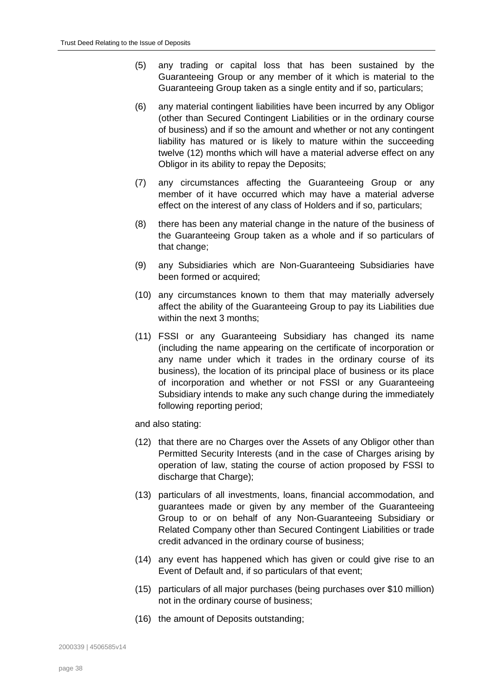- (5) any trading or capital loss that has been sustained by the Guaranteeing Group or any member of it which is material to the Guaranteeing Group taken as a single entity and if so, particulars;
- (6) any material contingent liabilities have been incurred by any Obligor (other than Secured Contingent Liabilities or in the ordinary course of business) and if so the amount and whether or not any contingent liability has matured or is likely to mature within the succeeding twelve (12) months which will have a material adverse effect on any Obligor in its ability to repay the Deposits;
- (7) any circumstances affecting the Guaranteeing Group or any member of it have occurred which may have a material adverse effect on the interest of any class of Holders and if so, particulars;
- (8) there has been any material change in the nature of the business of the Guaranteeing Group taken as a whole and if so particulars of that change;
- (9) any Subsidiaries which are Non-Guaranteeing Subsidiaries have been formed or acquired;
- (10) any circumstances known to them that may materially adversely affect the ability of the Guaranteeing Group to pay its Liabilities due within the next 3 months:
- (11) FSSI or any Guaranteeing Subsidiary has changed its name (including the name appearing on the certificate of incorporation or any name under which it trades in the ordinary course of its business), the location of its principal place of business or its place of incorporation and whether or not FSSI or any Guaranteeing Subsidiary intends to make any such change during the immediately following reporting period;

and also stating:

- (12) that there are no Charges over the Assets of any Obligor other than Permitted Security Interests (and in the case of Charges arising by operation of law, stating the course of action proposed by FSSI to discharge that Charge);
- (13) particulars of all investments, loans, financial accommodation, and guarantees made or given by any member of the Guaranteeing Group to or on behalf of any Non-Guaranteeing Subsidiary or Related Company other than Secured Contingent Liabilities or trade credit advanced in the ordinary course of business;
- (14) any event has happened which has given or could give rise to an Event of Default and, if so particulars of that event;
- (15) particulars of all major purchases (being purchases over \$10 million) not in the ordinary course of business;
- (16) the amount of Deposits outstanding;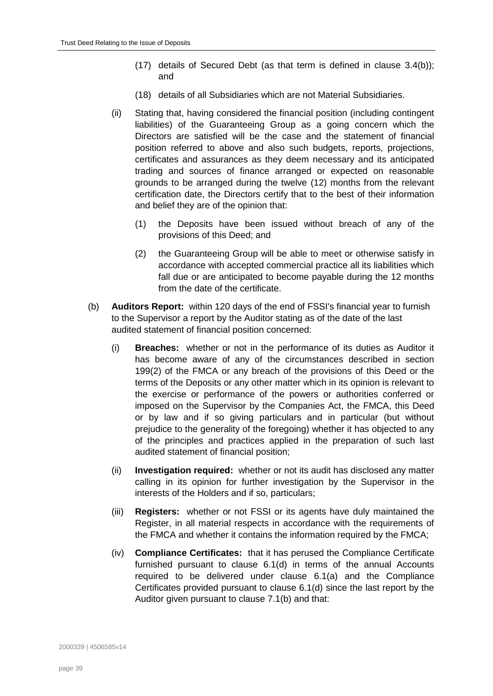- (17) details of Secured Debt (as that term is defined in clause [3.4\(b\)\)](#page-27-2); and
- (18) details of all Subsidiaries which are not Material Subsidiaries.
- (ii) Stating that, having considered the financial position (including contingent liabilities) of the Guaranteeing Group as a going concern which the Directors are satisfied will be the case and the statement of financial position referred to above and also such budgets, reports, projections, certificates and assurances as they deem necessary and its anticipated trading and sources of finance arranged or expected on reasonable grounds to be arranged during the twelve (12) months from the relevant certification date, the Directors certify that to the best of their information and belief they are of the opinion that:
	- (1) the Deposits have been issued without breach of any of the provisions of this Deed; and
	- (2) the Guaranteeing Group will be able to meet or otherwise satisfy in accordance with accepted commercial practice all its liabilities which fall due or are anticipated to become payable during the 12 months from the date of the certificate.
- <span id="page-38-0"></span>(b) **Auditors Report:** within 120 days of the end of FSSI's financial year to furnish to the Supervisor a report by the Auditor stating as of the date of the last audited statement of financial position concerned:
	- (i) **Breaches:** whether or not in the performance of its duties as Auditor it has become aware of any of the circumstances described in section 199(2) of the FMCA or any breach of the provisions of this Deed or the terms of the Deposits or any other matter which in its opinion is relevant to the exercise or performance of the powers or authorities conferred or imposed on the Supervisor by the Companies Act, the FMCA, this Deed or by law and if so giving particulars and in particular (but without prejudice to the generality of the foregoing) whether it has objected to any of the principles and practices applied in the preparation of such last audited statement of financial position;
	- (ii) **Investigation required:** whether or not its audit has disclosed any matter calling in its opinion for further investigation by the Supervisor in the interests of the Holders and if so, particulars;
	- (iii) **Registers:** whether or not FSSI or its agents have duly maintained the Register, in all material respects in accordance with the requirements of the FMCA and whether it contains the information required by the FMCA;
	- (iv) **Compliance Certificates:** that it has perused the Compliance Certificate furnished pursuant to clause [6.1\(d\)](#page-36-1) in terms of the annual Accounts required to be delivered under clause [6.1\(a\)](#page-35-3) and the Compliance Certificates provided pursuant to clause [6.1\(d\)](#page-36-1) since the last report by the Auditor given pursuant to clause [7.1\(b\)](#page-38-0) and that: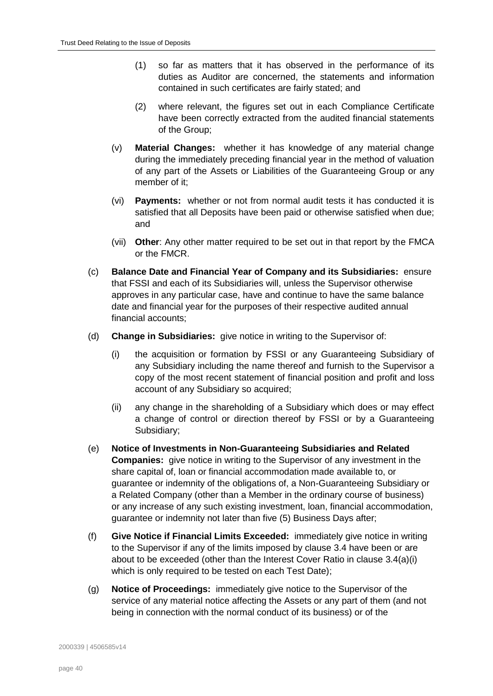- (1) so far as matters that it has observed in the performance of its duties as Auditor are concerned, the statements and information contained in such certificates are fairly stated; and
- (2) where relevant, the figures set out in each Compliance Certificate have been correctly extracted from the audited financial statements of the Group;
- (v) **Material Changes:** whether it has knowledge of any material change during the immediately preceding financial year in the method of valuation of any part of the Assets or Liabilities of the Guaranteeing Group or any member of it;
- (vi) **Payments:** whether or not from normal audit tests it has conducted it is satisfied that all Deposits have been paid or otherwise satisfied when due; and
- (vii) **Other**: Any other matter required to be set out in that report by the FMCA or the FMCR.
- (c) **Balance Date and Financial Year of Company and its Subsidiaries:** ensure that FSSI and each of its Subsidiaries will, unless the Supervisor otherwise approves in any particular case, have and continue to have the same balance date and financial year for the purposes of their respective audited annual financial accounts;
- (d) **Change in Subsidiaries:** give notice in writing to the Supervisor of:
	- (i) the acquisition or formation by FSSI or any Guaranteeing Subsidiary of any Subsidiary including the name thereof and furnish to the Supervisor a copy of the most recent statement of financial position and profit and loss account of any Subsidiary so acquired;
	- (ii) any change in the shareholding of a Subsidiary which does or may effect a change of control or direction thereof by FSSI or by a Guaranteeing Subsidiary;
- (e) **Notice of Investments in Non-Guaranteeing Subsidiaries and Related Companies:** give notice in writing to the Supervisor of any investment in the share capital of, loan or financial accommodation made available to, or guarantee or indemnity of the obligations of, a Non-Guaranteeing Subsidiary or a Related Company (other than a Member in the ordinary course of business) or any increase of any such existing investment, loan, financial accommodation, guarantee or indemnity not later than five (5) Business Days after;
- (f) **Give Notice if Financial Limits Exceeded:** immediately give notice in writing to the Supervisor if any of the limits imposed by clause [3.4](#page-27-0) have been or are about to be exceeded (other than the Interest Cover Ratio in clause [3.4\(a\)\(i\)](#page-27-3) which is only required to be tested on each Test Date);
- (g) **Notice of Proceedings:** immediately give notice to the Supervisor of the service of any material notice affecting the Assets or any part of them (and not being in connection with the normal conduct of its business) or of the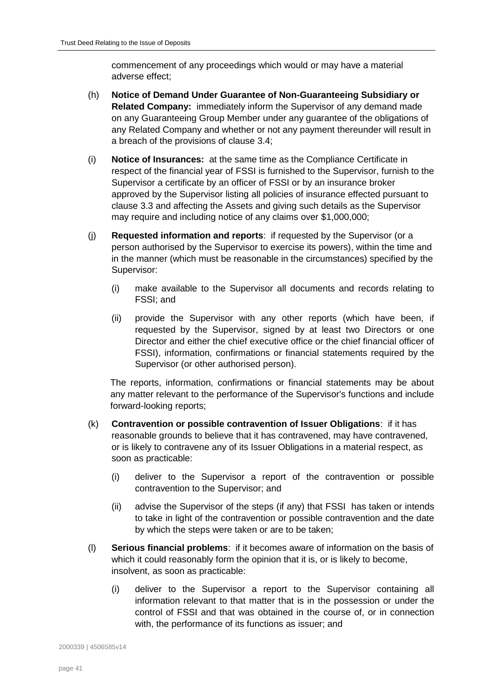commencement of any proceedings which would or may have a material adverse effect;

- (h) **Notice of Demand Under Guarantee of Non-Guaranteeing Subsidiary or Related Company:** immediately inform the Supervisor of any demand made on any Guaranteeing Group Member under any guarantee of the obligations of any Related Company and whether or not any payment thereunder will result in a breach of the provisions of clause [3.4;](#page-27-0)
- (i) **Notice of Insurances:** at the same time as the Compliance Certificate in respect of the financial year of FSSI is furnished to the Supervisor, furnish to the Supervisor a certificate by an officer of FSSI or by an insurance broker approved by the Supervisor listing all policies of insurance effected pursuant to clause [3.3](#page-26-0) and affecting the Assets and giving such details as the Supervisor may require and including notice of any claims over \$1,000,000;
- (j) **Requested information and reports**: if requested by the Supervisor (or a person authorised by the Supervisor to exercise its powers), within the time and in the manner (which must be reasonable in the circumstances) specified by the Supervisor:
	- (i) make available to the Supervisor all documents and records relating to FSSI; and
	- (ii) provide the Supervisor with any other reports (which have been, if requested by the Supervisor, signed by at least two Directors or one Director and either the chief executive office or the chief financial officer of FSSI), information, confirmations or financial statements required by the Supervisor (or other authorised person).

The reports, information, confirmations or financial statements may be about any matter relevant to the performance of the Supervisor's functions and include forward-looking reports;

- (k) **Contravention or possible contravention of Issuer Obligations**: if it has reasonable grounds to believe that it has contravened, may have contravened, or is likely to contravene any of its Issuer Obligations in a material respect, as soon as practicable:
	- (i) deliver to the Supervisor a report of the contravention or possible contravention to the Supervisor; and
	- (ii) advise the Supervisor of the steps (if any) that FSSI has taken or intends to take in light of the contravention or possible contravention and the date by which the steps were taken or are to be taken;
- (l) **Serious financial problems**: if it becomes aware of information on the basis of which it could reasonably form the opinion that it is, or is likely to become, insolvent, as soon as practicable:
	- (i) deliver to the Supervisor a report to the Supervisor containing all information relevant to that matter that is in the possession or under the control of FSSI and that was obtained in the course of, or in connection with, the performance of its functions as issuer; and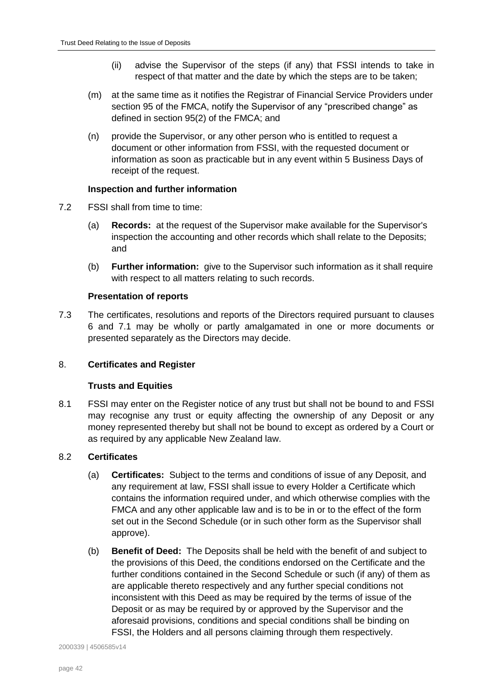- (ii) advise the Supervisor of the steps (if any) that FSSI intends to take in respect of that matter and the date by which the steps are to be taken;
- (m) at the same time as it notifies the Registrar of Financial Service Providers under section 95 of the FMCA, notify the Supervisor of any "prescribed change" as defined in section 95(2) of the FMCA; and
- (n) provide the Supervisor, or any other person who is entitled to request a document or other information from FSSI, with the requested document or information as soon as practicable but in any event within 5 Business Days of receipt of the request.

# **Inspection and further information**

- 7.2 FSSI shall from time to time:
	- (a) **Records:** at the request of the Supervisor make available for the Supervisor's inspection the accounting and other records which shall relate to the Deposits; and
	- (b) **Further information:** give to the Supervisor such information as it shall require with respect to all matters relating to such records.

# **Presentation of reports**

7.3 The certificates, resolutions and reports of the Directors required pursuant to clauses [6](#page-35-0) and [7.1](#page-36-2) may be wholly or partly amalgamated in one or more documents or presented separately as the Directors may decide.

# <span id="page-41-0"></span>8. **Certificates and Register**

# **Trusts and Equities**

8.1 FSSI may enter on the Register notice of any trust but shall not be bound to and FSSI may recognise any trust or equity affecting the ownership of any Deposit or any money represented thereby but shall not be bound to except as ordered by a Court or as required by any applicable New Zealand law.

# <span id="page-41-1"></span>8.2 **Certificates**

- (a) **Certificates:** Subject to the terms and conditions of issue of any Deposit, and any requirement at law, FSSI shall issue to every Holder a Certificate which contains the information required under, and which otherwise complies with the FMCA and any other applicable law and is to be in or to the effect of the form set out in the Second Schedule (or in such other form as the Supervisor shall approve).
- (b) **Benefit of Deed:** The Deposits shall be held with the benefit of and subject to the provisions of this Deed, the conditions endorsed on the Certificate and the further conditions contained in the Second Schedule or such (if any) of them as are applicable thereto respectively and any further special conditions not inconsistent with this Deed as may be required by the terms of issue of the Deposit or as may be required by or approved by the Supervisor and the aforesaid provisions, conditions and special conditions shall be binding on FSSI, the Holders and all persons claiming through them respectively.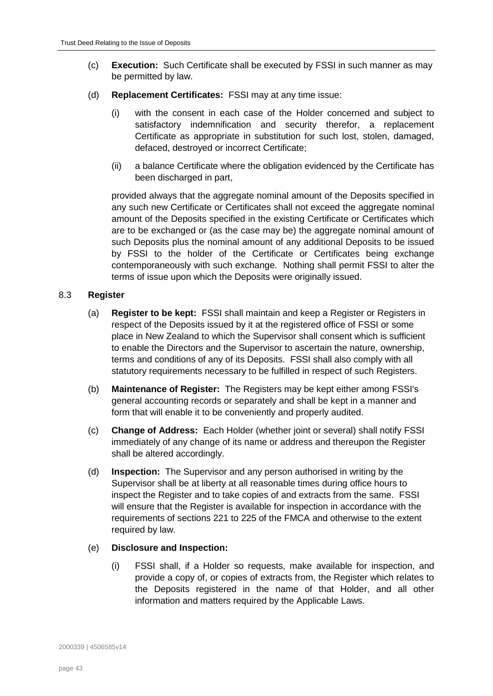- (c) **Execution:** Such Certificate shall be executed by FSSI in such manner as may be permitted by law.
- (d) **Replacement Certificates:** FSSI may at any time issue:
	- (i) with the consent in each case of the Holder concerned and subject to satisfactory indemnification and security therefor, a replacement Certificate as appropriate in substitution for such lost, stolen, damaged, defaced, destroyed or incorrect Certificate;
	- (ii) a balance Certificate where the obligation evidenced by the Certificate has been discharged in part,

provided always that the aggregate nominal amount of the Deposits specified in any such new Certificate or Certificates shall not exceed the aggregate nominal amount of the Deposits specified in the existing Certificate or Certificates which are to be exchanged or (as the case may be) the aggregate nominal amount of such Deposits plus the nominal amount of any additional Deposits to be issued by FSSI to the holder of the Certificate or Certificates being exchange contemporaneously with such exchange. Nothing shall permit FSSI to alter the terms of issue upon which the Deposits were originally issued.

### <span id="page-42-0"></span>8.3 **Register**

- (a) **Register to be kept:** FSSI shall maintain and keep a Register or Registers in respect of the Deposits issued by it at the registered office of FSSI or some place in New Zealand to which the Supervisor shall consent which is sufficient to enable the Directors and the Supervisor to ascertain the nature, ownership, terms and conditions of any of its Deposits. FSSI shall also comply with all statutory requirements necessary to be fulfilled in respect of such Registers.
- (b) **Maintenance of Register:** The Registers may be kept either among FSSI's general accounting records or separately and shall be kept in a manner and form that will enable it to be conveniently and properly audited.
- (c) **Change of Address:** Each Holder (whether joint or several) shall notify FSSI immediately of any change of its name or address and thereupon the Register shall be altered accordingly.
- (d) **Inspection:** The Supervisor and any person authorised in writing by the Supervisor shall be at liberty at all reasonable times during office hours to inspect the Register and to take copies of and extracts from the same. FSSI will ensure that the Register is available for inspection in accordance with the requirements of sections 221 to 225 of the FMCA and otherwise to the extent required by law.

#### (e) **Disclosure and Inspection:**

(i) FSSI shall, if a Holder so requests, make available for inspection, and provide a copy of, or copies of extracts from, the Register which relates to the Deposits registered in the name of that Holder, and all other information and matters required by the Applicable Laws.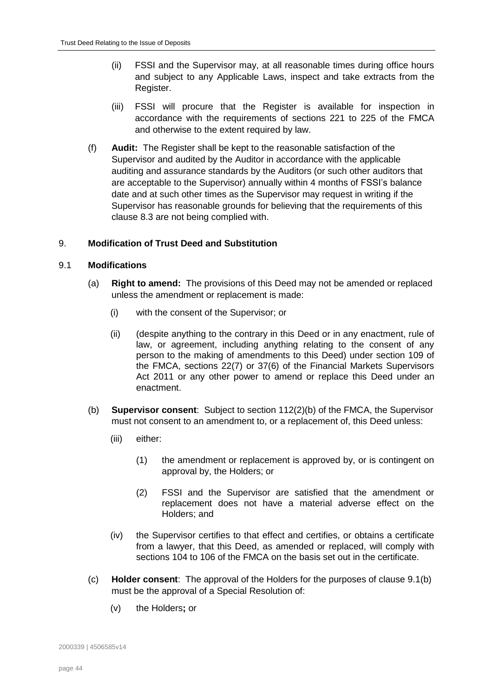- (ii) FSSI and the Supervisor may, at all reasonable times during office hours and subject to any Applicable Laws, inspect and take extracts from the Register.
- (iii) FSSI will procure that the Register is available for inspection in accordance with the requirements of sections 221 to 225 of the FMCA and otherwise to the extent required by law.
- (f) **Audit:** The Register shall be kept to the reasonable satisfaction of the Supervisor and audited by the Auditor in accordance with the applicable auditing and assurance standards by the Auditors (or such other auditors that are acceptable to the Supervisor) annually within 4 months of FSSI's balance date and at such other times as the Supervisor may request in writing if the Supervisor has reasonable grounds for believing that the requirements of this clause [8.3](#page-42-0) are not being complied with.

# <span id="page-43-0"></span>9. **Modification of Trust Deed and Substitution**

# <span id="page-43-2"></span>9.1 **Modifications**

- (a) **Right to amend:** The provisions of this Deed may not be amended or replaced unless the amendment or replacement is made:
	- (i) with the consent of the Supervisor; or
	- (ii) (despite anything to the contrary in this Deed or in any enactment, rule of law, or agreement, including anything relating to the consent of any person to the making of amendments to this Deed) under section 109 of the FMCA, sections 22(7) or 37(6) of the Financial Markets Supervisors Act 2011 or any other power to amend or replace this Deed under an enactment.
- <span id="page-43-1"></span>(b) **Supervisor consent**: Subject to section 112(2)(b) of the FMCA, the Supervisor must not consent to an amendment to, or a replacement of, this Deed unless:
	- (iii) either:
		- (1) the amendment or replacement is approved by, or is contingent on approval by, the Holders; or
		- (2) FSSI and the Supervisor are satisfied that the amendment or replacement does not have a material adverse effect on the Holders; and
	- (iv) the Supervisor certifies to that effect and certifies, or obtains a certificate from a lawyer, that this Deed, as amended or replaced, will comply with sections 104 to 106 of the FMCA on the basis set out in the certificate.
- (c) **Holder consent**: The approval of the Holders for the purposes of clause [9.1\(b\)](#page-43-1) must be the approval of a Special Resolution of:
	- (v) the Holders**;** or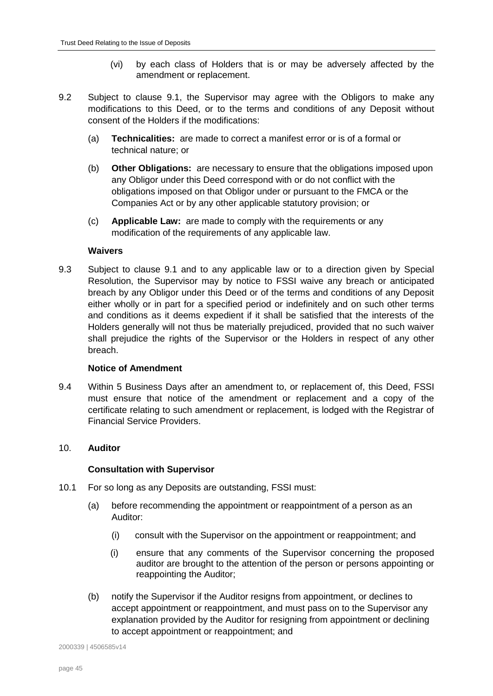- (vi) by each class of Holders that is or may be adversely affected by the amendment or replacement.
- 9.2 Subject to clause [9.1,](#page-43-2) the Supervisor may agree with the Obligors to make any modifications to this Deed, or to the terms and conditions of any Deposit without consent of the Holders if the modifications:
	- (a) **Technicalities:** are made to correct a manifest error or is of a formal or technical nature; or
	- (b) **Other Obligations:** are necessary to ensure that the obligations imposed upon any Obligor under this Deed correspond with or do not conflict with the obligations imposed on that Obligor under or pursuant to the FMCA or the Companies Act or by any other applicable statutory provision; or
	- (c) **Applicable Law:** are made to comply with the requirements or any modification of the requirements of any applicable law.

### **Waivers**

9.3 Subject to clause [9.1](#page-43-2) and to any applicable law or to a direction given by Special Resolution, the Supervisor may by notice to FSSI waive any breach or anticipated breach by any Obligor under this Deed or of the terms and conditions of any Deposit either wholly or in part for a specified period or indefinitely and on such other terms and conditions as it deems expedient if it shall be satisfied that the interests of the Holders generally will not thus be materially prejudiced, provided that no such waiver shall prejudice the rights of the Supervisor or the Holders in respect of any other breach.

# **Notice of Amendment**

9.4 Within 5 Business Days after an amendment to, or replacement of, this Deed, FSSI must ensure that notice of the amendment or replacement and a copy of the certificate relating to such amendment or replacement, is lodged with the Registrar of Financial Service Providers.

# <span id="page-44-0"></span>10. **Auditor**

# **Consultation with Supervisor**

- 10.1 For so long as any Deposits are outstanding, FSSI must:
	- (a) before recommending the appointment or reappointment of a person as an Auditor:
		- (i) consult with the Supervisor on the appointment or reappointment; and
		- (i) ensure that any comments of the Supervisor concerning the proposed auditor are brought to the attention of the person or persons appointing or reappointing the Auditor;
	- (b) notify the Supervisor if the Auditor resigns from appointment, or declines to accept appointment or reappointment, and must pass on to the Supervisor any explanation provided by the Auditor for resigning from appointment or declining to accept appointment or reappointment; and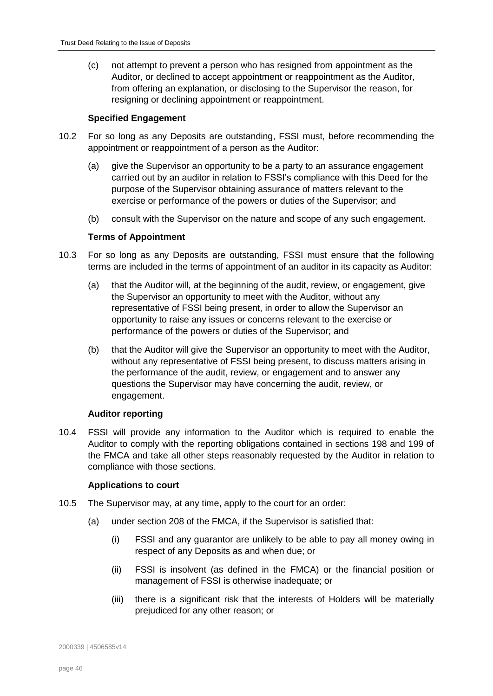(c) not attempt to prevent a person who has resigned from appointment as the Auditor, or declined to accept appointment or reappointment as the Auditor, from offering an explanation, or disclosing to the Supervisor the reason, for resigning or declining appointment or reappointment.

# **Specified Engagement**

- 10.2 For so long as any Deposits are outstanding, FSSI must, before recommending the appointment or reappointment of a person as the Auditor:
	- (a) give the Supervisor an opportunity to be a party to an assurance engagement carried out by an auditor in relation to FSSI's compliance with this Deed for the purpose of the Supervisor obtaining assurance of matters relevant to the exercise or performance of the powers or duties of the Supervisor; and
	- (b) consult with the Supervisor on the nature and scope of any such engagement.

### **Terms of Appointment**

- 10.3 For so long as any Deposits are outstanding, FSSI must ensure that the following terms are included in the terms of appointment of an auditor in its capacity as Auditor:
	- (a) that the Auditor will, at the beginning of the audit, review, or engagement, give the Supervisor an opportunity to meet with the Auditor, without any representative of FSSI being present, in order to allow the Supervisor an opportunity to raise any issues or concerns relevant to the exercise or performance of the powers or duties of the Supervisor; and
	- (b) that the Auditor will give the Supervisor an opportunity to meet with the Auditor, without any representative of FSSI being present, to discuss matters arising in the performance of the audit, review, or engagement and to answer any questions the Supervisor may have concerning the audit, review, or engagement.

#### **Auditor reporting**

10.4 FSSI will provide any information to the Auditor which is required to enable the Auditor to comply with the reporting obligations contained in sections 198 and 199 of the FMCA and take all other steps reasonably requested by the Auditor in relation to compliance with those sections.

# **Applications to court**

- <span id="page-45-0"></span>10.5 The Supervisor may, at any time, apply to the court for an order:
	- (a) under section 208 of the FMCA, if the Supervisor is satisfied that:
		- (i) FSSI and any guarantor are unlikely to be able to pay all money owing in respect of any Deposits as and when due; or
		- (ii) FSSI is insolvent (as defined in the FMCA) or the financial position or management of FSSI is otherwise inadequate; or
		- (iii) there is a significant risk that the interests of Holders will be materially prejudiced for any other reason; or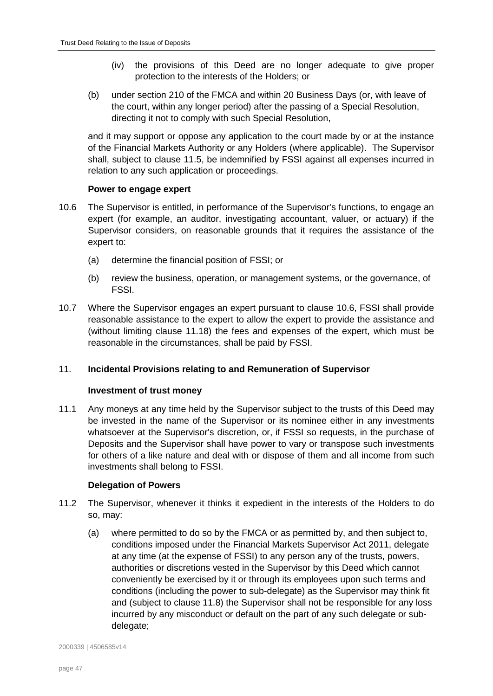- (iv) the provisions of this Deed are no longer adequate to give proper protection to the interests of the Holders; or
- (b) under section 210 of the FMCA and within 20 Business Days (or, with leave of the court, within any longer period) after the passing of a Special Resolution, directing it not to comply with such Special Resolution,

and it may support or oppose any application to the court made by or at the instance of the Financial Markets Authority or any Holders (where applicable). The Supervisor shall, subject to clause [11.5,](#page-48-0) be indemnified by FSSI against all expenses incurred in relation to any such application or proceedings.

# **Power to engage expert**

- <span id="page-46-1"></span>10.6 The Supervisor is entitled, in performance of the Supervisor's functions, to engage an expert (for example, an auditor, investigating accountant, valuer, or actuary) if the Supervisor considers, on reasonable grounds that it requires the assistance of the expert to:
	- (a) determine the financial position of FSSI; or
	- (b) review the business, operation, or management systems, or the governance, of FSSI.
- 10.7 Where the Supervisor engages an expert pursuant to clause [10.6,](#page-46-1) FSSI shall provide reasonable assistance to the expert to allow the expert to provide the assistance and (without limiting clause [11.18\)](#page-50-0) the fees and expenses of the expert, which must be reasonable in the circumstances, shall be paid by FSSI.

# <span id="page-46-0"></span>11. **Incidental Provisions relating to and Remuneration of Supervisor**

#### **Investment of trust money**

11.1 Any moneys at any time held by the Supervisor subject to the trusts of this Deed may be invested in the name of the Supervisor or its nominee either in any investments whatsoever at the Supervisor's discretion, or, if FSSI so requests, in the purchase of Deposits and the Supervisor shall have power to vary or transpose such investments for others of a like nature and deal with or dispose of them and all income from such investments shall belong to FSSI.

#### **Delegation of Powers**

- 11.2 The Supervisor, whenever it thinks it expedient in the interests of the Holders to do so, may:
	- (a) where permitted to do so by the FMCA or as permitted by, and then subject to, conditions imposed under the Financial Markets Supervisor Act 2011, delegate at any time (at the expense of FSSI) to any person any of the trusts, powers, authorities or discretions vested in the Supervisor by this Deed which cannot conveniently be exercised by it or through its employees upon such terms and conditions (including the power to sub-delegate) as the Supervisor may think fit and (subject to clause [11.8\)](#page-48-1) the Supervisor shall not be responsible for any loss incurred by any misconduct or default on the part of any such delegate or subdelegate;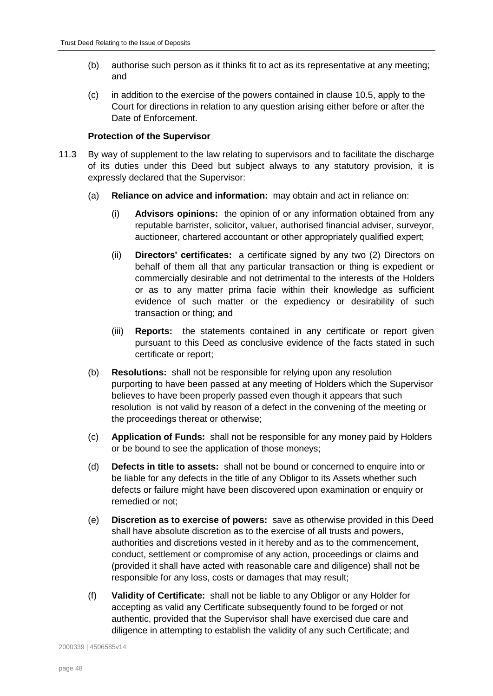- (b) authorise such person as it thinks fit to act as its representative at any meeting; and
- (c) in addition to the exercise of the powers contained in clause [10.5,](#page-45-0) apply to the Court for directions in relation to any question arising either before or after the Date of Enforcement.

# **Protection of the Supervisor**

- <span id="page-47-0"></span>11.3 By way of supplement to the law relating to supervisors and to facilitate the discharge of its duties under this Deed but subject always to any statutory provision, it is expressly declared that the Supervisor:
	- (a) **Reliance on advice and information:** may obtain and act in reliance on:
		- (i) **Advisors opinions:** the opinion of or any information obtained from any reputable barrister, solicitor, valuer, authorised financial adviser, surveyor, auctioneer, chartered accountant or other appropriately qualified expert;
		- (ii) **Directors' certificates:** a certificate signed by any two (2) Directors on behalf of them all that any particular transaction or thing is expedient or commercially desirable and not detrimental to the interests of the Holders or as to any matter prima facie within their knowledge as sufficient evidence of such matter or the expediency or desirability of such transaction or thing; and
		- (iii) **Reports:** the statements contained in any certificate or report given pursuant to this Deed as conclusive evidence of the facts stated in such certificate or report;
	- (b) **Resolutions:** shall not be responsible for relying upon any resolution purporting to have been passed at any meeting of Holders which the Supervisor believes to have been properly passed even though it appears that such resolution is not valid by reason of a defect in the convening of the meeting or the proceedings thereat or otherwise;
	- (c) **Application of Funds:** shall not be responsible for any money paid by Holders or be bound to see the application of those moneys;
	- (d) **Defects in title to assets:** shall not be bound or concerned to enquire into or be liable for any defects in the title of any Obligor to its Assets whether such defects or failure might have been discovered upon examination or enquiry or remedied or not;
	- (e) **Discretion as to exercise of powers:** save as otherwise provided in this Deed shall have absolute discretion as to the exercise of all trusts and powers, authorities and discretions vested in it hereby and as to the commencement, conduct, settlement or compromise of any action, proceedings or claims and (provided it shall have acted with reasonable care and diligence) shall not be responsible for any loss, costs or damages that may result;
	- (f) **Validity of Certificate:** shall not be liable to any Obligor or any Holder for accepting as valid any Certificate subsequently found to be forged or not authentic, provided that the Supervisor shall have exercised due care and diligence in attempting to establish the validity of any such Certificate; and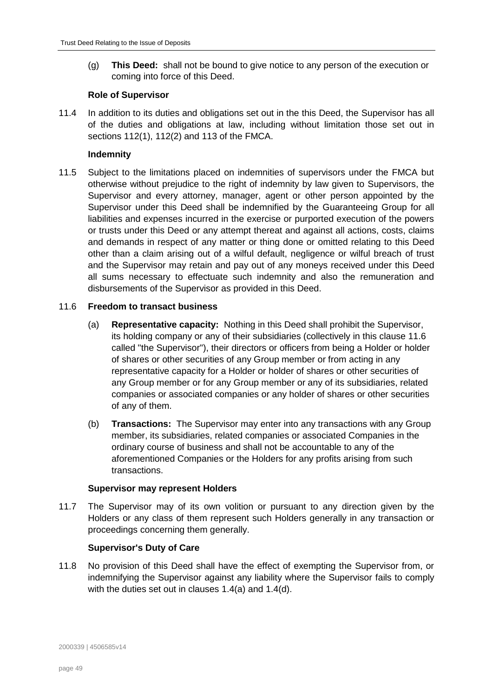(g) **This Deed:** shall not be bound to give notice to any person of the execution or coming into force of this Deed.

# **Role of Supervisor**

11.4 In addition to its duties and obligations set out in the this Deed, the Supervisor has all of the duties and obligations at law, including without limitation those set out in sections 112(1), 112(2) and 113 of the FMCA.

# **Indemnity**

<span id="page-48-0"></span>11.5 Subject to the limitations placed on indemnities of supervisors under the FMCA but otherwise without prejudice to the right of indemnity by law given to Supervisors, the Supervisor and every attorney, manager, agent or other person appointed by the Supervisor under this Deed shall be indemnified by the Guaranteeing Group for all liabilities and expenses incurred in the exercise or purported execution of the powers or trusts under this Deed or any attempt thereat and against all actions, costs, claims and demands in respect of any matter or thing done or omitted relating to this Deed other than a claim arising out of a wilful default, negligence or wilful breach of trust and the Supervisor may retain and pay out of any moneys received under this Deed all sums necessary to effectuate such indemnity and also the remuneration and disbursements of the Supervisor as provided in this Deed.

### <span id="page-48-2"></span>11.6 **Freedom to transact business**

- (a) **Representative capacity:** Nothing in this Deed shall prohibit the Supervisor, its holding company or any of their subsidiaries (collectively in this clause [11.6](#page-48-2) called "the Supervisor"), their directors or officers from being a Holder or holder of shares or other securities of any Group member or from acting in any representative capacity for a Holder or holder of shares or other securities of any Group member or for any Group member or any of its subsidiaries, related companies or associated companies or any holder of shares or other securities of any of them.
- (b) **Transactions:** The Supervisor may enter into any transactions with any Group member, its subsidiaries, related companies or associated Companies in the ordinary course of business and shall not be accountable to any of the aforementioned Companies or the Holders for any profits arising from such transactions.

#### **Supervisor may represent Holders**

11.7 The Supervisor may of its own volition or pursuant to any direction given by the Holders or any class of them represent such Holders generally in any transaction or proceedings concerning them generally.

# **Supervisor's Duty of Care**

<span id="page-48-1"></span>11.8 No provision of this Deed shall have the effect of exempting the Supervisor from, or indemnifying the Supervisor against any liability where the Supervisor fails to comply with the duties set out in clauses [1.4\(a\)](#page-4-0) and [1.4\(d\).](#page-4-1)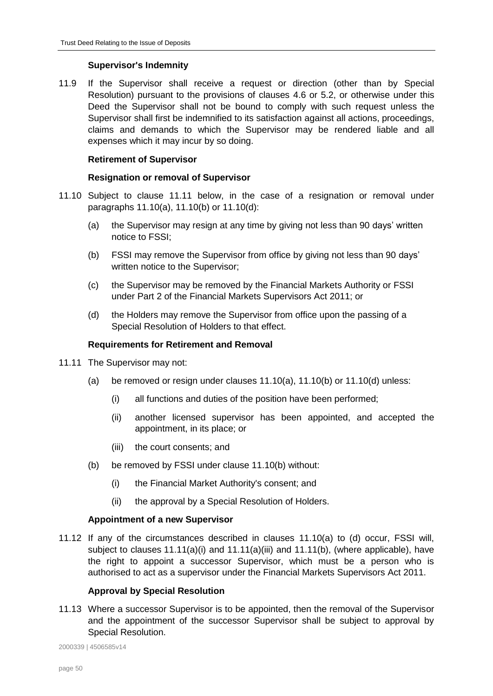# **Supervisor's Indemnity**

11.9 If the Supervisor shall receive a request or direction (other than by Special Resolution) pursuant to the provisions of clauses [4.6](#page-31-0) or [5.2,](#page-34-3) or otherwise under this Deed the Supervisor shall not be bound to comply with such request unless the Supervisor shall first be indemnified to its satisfaction against all actions, proceedings, claims and demands to which the Supervisor may be rendered liable and all expenses which it may incur by so doing.

# **Retirement of Supervisor**

# **Resignation or removal of Supervisor**

- <span id="page-49-4"></span><span id="page-49-2"></span><span id="page-49-1"></span>11.10 Subject to clause [11.11](#page-49-0) below, in the case of a resignation or removal under paragraphs [11.10\(a\),](#page-49-1) [11.10\(b\)](#page-49-2) or [11.10\(d\):](#page-49-3)
	- (a) the Supervisor may resign at any time by giving not less than 90 days' written notice to FSSI;
	- (b) FSSI may remove the Supervisor from office by giving not less than 90 days' written notice to the Supervisor;
	- (c) the Supervisor may be removed by the Financial Markets Authority or FSSI under Part 2 of the Financial Markets Supervisors Act 2011; or
	- (d) the Holders may remove the Supervisor from office upon the passing of a Special Resolution of Holders to that effect.

### <span id="page-49-3"></span>**Requirements for Retirement and Removal**

- <span id="page-49-5"></span><span id="page-49-0"></span>11.11 The Supervisor may not:
	- (a) be removed or resign under clauses [11.10\(a\),](#page-49-1) [11.10\(b\)](#page-49-2) or [11.10\(d\)](#page-49-3) unless:
		- (i) all functions and duties of the position have been performed;
		- (ii) another licensed supervisor has been appointed, and accepted the appointment, in its place; or
		- (iii) the court consents; and
	- (b) be removed by FSSI under clause [11.10\(b\)](#page-49-2) without:
		- (i) the Financial Market Authority's consent; and
		- (ii) the approval by a Special Resolution of Holders.

#### <span id="page-49-7"></span><span id="page-49-6"></span>**Appointment of a new Supervisor**

11.12 If any of the circumstances described in clauses [11.10\(](#page-49-4)a) to [\(d\)](#page-49-3) occur, FSSI will, subject to clauses  $11.11(a)(i)$  and  $11.11(a)(ii)$  and  $11.11(b)$ , (where applicable), have the right to appoint a successor Supervisor, which must be a person who is authorised to act as a supervisor under the Financial Markets Supervisors Act 2011.

# **Approval by Special Resolution**

<span id="page-49-8"></span>11.13 Where a successor Supervisor is to be appointed, then the removal of the Supervisor and the appointment of the successor Supervisor shall be subject to approval by Special Resolution.

2000339 | 4506585v14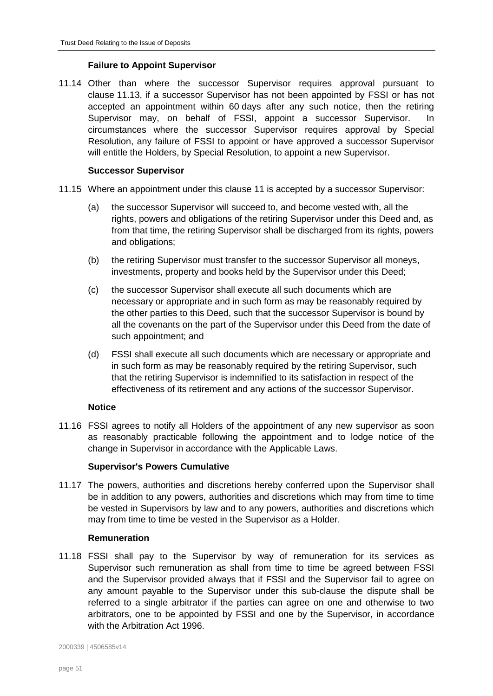# **Failure to Appoint Supervisor**

11.14 Other than where the successor Supervisor requires approval pursuant to clause [11.13,](#page-49-8) if a successor Supervisor has not been appointed by FSSI or has not accepted an appointment within 60 days after any such notice, then the retiring Supervisor may, on behalf of FSSI, appoint a successor Supervisor. In circumstances where the successor Supervisor requires approval by Special Resolution, any failure of FSSI to appoint or have approved a successor Supervisor will entitle the Holders, by Special Resolution, to appoint a new Supervisor.

# **Successor Supervisor**

- 11.15 Where an appointment under this clause [11](#page-46-0) is accepted by a successor Supervisor:
	- (a) the successor Supervisor will succeed to, and become vested with, all the rights, powers and obligations of the retiring Supervisor under this Deed and, as from that time, the retiring Supervisor shall be discharged from its rights, powers and obligations;
	- (b) the retiring Supervisor must transfer to the successor Supervisor all moneys, investments, property and books held by the Supervisor under this Deed;
	- (c) the successor Supervisor shall execute all such documents which are necessary or appropriate and in such form as may be reasonably required by the other parties to this Deed, such that the successor Supervisor is bound by all the covenants on the part of the Supervisor under this Deed from the date of such appointment; and
	- (d) FSSI shall execute all such documents which are necessary or appropriate and in such form as may be reasonably required by the retiring Supervisor, such that the retiring Supervisor is indemnified to its satisfaction in respect of the effectiveness of its retirement and any actions of the successor Supervisor.

#### **Notice**

11.16 FSSI agrees to notify all Holders of the appointment of any new supervisor as soon as reasonably practicable following the appointment and to lodge notice of the change in Supervisor in accordance with the Applicable Laws.

#### **Supervisor's Powers Cumulative**

11.17 The powers, authorities and discretions hereby conferred upon the Supervisor shall be in addition to any powers, authorities and discretions which may from time to time be vested in Supervisors by law and to any powers, authorities and discretions which may from time to time be vested in the Supervisor as a Holder.

#### **Remuneration**

<span id="page-50-0"></span>11.18 FSSI shall pay to the Supervisor by way of remuneration for its services as Supervisor such remuneration as shall from time to time be agreed between FSSI and the Supervisor provided always that if FSSI and the Supervisor fail to agree on any amount payable to the Supervisor under this sub-clause the dispute shall be referred to a single arbitrator if the parties can agree on one and otherwise to two arbitrators, one to be appointed by FSSI and one by the Supervisor, in accordance with the Arbitration Act 1996.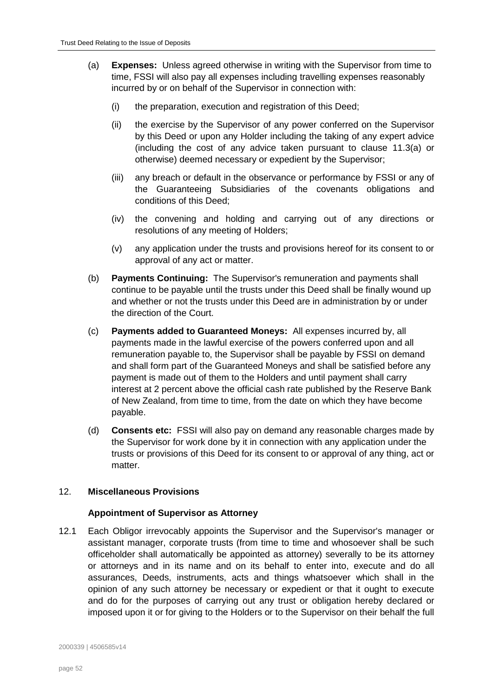- (a) **Expenses:** Unless agreed otherwise in writing with the Supervisor from time to time, FSSI will also pay all expenses including travelling expenses reasonably incurred by or on behalf of the Supervisor in connection with:
	- (i) the preparation, execution and registration of this Deed;
	- (ii) the exercise by the Supervisor of any power conferred on the Supervisor by this Deed or upon any Holder including the taking of any expert advice (including the cost of any advice taken pursuant to clause [11.3\(a\)](#page-47-0) or otherwise) deemed necessary or expedient by the Supervisor;
	- (iii) any breach or default in the observance or performance by FSSI or any of the Guaranteeing Subsidiaries of the covenants obligations and conditions of this Deed;
	- (iv) the convening and holding and carrying out of any directions or resolutions of any meeting of Holders;
	- (v) any application under the trusts and provisions hereof for its consent to or approval of any act or matter.
- (b) **Payments Continuing:** The Supervisor's remuneration and payments shall continue to be payable until the trusts under this Deed shall be finally wound up and whether or not the trusts under this Deed are in administration by or under the direction of the Court.
- (c) **Payments added to Guaranteed Moneys:** All expenses incurred by, all payments made in the lawful exercise of the powers conferred upon and all remuneration payable to, the Supervisor shall be payable by FSSI on demand and shall form part of the Guaranteed Moneys and shall be satisfied before any payment is made out of them to the Holders and until payment shall carry interest at 2 percent above the official cash rate published by the Reserve Bank of New Zealand, from time to time, from the date on which they have become payable.
- (d) **Consents etc:** FSSI will also pay on demand any reasonable charges made by the Supervisor for work done by it in connection with any application under the trusts or provisions of this Deed for its consent to or approval of any thing, act or matter.

# <span id="page-51-0"></span>12. **Miscellaneous Provisions**

#### **Appointment of Supervisor as Attorney**

12.1 Each Obligor irrevocably appoints the Supervisor and the Supervisor's manager or assistant manager, corporate trusts (from time to time and whosoever shall be such officeholder shall automatically be appointed as attorney) severally to be its attorney or attorneys and in its name and on its behalf to enter into, execute and do all assurances, Deeds, instruments, acts and things whatsoever which shall in the opinion of any such attorney be necessary or expedient or that it ought to execute and do for the purposes of carrying out any trust or obligation hereby declared or imposed upon it or for giving to the Holders or to the Supervisor on their behalf the full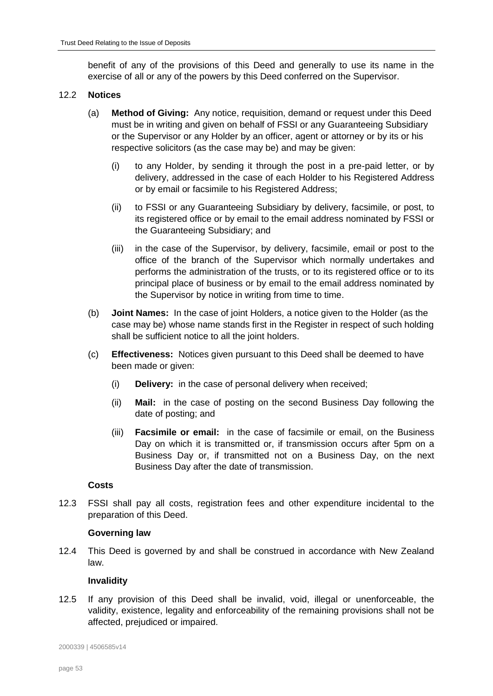benefit of any of the provisions of this Deed and generally to use its name in the exercise of all or any of the powers by this Deed conferred on the Supervisor.

### <span id="page-52-0"></span>12.2 **Notices**

- (a) **Method of Giving:** Any notice, requisition, demand or request under this Deed must be in writing and given on behalf of FSSI or any Guaranteeing Subsidiary or the Supervisor or any Holder by an officer, agent or attorney or by its or his respective solicitors (as the case may be) and may be given:
	- (i) to any Holder, by sending it through the post in a pre-paid letter, or by delivery, addressed in the case of each Holder to his Registered Address or by email or facsimile to his Registered Address;
	- (ii) to FSSI or any Guaranteeing Subsidiary by delivery, facsimile, or post, to its registered office or by email to the email address nominated by FSSI or the Guaranteeing Subsidiary; and
	- (iii) in the case of the Supervisor, by delivery, facsimile, email or post to the office of the branch of the Supervisor which normally undertakes and performs the administration of the trusts, or to its registered office or to its principal place of business or by email to the email address nominated by the Supervisor by notice in writing from time to time.
- (b) **Joint Names:** In the case of joint Holders, a notice given to the Holder (as the case may be) whose name stands first in the Register in respect of such holding shall be sufficient notice to all the joint holders.
- (c) **Effectiveness:** Notices given pursuant to this Deed shall be deemed to have been made or given:
	- (i) **Delivery:** in the case of personal delivery when received;
	- (ii) **Mail:** in the case of posting on the second Business Day following the date of posting; and
	- (iii) **Facsimile or email:** in the case of facsimile or email, on the Business Day on which it is transmitted or, if transmission occurs after 5pm on a Business Day or, if transmitted not on a Business Day, on the next Business Day after the date of transmission.

#### **Costs**

12.3 FSSI shall pay all costs, registration fees and other expenditure incidental to the preparation of this Deed.

#### **Governing law**

12.4 This Deed is governed by and shall be construed in accordance with New Zealand law.

#### **Invalidity**

12.5 If any provision of this Deed shall be invalid, void, illegal or unenforceable, the validity, existence, legality and enforceability of the remaining provisions shall not be affected, prejudiced or impaired.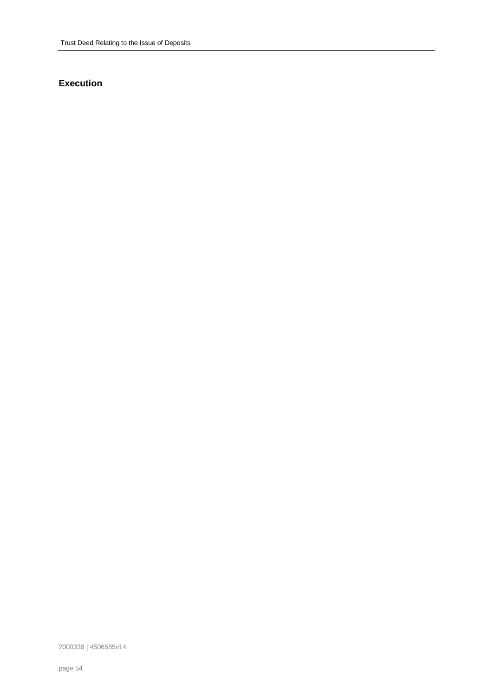# **Execution**

2000339 | 4506585v14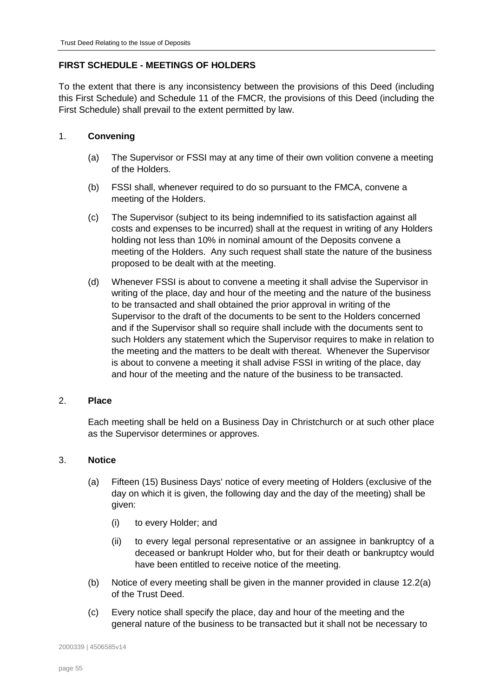# <span id="page-54-0"></span>**FIRST SCHEDULE - MEETINGS OF HOLDERS**

To the extent that there is any inconsistency between the provisions of this Deed (including this First Schedule) and Schedule 11 of the FMCR, the provisions of this Deed (including the First Schedule) shall prevail to the extent permitted by law.

# <span id="page-54-1"></span>1. **Convening**

- (a) The Supervisor or FSSI may at any time of their own volition convene a meeting of the Holders.
- (b) FSSI shall, whenever required to do so pursuant to the FMCA, convene a meeting of the Holders.
- (c) The Supervisor (subject to its being indemnified to its satisfaction against all costs and expenses to be incurred) shall at the request in writing of any Holders holding not less than 10% in nominal amount of the Deposits convene a meeting of the Holders. Any such request shall state the nature of the business proposed to be dealt with at the meeting.
- (d) Whenever FSSI is about to convene a meeting it shall advise the Supervisor in writing of the place, day and hour of the meeting and the nature of the business to be transacted and shall obtained the prior approval in writing of the Supervisor to the draft of the documents to be sent to the Holders concerned and if the Supervisor shall so require shall include with the documents sent to such Holders any statement which the Supervisor requires to make in relation to the meeting and the matters to be dealt with thereat. Whenever the Supervisor is about to convene a meeting it shall advise FSSI in writing of the place, day and hour of the meeting and the nature of the business to be transacted.

# <span id="page-54-2"></span>2. **Place**

Each meeting shall be held on a Business Day in Christchurch or at such other place as the Supervisor determines or approves.

# <span id="page-54-4"></span><span id="page-54-3"></span>3. **Notice**

- (a) Fifteen (15) Business Days' notice of every meeting of Holders (exclusive of the day on which it is given, the following day and the day of the meeting) shall be given:
	- (i) to every Holder; and
	- (ii) to every legal personal representative or an assignee in bankruptcy of a deceased or bankrupt Holder who, but for their death or bankruptcy would have been entitled to receive notice of the meeting.
- (b) Notice of every meeting shall be given in the manner provided in clause [12.2\(a\)](#page-52-0) of the Trust Deed.
- (c) Every notice shall specify the place, day and hour of the meeting and the general nature of the business to be transacted but it shall not be necessary to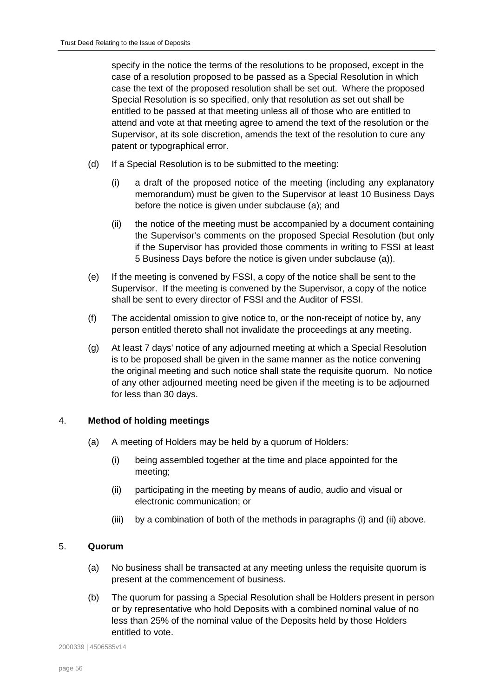specify in the notice the terms of the resolutions to be proposed, except in the case of a resolution proposed to be passed as a Special Resolution in which case the text of the proposed resolution shall be set out. Where the proposed Special Resolution is so specified, only that resolution as set out shall be entitled to be passed at that meeting unless all of those who are entitled to attend and vote at that meeting agree to amend the text of the resolution or the Supervisor, at its sole discretion, amends the text of the resolution to cure any patent or typographical error.

- (d) If a Special Resolution is to be submitted to the meeting:
	- (i) a draft of the proposed notice of the meeting (including any explanatory memorandum) must be given to the Supervisor at least 10 Business Days before the notice is given under subclause [\(a\);](#page-54-4) and
	- (ii) the notice of the meeting must be accompanied by a document containing the Supervisor's comments on the proposed Special Resolution (but only if the Supervisor has provided those comments in writing to FSSI at least 5 Business Days before the notice is given under subclause [\(a\)\)](#page-54-4).
- (e) If the meeting is convened by FSSI, a copy of the notice shall be sent to the Supervisor. If the meeting is convened by the Supervisor, a copy of the notice shall be sent to every director of FSSI and the Auditor of FSSI.
- (f) The accidental omission to give notice to, or the non-receipt of notice by, any person entitled thereto shall not invalidate the proceedings at any meeting.
- (g) At least 7 days' notice of any adjourned meeting at which a Special Resolution is to be proposed shall be given in the same manner as the notice convening the original meeting and such notice shall state the requisite quorum. No notice of any other adjourned meeting need be given if the meeting is to be adjourned for less than 30 days.

# <span id="page-55-0"></span>4. **Method of holding meetings**

- <span id="page-55-3"></span><span id="page-55-2"></span>(a) A meeting of Holders may be held by a quorum of Holders:
	- (i) being assembled together at the time and place appointed for the meeting;
	- (ii) participating in the meeting by means of audio, audio and visual or electronic communication; or
	- (iii) by a combination of both of the methods in paragraphs [\(i\)](#page-55-2) and [\(ii\)](#page-55-3) above.

#### <span id="page-55-1"></span>5. **Quorum**

- (a) No business shall be transacted at any meeting unless the requisite quorum is present at the commencement of business.
- (b) The quorum for passing a Special Resolution shall be Holders present in person or by representative who hold Deposits with a combined nominal value of no less than 25% of the nominal value of the Deposits held by those Holders entitled to vote.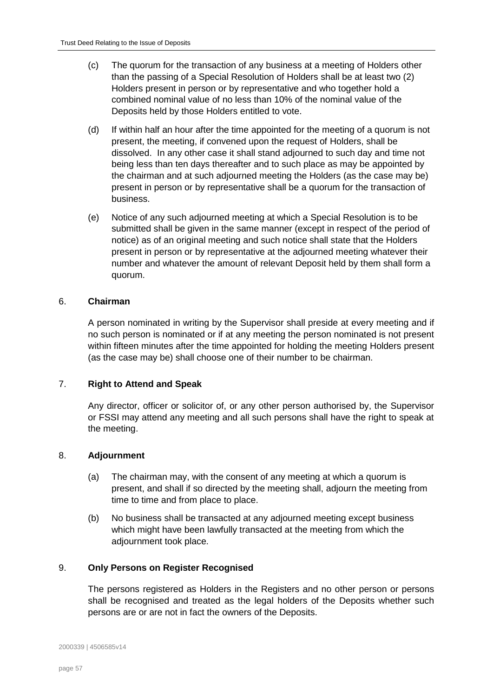- <span id="page-56-4"></span>(c) The quorum for the transaction of any business at a meeting of Holders other than the passing of a Special Resolution of Holders shall be at least two (2) Holders present in person or by representative and who together hold a combined nominal value of no less than 10% of the nominal value of the Deposits held by those Holders entitled to vote.
- (d) If within half an hour after the time appointed for the meeting of a quorum is not present, the meeting, if convened upon the request of Holders, shall be dissolved. In any other case it shall stand adjourned to such day and time not being less than ten days thereafter and to such place as may be appointed by the chairman and at such adjourned meeting the Holders (as the case may be) present in person or by representative shall be a quorum for the transaction of business.
- (e) Notice of any such adjourned meeting at which a Special Resolution is to be submitted shall be given in the same manner (except in respect of the period of notice) as of an original meeting and such notice shall state that the Holders present in person or by representative at the adjourned meeting whatever their number and whatever the amount of relevant Deposit held by them shall form a quorum.

### <span id="page-56-0"></span>6. **Chairman**

A person nominated in writing by the Supervisor shall preside at every meeting and if no such person is nominated or if at any meeting the person nominated is not present within fifteen minutes after the time appointed for holding the meeting Holders present (as the case may be) shall choose one of their number to be chairman.

# <span id="page-56-1"></span>7. **Right to Attend and Speak**

Any director, officer or solicitor of, or any other person authorised by, the Supervisor or FSSI may attend any meeting and all such persons shall have the right to speak at the meeting.

# <span id="page-56-2"></span>8. **Adjournment**

- (a) The chairman may, with the consent of any meeting at which a quorum is present, and shall if so directed by the meeting shall, adjourn the meeting from time to time and from place to place.
- (b) No business shall be transacted at any adjourned meeting except business which might have been lawfully transacted at the meeting from which the adjournment took place.

# <span id="page-56-3"></span>9. **Only Persons on Register Recognised**

The persons registered as Holders in the Registers and no other person or persons shall be recognised and treated as the legal holders of the Deposits whether such persons are or are not in fact the owners of the Deposits.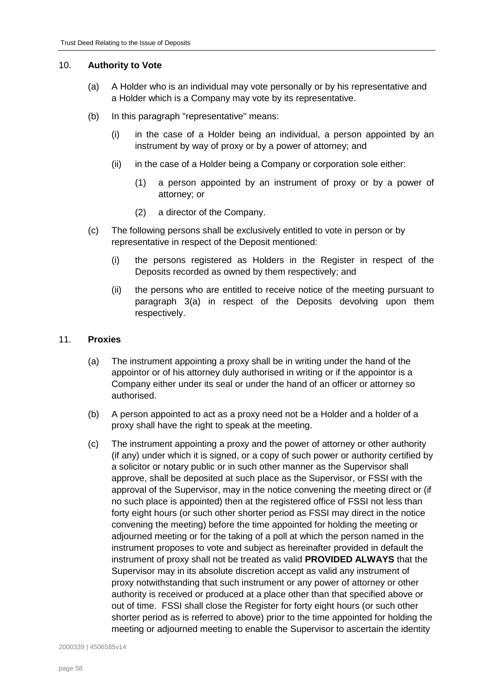### 10. **Authority to Vote**

- (a) A Holder who is an individual may vote personally or by his representative and a Holder which is a Company may vote by its representative.
- (b) In this paragraph "representative" means:
	- (i) in the case of a Holder being an individual, a person appointed by an instrument by way of proxy or by a power of attorney; and
	- (ii) in the case of a Holder being a Company or corporation sole either:
		- (1) a person appointed by an instrument of proxy or by a power of attorney; or
		- (2) a director of the Company.
- (c) The following persons shall be exclusively entitled to vote in person or by representative in respect of the Deposit mentioned:
	- (i) the persons registered as Holders in the Register in respect of the Deposits recorded as owned by them respectively; and
	- (ii) the persons who are entitled to receive notice of the meeting pursuant to paragraph [3\(a\)](#page-54-4) in respect of the Deposits devolving upon them respectively.

# <span id="page-57-0"></span>11. **Proxies**

- (a) The instrument appointing a proxy shall be in writing under the hand of the appointor or of his attorney duly authorised in writing or if the appointor is a Company either under its seal or under the hand of an officer or attorney so authorised.
- (b) A person appointed to act as a proxy need not be a Holder and a holder of a proxy shall have the right to speak at the meeting.
- (c) The instrument appointing a proxy and the power of attorney or other authority (if any) under which it is signed, or a copy of such power or authority certified by a solicitor or notary public or in such other manner as the Supervisor shall approve, shall be deposited at such place as the Supervisor, or FSSI with the approval of the Supervisor, may in the notice convening the meeting direct or (if no such place is appointed) then at the registered office of FSSI not less than forty eight hours (or such other shorter period as FSSI may direct in the notice convening the meeting) before the time appointed for holding the meeting or adjourned meeting or for the taking of a poll at which the person named in the instrument proposes to vote and subject as hereinafter provided in default the instrument of proxy shall not be treated as valid **PROVIDED ALWAYS** that the Supervisor may in its absolute discretion accept as valid any instrument of proxy notwithstanding that such instrument or any power of attorney or other authority is received or produced at a place other than that specified above or out of time. FSSI shall close the Register for forty eight hours (or such other shorter period as is referred to above) prior to the time appointed for holding the meeting or adjourned meeting to enable the Supervisor to ascertain the identity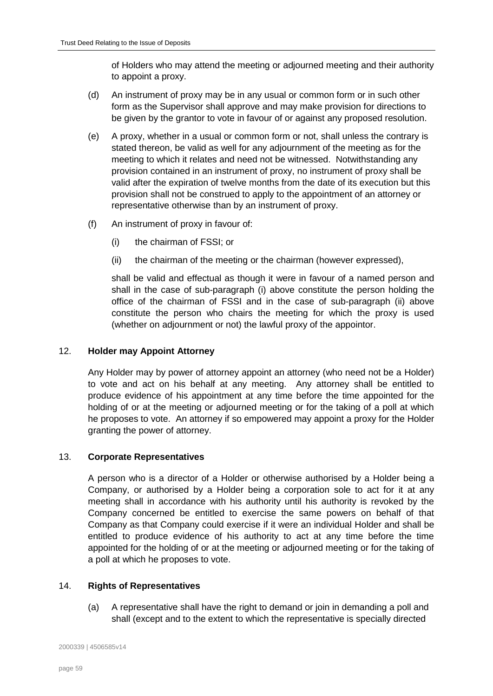of Holders who may attend the meeting or adjourned meeting and their authority to appoint a proxy.

- (d) An instrument of proxy may be in any usual or common form or in such other form as the Supervisor shall approve and may make provision for directions to be given by the grantor to vote in favour of or against any proposed resolution.
- (e) A proxy, whether in a usual or common form or not, shall unless the contrary is stated thereon, be valid as well for any adjournment of the meeting as for the meeting to which it relates and need not be witnessed. Notwithstanding any provision contained in an instrument of proxy, no instrument of proxy shall be valid after the expiration of twelve months from the date of its execution but this provision shall not be construed to apply to the appointment of an attorney or representative otherwise than by an instrument of proxy.
- <span id="page-58-4"></span><span id="page-58-3"></span>(f) An instrument of proxy in favour of:
	- (i) the chairman of FSSI; or
	- (ii) the chairman of the meeting or the chairman (however expressed),

shall be valid and effectual as though it were in favour of a named person and shall in the case of sub-paragraph [\(i\)](#page-58-3) above constitute the person holding the office of the chairman of FSSI and in the case of sub-paragraph [\(ii\)](#page-58-4) above constitute the person who chairs the meeting for which the proxy is used (whether on adjournment or not) the lawful proxy of the appointor.

# <span id="page-58-0"></span>12. **Holder may Appoint Attorney**

Any Holder may by power of attorney appoint an attorney (who need not be a Holder) to vote and act on his behalf at any meeting. Any attorney shall be entitled to produce evidence of his appointment at any time before the time appointed for the holding of or at the meeting or adjourned meeting or for the taking of a poll at which he proposes to vote. An attorney if so empowered may appoint a proxy for the Holder granting the power of attorney.

#### <span id="page-58-1"></span>13. **Corporate Representatives**

A person who is a director of a Holder or otherwise authorised by a Holder being a Company, or authorised by a Holder being a corporation sole to act for it at any meeting shall in accordance with his authority until his authority is revoked by the Company concerned be entitled to exercise the same powers on behalf of that Company as that Company could exercise if it were an individual Holder and shall be entitled to produce evidence of his authority to act at any time before the time appointed for the holding of or at the meeting or adjourned meeting or for the taking of a poll at which he proposes to vote.

# <span id="page-58-2"></span>14. **Rights of Representatives**

(a) A representative shall have the right to demand or join in demanding a poll and shall (except and to the extent to which the representative is specially directed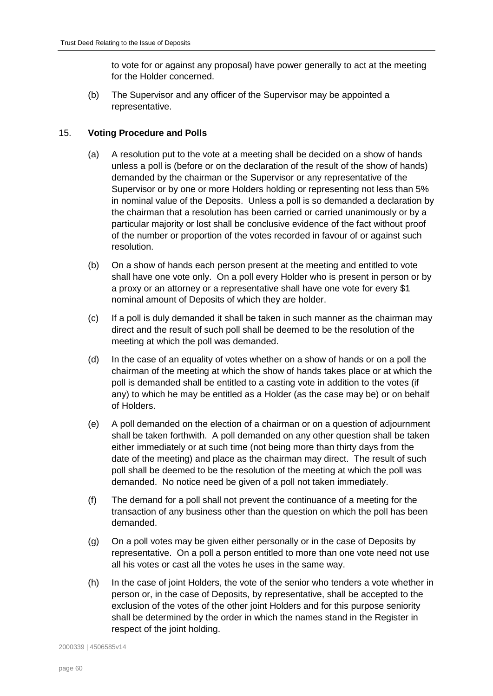to vote for or against any proposal) have power generally to act at the meeting for the Holder concerned.

(b) The Supervisor and any officer of the Supervisor may be appointed a representative.

# <span id="page-59-0"></span>15. **Voting Procedure and Polls**

- (a) A resolution put to the vote at a meeting shall be decided on a show of hands unless a poll is (before or on the declaration of the result of the show of hands) demanded by the chairman or the Supervisor or any representative of the Supervisor or by one or more Holders holding or representing not less than 5% in nominal value of the Deposits. Unless a poll is so demanded a declaration by the chairman that a resolution has been carried or carried unanimously or by a particular majority or lost shall be conclusive evidence of the fact without proof of the number or proportion of the votes recorded in favour of or against such resolution.
- (b) On a show of hands each person present at the meeting and entitled to vote shall have one vote only. On a poll every Holder who is present in person or by a proxy or an attorney or a representative shall have one vote for every \$1 nominal amount of Deposits of which they are holder.
- (c) If a poll is duly demanded it shall be taken in such manner as the chairman may direct and the result of such poll shall be deemed to be the resolution of the meeting at which the poll was demanded.
- (d) In the case of an equality of votes whether on a show of hands or on a poll the chairman of the meeting at which the show of hands takes place or at which the poll is demanded shall be entitled to a casting vote in addition to the votes (if any) to which he may be entitled as a Holder (as the case may be) or on behalf of Holders.
- (e) A poll demanded on the election of a chairman or on a question of adjournment shall be taken forthwith. A poll demanded on any other question shall be taken either immediately or at such time (not being more than thirty days from the date of the meeting) and place as the chairman may direct. The result of such poll shall be deemed to be the resolution of the meeting at which the poll was demanded. No notice need be given of a poll not taken immediately.
- (f) The demand for a poll shall not prevent the continuance of a meeting for the transaction of any business other than the question on which the poll has been demanded.
- (g) On a poll votes may be given either personally or in the case of Deposits by representative. On a poll a person entitled to more than one vote need not use all his votes or cast all the votes he uses in the same way.
- (h) In the case of joint Holders, the vote of the senior who tenders a vote whether in person or, in the case of Deposits, by representative, shall be accepted to the exclusion of the votes of the other joint Holders and for this purpose seniority shall be determined by the order in which the names stand in the Register in respect of the joint holding.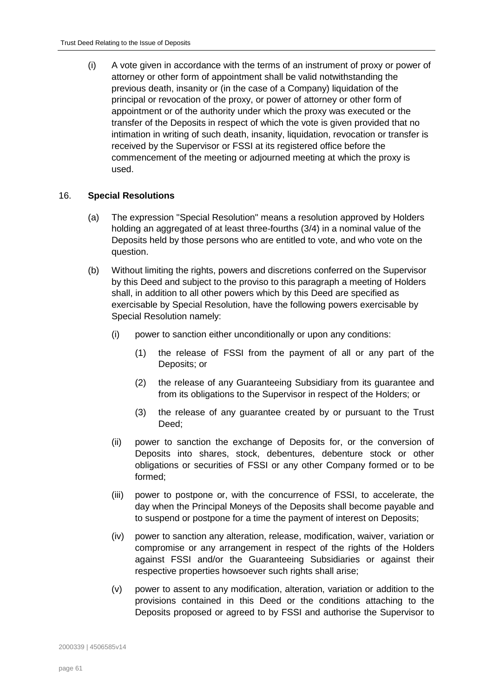(i) A vote given in accordance with the terms of an instrument of proxy or power of attorney or other form of appointment shall be valid notwithstanding the previous death, insanity or (in the case of a Company) liquidation of the principal or revocation of the proxy, or power of attorney or other form of appointment or of the authority under which the proxy was executed or the transfer of the Deposits in respect of which the vote is given provided that no intimation in writing of such death, insanity, liquidation, revocation or transfer is received by the Supervisor or FSSI at its registered office before the commencement of the meeting or adjourned meeting at which the proxy is used.

### <span id="page-60-1"></span><span id="page-60-0"></span>16. **Special Resolutions**

- (a) The expression "Special Resolution" means a resolution approved by Holders holding an aggregated of at least three-fourths (3/4) in a nominal value of the Deposits held by those persons who are entitled to vote, and who vote on the question.
- (b) Without limiting the rights, powers and discretions conferred on the Supervisor by this Deed and subject to the proviso to this paragraph a meeting of Holders shall, in addition to all other powers which by this Deed are specified as exercisable by Special Resolution, have the following powers exercisable by Special Resolution namely:
	- (i) power to sanction either unconditionally or upon any conditions:
		- (1) the release of FSSI from the payment of all or any part of the Deposits; or
		- (2) the release of any Guaranteeing Subsidiary from its guarantee and from its obligations to the Supervisor in respect of the Holders; or
		- (3) the release of any guarantee created by or pursuant to the Trust Deed;
	- (ii) power to sanction the exchange of Deposits for, or the conversion of Deposits into shares, stock, debentures, debenture stock or other obligations or securities of FSSI or any other Company formed or to be formed;
	- (iii) power to postpone or, with the concurrence of FSSI, to accelerate, the day when the Principal Moneys of the Deposits shall become payable and to suspend or postpone for a time the payment of interest on Deposits;
	- (iv) power to sanction any alteration, release, modification, waiver, variation or compromise or any arrangement in respect of the rights of the Holders against FSSI and/or the Guaranteeing Subsidiaries or against their respective properties howsoever such rights shall arise;
	- (v) power to assent to any modification, alteration, variation or addition to the provisions contained in this Deed or the conditions attaching to the Deposits proposed or agreed to by FSSI and authorise the Supervisor to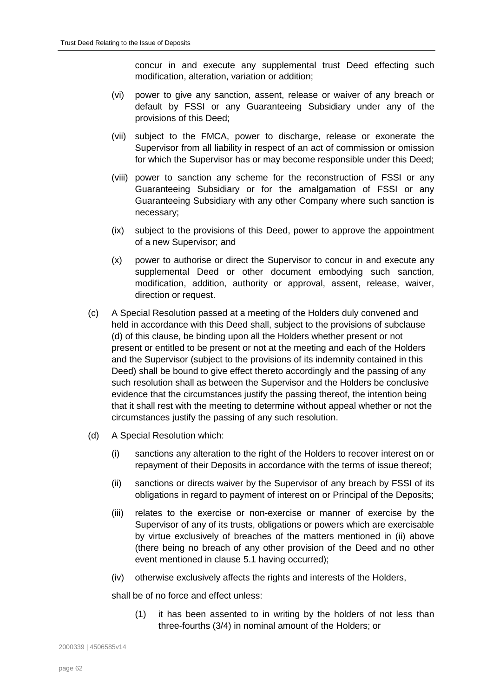concur in and execute any supplemental trust Deed effecting such modification, alteration, variation or addition;

- (vi) power to give any sanction, assent, release or waiver of any breach or default by FSSI or any Guaranteeing Subsidiary under any of the provisions of this Deed;
- (vii) subject to the FMCA, power to discharge, release or exonerate the Supervisor from all liability in respect of an act of commission or omission for which the Supervisor has or may become responsible under this Deed;
- (viii) power to sanction any scheme for the reconstruction of FSSI or any Guaranteeing Subsidiary or for the amalgamation of FSSI or any Guaranteeing Subsidiary with any other Company where such sanction is necessary;
- (ix) subject to the provisions of this Deed, power to approve the appointment of a new Supervisor; and
- (x) power to authorise or direct the Supervisor to concur in and execute any supplemental Deed or other document embodying such sanction, modification, addition, authority or approval, assent, release, waiver, direction or request.
- (c) A Special Resolution passed at a meeting of the Holders duly convened and held in accordance with this Deed shall, subject to the provisions of subclause (d) of this clause, be binding upon all the Holders whether present or not present or entitled to be present or not at the meeting and each of the Holders and the Supervisor (subject to the provisions of its indemnity contained in this Deed) shall be bound to give effect thereto accordingly and the passing of any such resolution shall as between the Supervisor and the Holders be conclusive evidence that the circumstances justify the passing thereof, the intention being that it shall rest with the meeting to determine without appeal whether or not the circumstances justify the passing of any such resolution.
- <span id="page-61-0"></span>(d) A Special Resolution which:
	- (i) sanctions any alteration to the right of the Holders to recover interest on or repayment of their Deposits in accordance with the terms of issue thereof;
	- (ii) sanctions or directs waiver by the Supervisor of any breach by FSSI of its obligations in regard to payment of interest on or Principal of the Deposits;
	- (iii) relates to the exercise or non-exercise or manner of exercise by the Supervisor of any of its trusts, obligations or powers which are exercisable by virtue exclusively of breaches of the matters mentioned in [\(ii\)](#page-61-0) above (there being no breach of any other provision of the Deed and no other event mentioned in clause [5.1](#page-33-1) having occurred);
	- (iv) otherwise exclusively affects the rights and interests of the Holders,

shall be of no force and effect unless:

(1) it has been assented to in writing by the holders of not less than three-fourths (3/4) in nominal amount of the Holders; or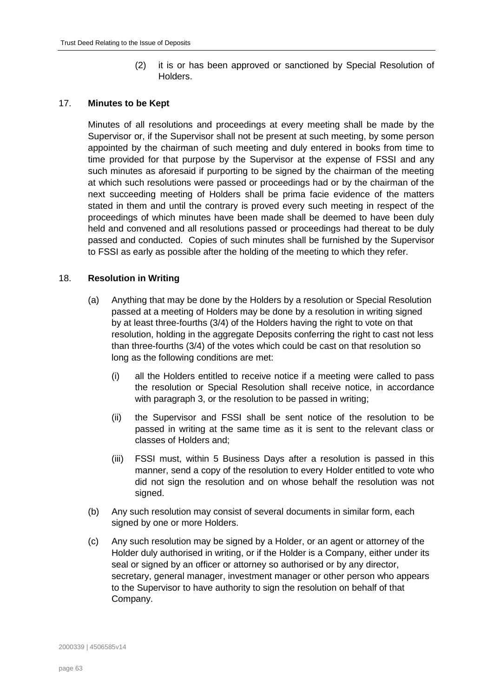(2) it is or has been approved or sanctioned by Special Resolution of Holders.

# <span id="page-62-2"></span><span id="page-62-0"></span>17. **Minutes to be Kept**

Minutes of all resolutions and proceedings at every meeting shall be made by the Supervisor or, if the Supervisor shall not be present at such meeting, by some person appointed by the chairman of such meeting and duly entered in books from time to time provided for that purpose by the Supervisor at the expense of FSSI and any such minutes as aforesaid if purporting to be signed by the chairman of the meeting at which such resolutions were passed or proceedings had or by the chairman of the next succeeding meeting of Holders shall be prima facie evidence of the matters stated in them and until the contrary is proved every such meeting in respect of the proceedings of which minutes have been made shall be deemed to have been duly held and convened and all resolutions passed or proceedings had thereat to be duly passed and conducted. Copies of such minutes shall be furnished by the Supervisor to FSSI as early as possible after the holding of the meeting to which they refer.

# <span id="page-62-1"></span>18. **Resolution in Writing**

- (a) Anything that may be done by the Holders by a resolution or Special Resolution passed at a meeting of Holders may be done by a resolution in writing signed by at least three-fourths (3/4) of the Holders having the right to vote on that resolution, holding in the aggregate Deposits conferring the right to cast not less than three-fourths (3/4) of the votes which could be cast on that resolution so long as the following conditions are met:
	- (i) all the Holders entitled to receive notice if a meeting were called to pass the resolution or Special Resolution shall receive notice, in accordance with paragraph [3,](#page-54-3) or the resolution to be passed in writing;
	- (ii) the Supervisor and FSSI shall be sent notice of the resolution to be passed in writing at the same time as it is sent to the relevant class or classes of Holders and;
	- (iii) FSSI must, within 5 Business Days after a resolution is passed in this manner, send a copy of the resolution to every Holder entitled to vote who did not sign the resolution and on whose behalf the resolution was not signed.
- (b) Any such resolution may consist of several documents in similar form, each signed by one or more Holders.
- (c) Any such resolution may be signed by a Holder, or an agent or attorney of the Holder duly authorised in writing, or if the Holder is a Company, either under its seal or signed by an officer or attorney so authorised or by any director, secretary, general manager, investment manager or other person who appears to the Supervisor to have authority to sign the resolution on behalf of that Company.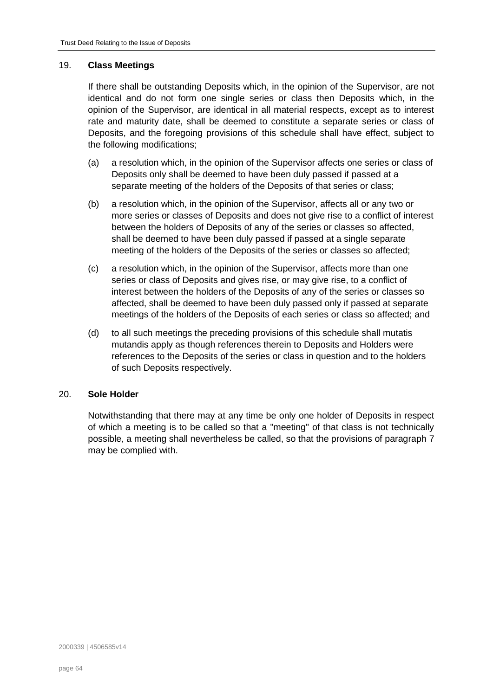### 19. **Class Meetings**

If there shall be outstanding Deposits which, in the opinion of the Supervisor, are not identical and do not form one single series or class then Deposits which, in the opinion of the Supervisor, are identical in all material respects, except as to interest rate and maturity date, shall be deemed to constitute a separate series or class of Deposits, and the foregoing provisions of this schedule shall have effect, subject to the following modifications;

- (a) a resolution which, in the opinion of the Supervisor affects one series or class of Deposits only shall be deemed to have been duly passed if passed at a separate meeting of the holders of the Deposits of that series or class;
- (b) a resolution which, in the opinion of the Supervisor, affects all or any two or more series or classes of Deposits and does not give rise to a conflict of interest between the holders of Deposits of any of the series or classes so affected, shall be deemed to have been duly passed if passed at a single separate meeting of the holders of the Deposits of the series or classes so affected;
- (c) a resolution which, in the opinion of the Supervisor, affects more than one series or class of Deposits and gives rise, or may give rise, to a conflict of interest between the holders of the Deposits of any of the series or classes so affected, shall be deemed to have been duly passed only if passed at separate meetings of the holders of the Deposits of each series or class so affected; and
- (d) to all such meetings the preceding provisions of this schedule shall mutatis mutandis apply as though references therein to Deposits and Holders were references to the Deposits of the series or class in question and to the holders of such Deposits respectively.

# <span id="page-63-0"></span>20. **Sole Holder**

Notwithstanding that there may at any time be only one holder of Deposits in respect of which a meeting is to be called so that a "meeting" of that class is not technically possible, a meeting shall nevertheless be called, so that the provisions of paragraph [7](#page-56-1) may be complied with.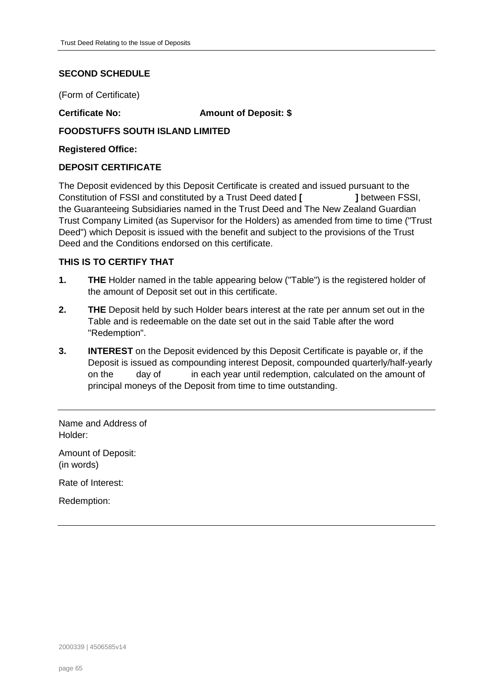# <span id="page-64-0"></span>**SECOND SCHEDULE**

(Form of Certificate)

**Certificate No: Amount of Deposit: \$**

# **FOODSTUFFS SOUTH ISLAND LIMITED**

**Registered Office:**

### **DEPOSIT CERTIFICATE**

The Deposit evidenced by this Deposit Certificate is created and issued pursuant to the Constitution of FSSI and constituted by a Trust Deed dated **[ ]** between FSSI, the Guaranteeing Subsidiaries named in the Trust Deed and The New Zealand Guardian Trust Company Limited (as Supervisor for the Holders) as amended from time to time ("Trust Deed") which Deposit is issued with the benefit and subject to the provisions of the Trust Deed and the Conditions endorsed on this certificate.

# **THIS IS TO CERTIFY THAT**

- **1. THE** Holder named in the table appearing below ("Table") is the registered holder of the amount of Deposit set out in this certificate.
- **2. THE** Deposit held by such Holder bears interest at the rate per annum set out in the Table and is redeemable on the date set out in the said Table after the word "Redemption".
- **3. INTEREST** on the Deposit evidenced by this Deposit Certificate is payable or, if the Deposit is issued as compounding interest Deposit, compounded quarterly/half-yearly on the day of in each year until redemption, calculated on the amount of principal moneys of the Deposit from time to time outstanding.

Name and Address of Holder:

Amount of Deposit: (in words)

Rate of Interest:

Redemption: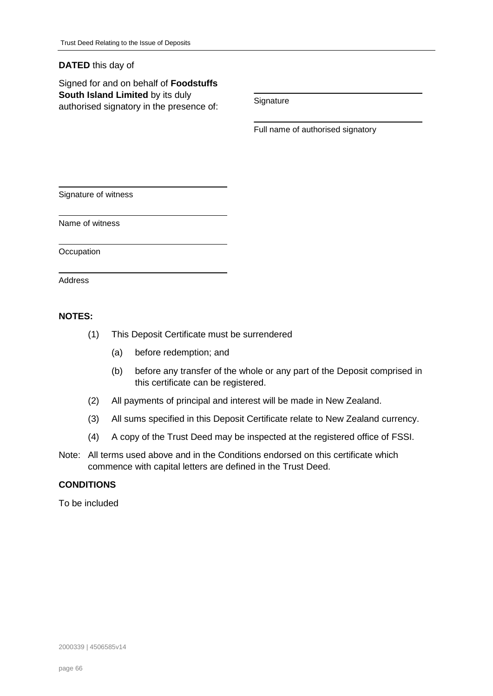# **DATED** this day of

Signed for and on behalf of **Foodstuffs South Island Limited** by its duly **South Island Ellinced** by its dury<br>authorised signatory in the presence of: Signature

Full name of authorised signatory

Signature of witness

Name of witness

**Occupation** 

Address

### **NOTES:**

- (1) This Deposit Certificate must be surrendered
	- (a) before redemption; and
	- (b) before any transfer of the whole or any part of the Deposit comprised in this certificate can be registered.
- (2) All payments of principal and interest will be made in New Zealand.
- (3) All sums specified in this Deposit Certificate relate to New Zealand currency.
- (4) A copy of the Trust Deed may be inspected at the registered office of FSSI.
- Note: All terms used above and in the Conditions endorsed on this certificate which commence with capital letters are defined in the Trust Deed.

# **CONDITIONS**

To be included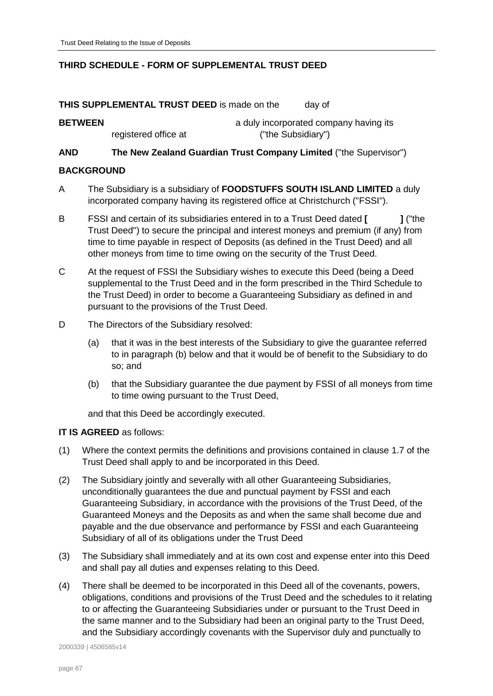# <span id="page-66-0"></span>**THIRD SCHEDULE - FORM OF SUPPLEMENTAL TRUST DEED**

**THIS SUPPLEMENTAL TRUST DEED** is made on the day of

# **BETWEEN a** duly incorporated company having its registered office at ("the Subsidiary")

# **AND The New Zealand Guardian Trust Company Limited** ("the Supervisor")

### **BACKGROUND**

- A The Subsidiary is a subsidiary of **FOODSTUFFS SOUTH ISLAND LIMITED** a duly incorporated company having its registered office at Christchurch ("FSSI").
- B FSSI and certain of its subsidiaries entered in to a Trust Deed dated **[ ]** ("the Trust Deed") to secure the principal and interest moneys and premium (if any) from time to time payable in respect of Deposits (as defined in the Trust Deed) and all other moneys from time to time owing on the security of the Trust Deed.
- C At the request of FSSI the Subsidiary wishes to execute this Deed (being a Deed supplemental to the Trust Deed and in the form prescribed in the Third Schedule to the Trust Deed) in order to become a Guaranteeing Subsidiary as defined in and pursuant to the provisions of the Trust Deed.
- D The Directors of the Subsidiary resolved:
	- (a) that it was in the best interests of the Subsidiary to give the guarantee referred to in paragraph [\(b\)](#page-66-1) below and that it would be of benefit to the Subsidiary to do so; and
	- (b) that the Subsidiary guarantee the due payment by FSSI of all moneys from time to time owing pursuant to the Trust Deed,

<span id="page-66-1"></span>and that this Deed be accordingly executed.

# **IT IS AGREED** as follows:

- (1) Where the context permits the definitions and provisions contained in clause [1.7](#page-5-0) of the Trust Deed shall apply to and be incorporated in this Deed.
- (2) The Subsidiary jointly and severally with all other Guaranteeing Subsidiaries, unconditionally guarantees the due and punctual payment by FSSI and each Guaranteeing Subsidiary, in accordance with the provisions of the Trust Deed, of the Guaranteed Moneys and the Deposits as and when the same shall become due and payable and the due observance and performance by FSSI and each Guaranteeing Subsidiary of all of its obligations under the Trust Deed
- (3) The Subsidiary shall immediately and at its own cost and expense enter into this Deed and shall pay all duties and expenses relating to this Deed.
- (4) There shall be deemed to be incorporated in this Deed all of the covenants, powers, obligations, conditions and provisions of the Trust Deed and the schedules to it relating to or affecting the Guaranteeing Subsidiaries under or pursuant to the Trust Deed in the same manner and to the Subsidiary had been an original party to the Trust Deed, and the Subsidiary accordingly covenants with the Supervisor duly and punctually to

2000339 | 4506585v14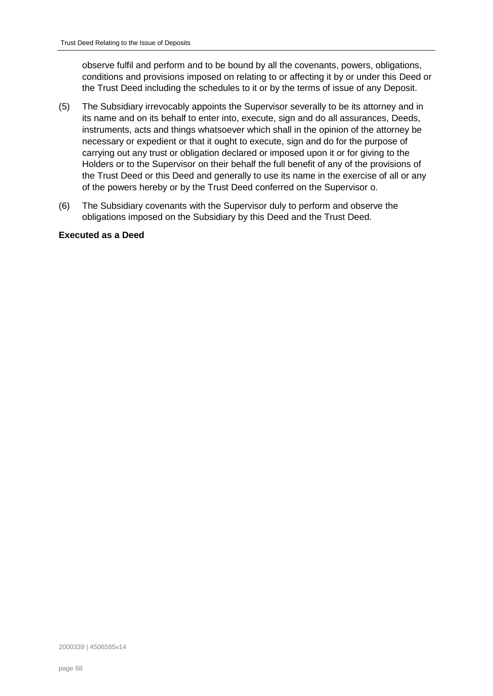observe fulfil and perform and to be bound by all the covenants, powers, obligations, conditions and provisions imposed on relating to or affecting it by or under this Deed or the Trust Deed including the schedules to it or by the terms of issue of any Deposit.

- (5) The Subsidiary irrevocably appoints the Supervisor severally to be its attorney and in its name and on its behalf to enter into, execute, sign and do all assurances, Deeds, instruments, acts and things whatsoever which shall in the opinion of the attorney be necessary or expedient or that it ought to execute, sign and do for the purpose of carrying out any trust or obligation declared or imposed upon it or for giving to the Holders or to the Supervisor on their behalf the full benefit of any of the provisions of the Trust Deed or this Deed and generally to use its name in the exercise of all or any of the powers hereby or by the Trust Deed conferred on the Supervisor o.
- (6) The Subsidiary covenants with the Supervisor duly to perform and observe the obligations imposed on the Subsidiary by this Deed and the Trust Deed.

### **Executed as a Deed**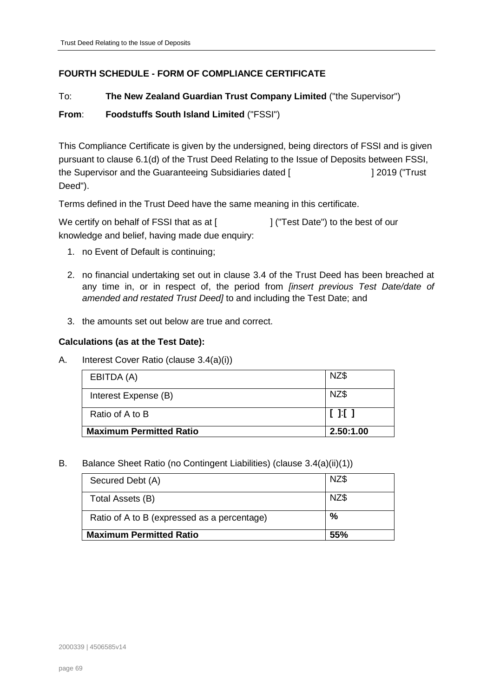# <span id="page-68-0"></span>**FOURTH SCHEDULE - FORM OF COMPLIANCE CERTIFICATE**

# To: **The New Zealand Guardian Trust Company Limited** ("the Supervisor")

# **From**: **Foodstuffs South Island Limited** ("FSSI")

This Compliance Certificate is given by the undersigned, being directors of FSSI and is given pursuant to clause [6.1\(d\)](#page-36-1) of the Trust Deed Relating to the Issue of Deposits between FSSI, the Supervisor and the Guaranteeing Subsidiaries dated [  $\qquad$  | 2019 ("Trust Deed").

Terms defined in the Trust Deed have the same meaning in this certificate.

We certify on behalf of FSSI that as at [  $\vert$  | ("Test Date") to the best of our knowledge and belief, having made due enquiry:

- 1. no Event of Default is continuing;
- 2. no financial undertaking set out in clause [3.4](#page-27-0) of the Trust Deed has been breached at any time in, or in respect of, the period from *[insert previous Test Date/date of amended and restated Trust Deed]* to and including the Test Date; and
- 3. the amounts set out below are true and correct.

### **Calculations (as at the Test Date):**

A. Interest Cover Ratio (clause [3.4\(a\)\(i\)\)](#page-27-3)

| EBITDA (A)                     | NZ\$      |
|--------------------------------|-----------|
| Interest Expense (B)           | NZ\$      |
| Ratio of A to B                | [11]      |
| <b>Maximum Permitted Ratio</b> | 2.50:1.00 |

#### B. Balance Sheet Ratio (no Contingent Liabilities) (clause [3.4\(a\)\(ii\)\(1\)\)](#page-27-4)

| Secured Debt (A)                            | NZ\$ |
|---------------------------------------------|------|
| Total Assets (B)                            | NZ\$ |
| Ratio of A to B (expressed as a percentage) | $\%$ |
| <b>Maximum Permitted Ratio</b>              | 55%  |